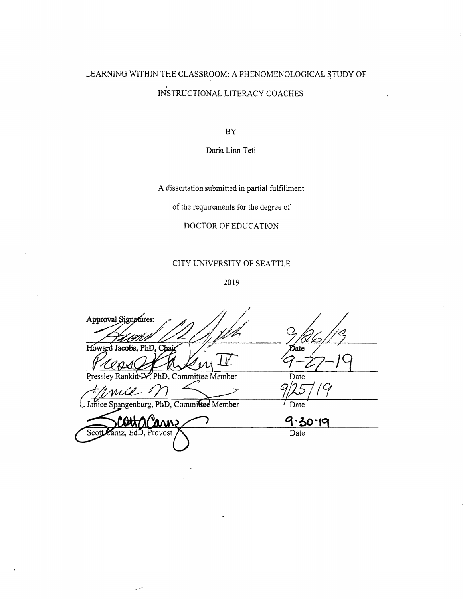# LEARNING WITHIN THE CLASSROOM: A PHENOMENOLOGICAL STUDY OF INSTRUCTIONAL LITERACY COACHES

 $\rm BY$ 

Daria Linn Teti

A dissertation submitted in partial fulfillment

of the requirements for the degree of

# DOCTOR OF EDUCATION

# CITY UNIVERSITY OF SEATTLE

2019

Approval Signatures: Howard Jacobs, PhD, Chai Date PhD, Committee Member Date Pre pangenburg, PhD, Committee Member Date Janice 9.30.19 Date Scot EdD, Provost 717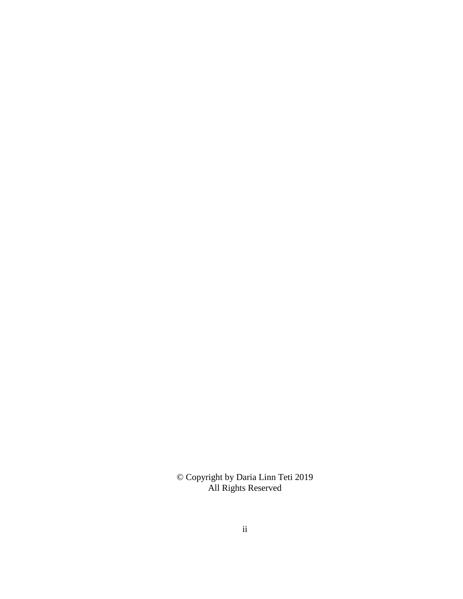© Copyright by Daria Linn Teti 2019 All Rights Reserved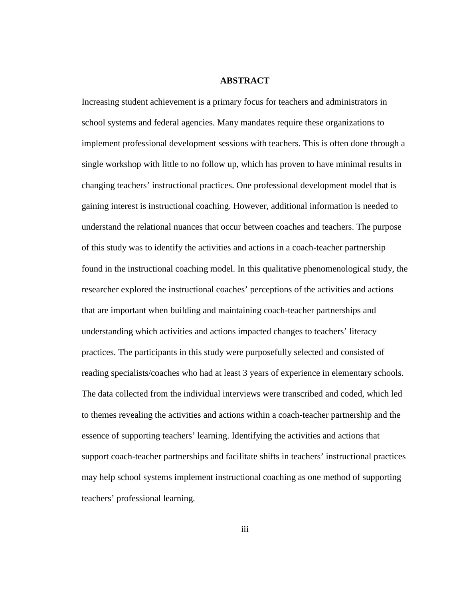# **ABSTRACT**

<span id="page-2-0"></span>Increasing student achievement is a primary focus for teachers and administrators in school systems and federal agencies. Many mandates require these organizations to implement professional development sessions with teachers. This is often done through a single workshop with little to no follow up, which has proven to have minimal results in changing teachers' instructional practices. One professional development model that is gaining interest is instructional coaching. However, additional information is needed to understand the relational nuances that occur between coaches and teachers. The purpose of this study was to identify the activities and actions in a coach-teacher partnership found in the instructional coaching model. In this qualitative phenomenological study, the researcher explored the instructional coaches' perceptions of the activities and actions that are important when building and maintaining coach-teacher partnerships and understanding which activities and actions impacted changes to teachers' literacy practices. The participants in this study were purposefully selected and consisted of reading specialists/coaches who had at least 3 years of experience in elementary schools. The data collected from the individual interviews were transcribed and coded, which led to themes revealing the activities and actions within a coach-teacher partnership and the essence of supporting teachers' learning. Identifying the activities and actions that support coach-teacher partnerships and facilitate shifts in teachers' instructional practices may help school systems implement instructional coaching as one method of supporting teachers' professional learning.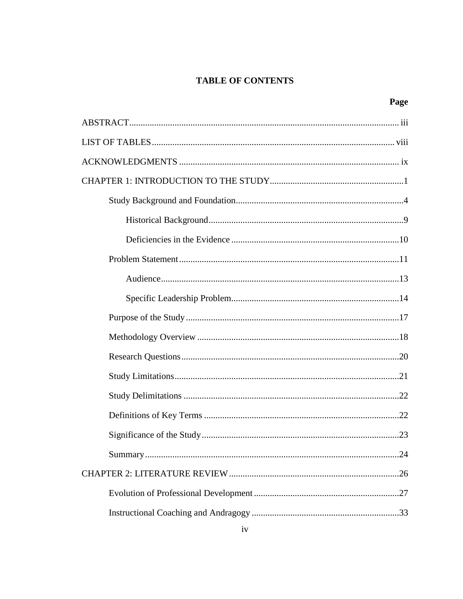# **TABLE OF CONTENTS**

| .24 |
|-----|
|     |
|     |
|     |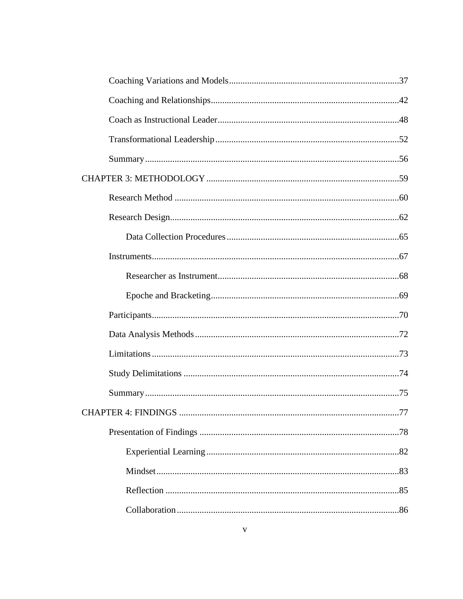| CHAPTER 4: FINDINGS | 77 |
|---------------------|----|
|                     |    |
|                     |    |
|                     |    |
|                     |    |
|                     |    |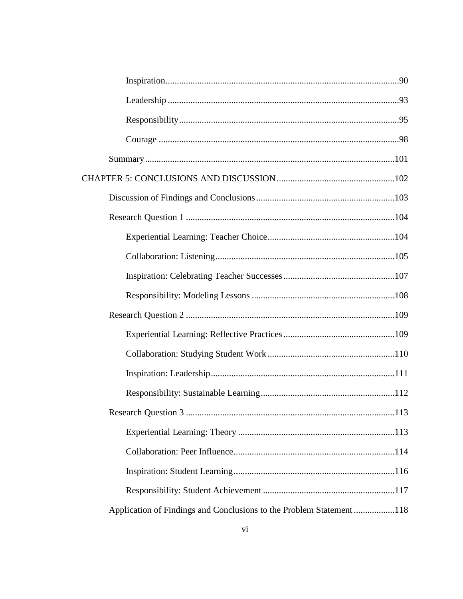|                                                                      | 113 |
|----------------------------------------------------------------------|-----|
|                                                                      |     |
|                                                                      |     |
|                                                                      |     |
|                                                                      |     |
| Application of Findings and Conclusions to the Problem Statement 118 |     |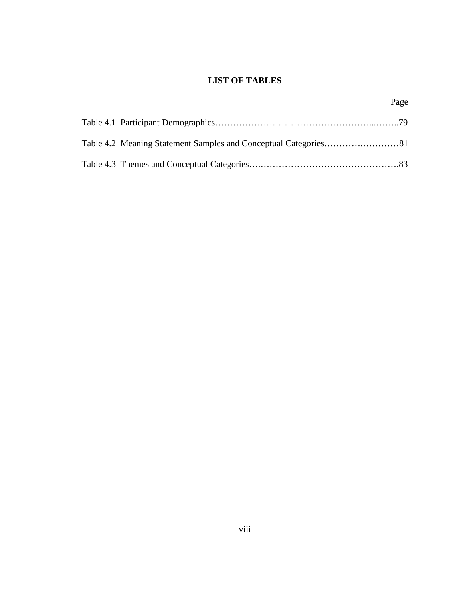# **LIST OF TABLES**

Page

<span id="page-7-0"></span>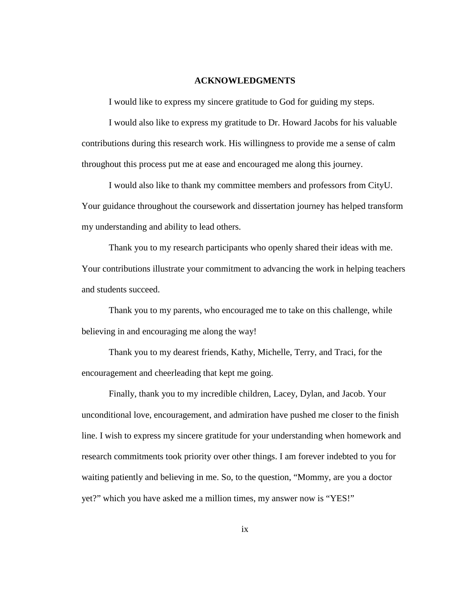#### **ACKNOWLEDGMENTS**

<span id="page-8-0"></span>I would like to express my sincere gratitude to God for guiding my steps.

I would also like to express my gratitude to Dr. Howard Jacobs for his valuable contributions during this research work. His willingness to provide me a sense of calm throughout this process put me at ease and encouraged me along this journey.

I would also like to thank my committee members and professors from CityU. Your guidance throughout the coursework and dissertation journey has helped transform my understanding and ability to lead others.

Thank you to my research participants who openly shared their ideas with me. Your contributions illustrate your commitment to advancing the work in helping teachers and students succeed.

Thank you to my parents, who encouraged me to take on this challenge, while believing in and encouraging me along the way!

Thank you to my dearest friends, Kathy, Michelle, Terry, and Traci, for the encouragement and cheerleading that kept me going.

Finally, thank you to my incredible children, Lacey, Dylan, and Jacob. Your unconditional love, encouragement, and admiration have pushed me closer to the finish line. I wish to express my sincere gratitude for your understanding when homework and research commitments took priority over other things. I am forever indebted to you for waiting patiently and believing in me. So, to the question, "Mommy, are you a doctor yet?" which you have asked me a million times, my answer now is "YES!"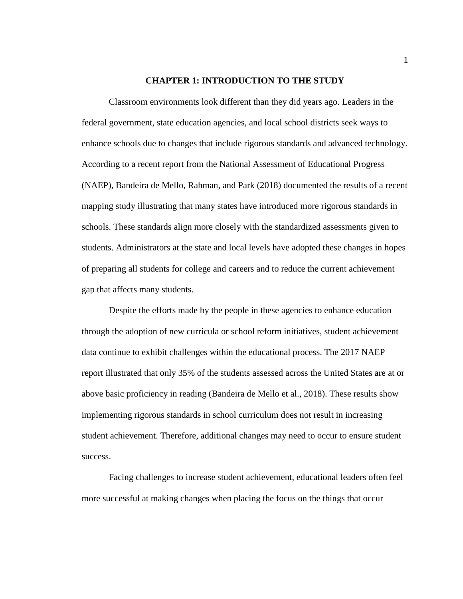#### **CHAPTER 1: INTRODUCTION TO THE STUDY**

<span id="page-9-0"></span>Classroom environments look different than they did years ago. Leaders in the federal government, state education agencies, and local school districts seek ways to enhance schools due to changes that include rigorous standards and advanced technology. According to a recent report from the National Assessment of Educational Progress (NAEP), Bandeira de Mello, Rahman, and Park (2018) documented the results of a recent mapping study illustrating that many states have introduced more rigorous standards in schools. These standards align more closely with the standardized assessments given to students. Administrators at the state and local levels have adopted these changes in hopes of preparing all students for college and careers and to reduce the current achievement gap that affects many students.

Despite the efforts made by the people in these agencies to enhance education through the adoption of new curricula or school reform initiatives, student achievement data continue to exhibit challenges within the educational process. The 2017 NAEP report illustrated that only 35% of the students assessed across the United States are at or above basic proficiency in reading (Bandeira de Mello et al., 2018). These results show implementing rigorous standards in school curriculum does not result in increasing student achievement. Therefore, additional changes may need to occur to ensure student success.

Facing challenges to increase student achievement, educational leaders often feel more successful at making changes when placing the focus on the things that occur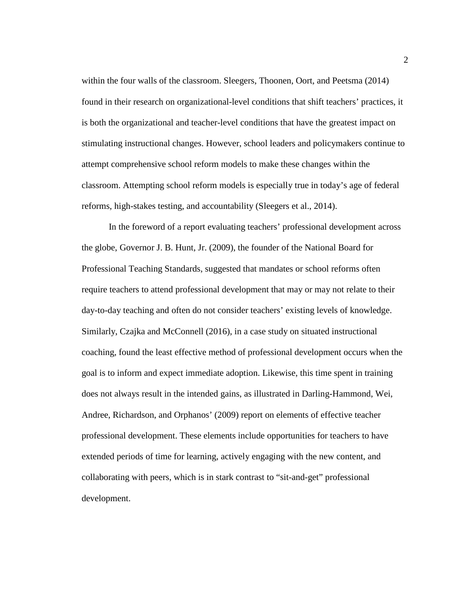within the four walls of the classroom. Sleegers, Thoonen, Oort, and Peetsma (2014) found in their research on organizational-level conditions that shift teachers' practices, it is both the organizational and teacher-level conditions that have the greatest impact on stimulating instructional changes. However, school leaders and policymakers continue to attempt comprehensive school reform models to make these changes within the classroom. Attempting school reform models is especially true in today's age of federal reforms, high-stakes testing, and accountability (Sleegers et al., 2014).

In the foreword of a report evaluating teachers' professional development across the globe, Governor J. B. Hunt, Jr. (2009), the founder of the National Board for Professional Teaching Standards, suggested that mandates or school reforms often require teachers to attend professional development that may or may not relate to their day-to-day teaching and often do not consider teachers' existing levels of knowledge. Similarly, Czajka and McConnell (2016), in a case study on situated instructional coaching, found the least effective method of professional development occurs when the goal is to inform and expect immediate adoption. Likewise, this time spent in training does not always result in the intended gains, as illustrated in Darling-Hammond, Wei, Andree, Richardson, and Orphanos' (2009) report on elements of effective teacher professional development. These elements include opportunities for teachers to have extended periods of time for learning, actively engaging with the new content, and collaborating with peers, which is in stark contrast to "sit-and-get" professional development.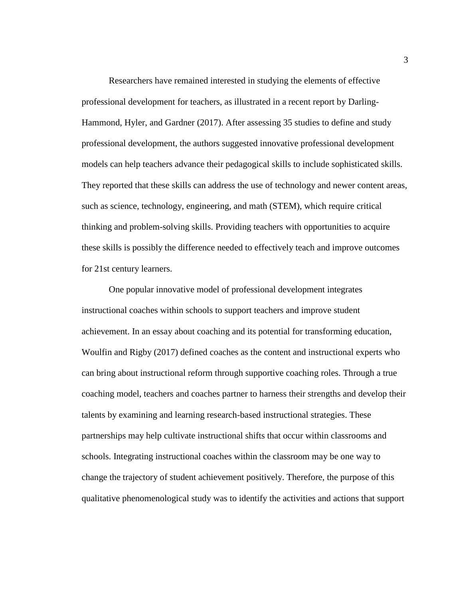Researchers have remained interested in studying the elements of effective professional development for teachers, as illustrated in a recent report by Darling-Hammond, Hyler, and Gardner (2017). After assessing 35 studies to define and study professional development, the authors suggested innovative professional development models can help teachers advance their pedagogical skills to include sophisticated skills. They reported that these skills can address the use of technology and newer content areas, such as science, technology, engineering, and math (STEM), which require critical thinking and problem-solving skills. Providing teachers with opportunities to acquire these skills is possibly the difference needed to effectively teach and improve outcomes for 21st century learners.

One popular innovative model of professional development integrates instructional coaches within schools to support teachers and improve student achievement. In an essay about coaching and its potential for transforming education, Woulfin and Rigby (2017) defined coaches as the content and instructional experts who can bring about instructional reform through supportive coaching roles. Through a true coaching model, teachers and coaches partner to harness their strengths and develop their talents by examining and learning research-based instructional strategies. These partnerships may help cultivate instructional shifts that occur within classrooms and schools. Integrating instructional coaches within the classroom may be one way to change the trajectory of student achievement positively. Therefore, the purpose of this qualitative phenomenological study was to identify the activities and actions that support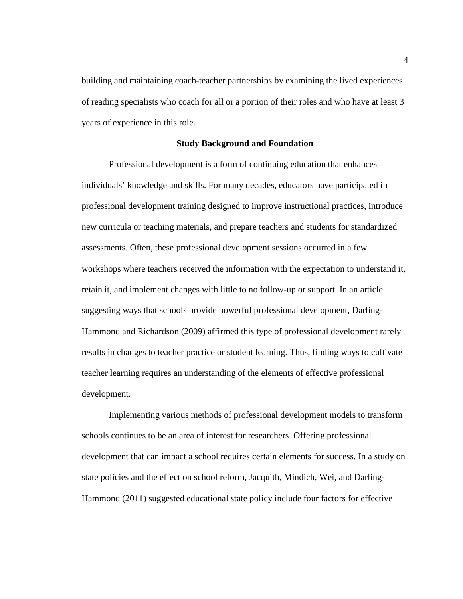building and maintaining coach-teacher partnerships by examining the lived experiences of reading specialists who coach for all or a portion of their roles and who have at least 3 years of experience in this role.

#### **Study Background and Foundation**

<span id="page-12-0"></span>Professional development is a form of continuing education that enhances individuals' knowledge and skills. For many decades, educators have participated in professional development training designed to improve instructional practices, introduce new curricula or teaching materials, and prepare teachers and students for standardized assessments. Often, these professional development sessions occurred in a few workshops where teachers received the information with the expectation to understand it, retain it, and implement changes with little to no follow-up or support. In an article suggesting ways that schools provide powerful professional development, Darling-Hammond and Richardson (2009) affirmed this type of professional development rarely results in changes to teacher practice or student learning. Thus, finding ways to cultivate teacher learning requires an understanding of the elements of effective professional development.

Implementing various methods of professional development models to transform schools continues to be an area of interest for researchers. Offering professional development that can impact a school requires certain elements for success. In a study on state policies and the effect on school reform, Jacquith, Mindich, Wei, and Darling-Hammond (2011) suggested educational state policy include four factors for effective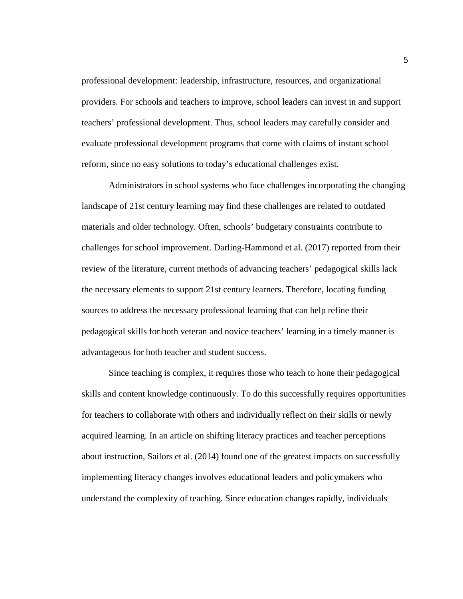professional development: leadership, infrastructure, resources, and organizational providers. For schools and teachers to improve, school leaders can invest in and support teachers' professional development. Thus, school leaders may carefully consider and evaluate professional development programs that come with claims of instant school reform, since no easy solutions to today's educational challenges exist.

Administrators in school systems who face challenges incorporating the changing landscape of 21st century learning may find these challenges are related to outdated materials and older technology. Often, schools' budgetary constraints contribute to challenges for school improvement. Darling-Hammond et al. (2017) reported from their review of the literature, current methods of advancing teachers' pedagogical skills lack the necessary elements to support 21st century learners. Therefore, locating funding sources to address the necessary professional learning that can help refine their pedagogical skills for both veteran and novice teachers' learning in a timely manner is advantageous for both teacher and student success.

Since teaching is complex, it requires those who teach to hone their pedagogical skills and content knowledge continuously. To do this successfully requires opportunities for teachers to collaborate with others and individually reflect on their skills or newly acquired learning. In an article on shifting literacy practices and teacher perceptions about instruction, Sailors et al. (2014) found one of the greatest impacts on successfully implementing literacy changes involves educational leaders and policymakers who understand the complexity of teaching. Since education changes rapidly, individuals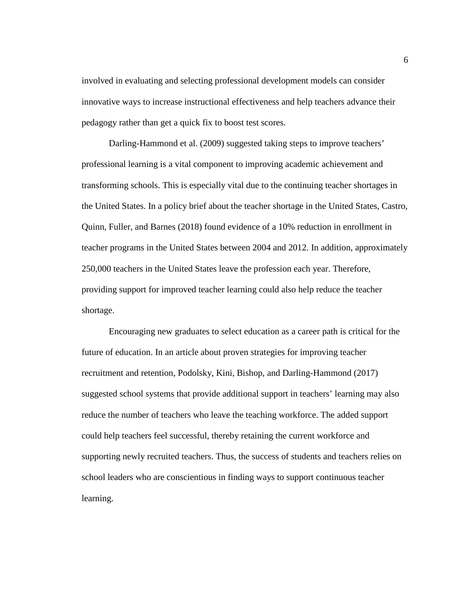involved in evaluating and selecting professional development models can consider innovative ways to increase instructional effectiveness and help teachers advance their pedagogy rather than get a quick fix to boost test scores.

Darling-Hammond et al. (2009) suggested taking steps to improve teachers' professional learning is a vital component to improving academic achievement and transforming schools. This is especially vital due to the continuing teacher shortages in the United States. In a policy brief about the teacher shortage in the United States, Castro, Quinn, Fuller, and Barnes (2018) found evidence of a 10% reduction in enrollment in teacher programs in the United States between 2004 and 2012. In addition, approximately 250,000 teachers in the United States leave the profession each year. Therefore, providing support for improved teacher learning could also help reduce the teacher shortage.

Encouraging new graduates to select education as a career path is critical for the future of education. In an article about proven strategies for improving teacher recruitment and retention, Podolsky, Kini, Bishop, and Darling-Hammond (2017) suggested school systems that provide additional support in teachers' learning may also reduce the number of teachers who leave the teaching workforce. The added support could help teachers feel successful, thereby retaining the current workforce and supporting newly recruited teachers. Thus, the success of students and teachers relies on school leaders who are conscientious in finding ways to support continuous teacher learning.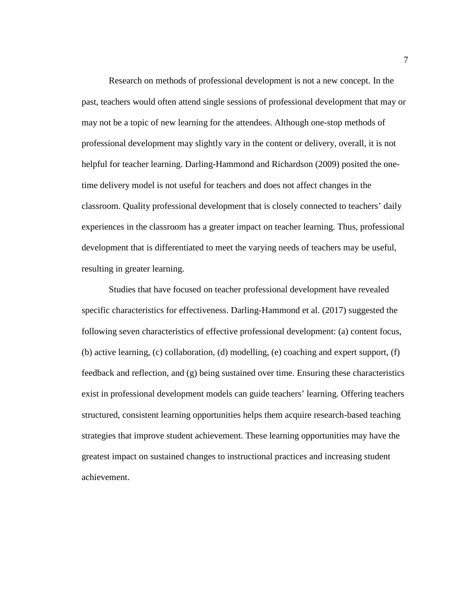Research on methods of professional development is not a new concept. In the past, teachers would often attend single sessions of professional development that may or may not be a topic of new learning for the attendees. Although one-stop methods of professional development may slightly vary in the content or delivery, overall, it is not helpful for teacher learning. Darling-Hammond and Richardson (2009) posited the onetime delivery model is not useful for teachers and does not affect changes in the classroom. Quality professional development that is closely connected to teachers' daily experiences in the classroom has a greater impact on teacher learning. Thus, professional development that is differentiated to meet the varying needs of teachers may be useful, resulting in greater learning.

Studies that have focused on teacher professional development have revealed specific characteristics for effectiveness. Darling-Hammond et al. (2017) suggested the following seven characteristics of effective professional development: (a) content focus, (b) active learning, (c) collaboration, (d) modelling, (e) coaching and expert support, (f) feedback and reflection, and (g) being sustained over time. Ensuring these characteristics exist in professional development models can guide teachers' learning. Offering teachers structured, consistent learning opportunities helps them acquire research-based teaching strategies that improve student achievement. These learning opportunities may have the greatest impact on sustained changes to instructional practices and increasing student achievement.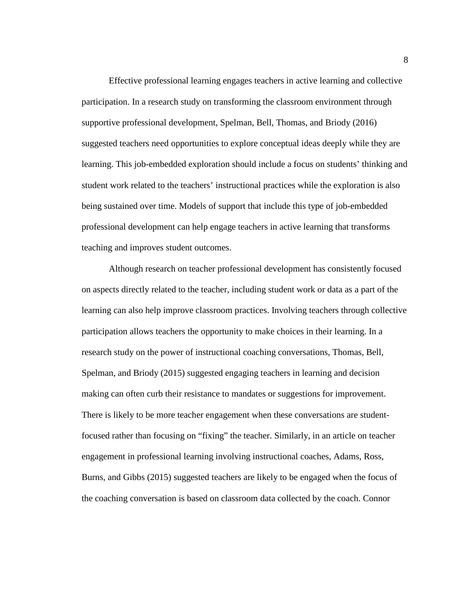Effective professional learning engages teachers in active learning and collective participation. In a research study on transforming the classroom environment through supportive professional development, Spelman, Bell, Thomas, and Briody (2016) suggested teachers need opportunities to explore conceptual ideas deeply while they are learning. This job-embedded exploration should include a focus on students' thinking and student work related to the teachers' instructional practices while the exploration is also being sustained over time. Models of support that include this type of job-embedded professional development can help engage teachers in active learning that transforms teaching and improves student outcomes.

Although research on teacher professional development has consistently focused on aspects directly related to the teacher, including student work or data as a part of the learning can also help improve classroom practices. Involving teachers through collective participation allows teachers the opportunity to make choices in their learning. In a research study on the power of instructional coaching conversations, Thomas, Bell, Spelman, and Briody (2015) suggested engaging teachers in learning and decision making can often curb their resistance to mandates or suggestions for improvement. There is likely to be more teacher engagement when these conversations are studentfocused rather than focusing on "fixing" the teacher. Similarly, in an article on teacher engagement in professional learning involving instructional coaches, Adams, Ross, Burns, and Gibbs (2015) suggested teachers are likely to be engaged when the focus of the coaching conversation is based on classroom data collected by the coach. Connor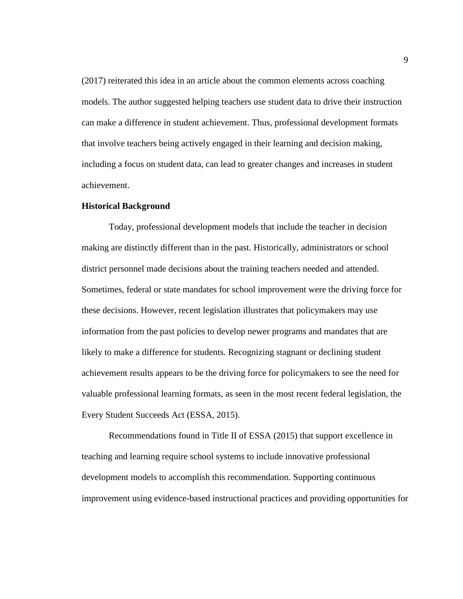(2017) reiterated this idea in an article about the common elements across coaching models. The author suggested helping teachers use student data to drive their instruction can make a difference in student achievement. Thus, professional development formats that involve teachers being actively engaged in their learning and decision making, including a focus on student data, can lead to greater changes and increases in student achievement.

### <span id="page-17-0"></span>**Historical Background**

Today, professional development models that include the teacher in decision making are distinctly different than in the past. Historically, administrators or school district personnel made decisions about the training teachers needed and attended. Sometimes, federal or state mandates for school improvement were the driving force for these decisions. However, recent legislation illustrates that policymakers may use information from the past policies to develop newer programs and mandates that are likely to make a difference for students. Recognizing stagnant or declining student achievement results appears to be the driving force for policymakers to see the need for valuable professional learning formats, as seen in the most recent federal legislation, the Every Student Succeeds Act (ESSA, 2015).

Recommendations found in Title II of ESSA (2015) that support excellence in teaching and learning require school systems to include innovative professional development models to accomplish this recommendation. Supporting continuous improvement using evidence-based instructional practices and providing opportunities for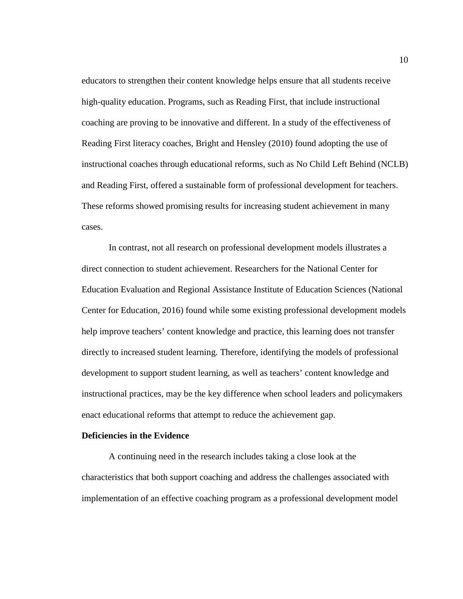educators to strengthen their content knowledge helps ensure that all students receive high-quality education. Programs, such as Reading First, that include instructional coaching are proving to be innovative and different. In a study of the effectiveness of Reading First literacy coaches, Bright and Hensley (2010) found adopting the use of instructional coaches through educational reforms, such as No Child Left Behind (NCLB) and Reading First, offered a sustainable form of professional development for teachers. These reforms showed promising results for increasing student achievement in many cases.

In contrast, not all research on professional development models illustrates a direct connection to student achievement. Researchers for the National Center for Education Evaluation and Regional Assistance Institute of Education Sciences (National Center for Education, 2016) found while some existing professional development models help improve teachers' content knowledge and practice, this learning does not transfer directly to increased student learning. Therefore, identifying the models of professional development to support student learning, as well as teachers' content knowledge and instructional practices, may be the key difference when school leaders and policymakers enact educational reforms that attempt to reduce the achievement gap.

# <span id="page-18-0"></span>**Deficiencies in the Evidence**

A continuing need in the research includes taking a close look at the characteristics that both support coaching and address the challenges associated with implementation of an effective coaching program as a professional development model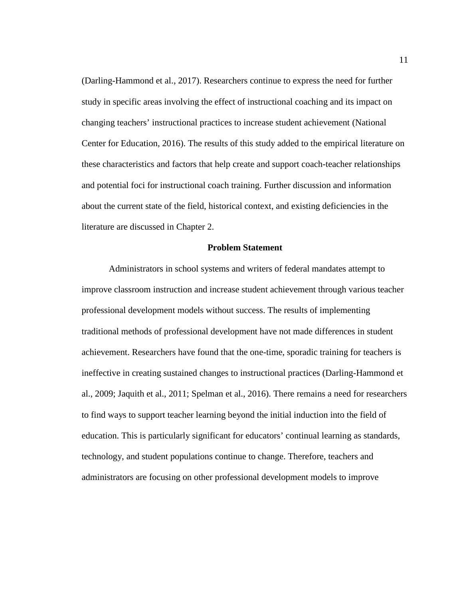(Darling-Hammond et al., 2017). Researchers continue to express the need for further study in specific areas involving the effect of instructional coaching and its impact on changing teachers' instructional practices to increase student achievement (National Center for Education, 2016). The results of this study added to the empirical literature on these characteristics and factors that help create and support coach-teacher relationships and potential foci for instructional coach training. Further discussion and information about the current state of the field, historical context, and existing deficiencies in the literature are discussed in Chapter 2.

# **Problem Statement**

<span id="page-19-0"></span>Administrators in school systems and writers of federal mandates attempt to improve classroom instruction and increase student achievement through various teacher professional development models without success. The results of implementing traditional methods of professional development have not made differences in student achievement. Researchers have found that the one-time, sporadic training for teachers is ineffective in creating sustained changes to instructional practices (Darling-Hammond et al., 2009; Jaquith et al., 2011; Spelman et al., 2016). There remains a need for researchers to find ways to support teacher learning beyond the initial induction into the field of education. This is particularly significant for educators' continual learning as standards, technology, and student populations continue to change. Therefore, teachers and administrators are focusing on other professional development models to improve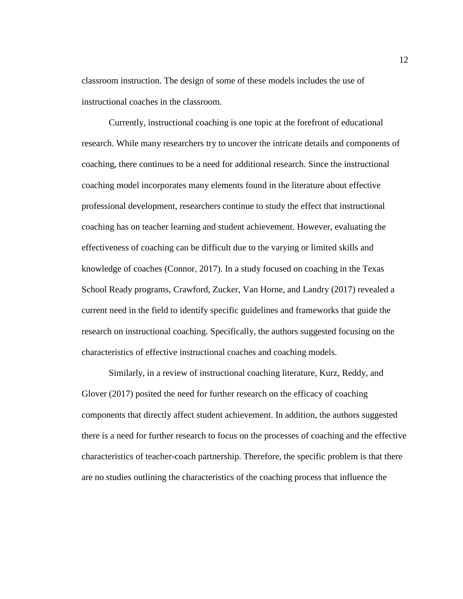classroom instruction. The design of some of these models includes the use of instructional coaches in the classroom.

Currently, instructional coaching is one topic at the forefront of educational research. While many researchers try to uncover the intricate details and components of coaching, there continues to be a need for additional research. Since the instructional coaching model incorporates many elements found in the literature about effective professional development, researchers continue to study the effect that instructional coaching has on teacher learning and student achievement. However, evaluating the effectiveness of coaching can be difficult due to the varying or limited skills and knowledge of coaches (Connor, 2017). In a study focused on coaching in the Texas School Ready programs, Crawford, Zucker, Van Horne, and Landry (2017) revealed a current need in the field to identify specific guidelines and frameworks that guide the research on instructional coaching. Specifically, the authors suggested focusing on the characteristics of effective instructional coaches and coaching models.

Similarly, in a review of instructional coaching literature, Kurz, Reddy, and Glover (2017) posited the need for further research on the efficacy of coaching components that directly affect student achievement. In addition, the authors suggested there is a need for further research to focus on the processes of coaching and the effective characteristics of teacher-coach partnership. Therefore, the specific problem is that there are no studies outlining the characteristics of the coaching process that influence the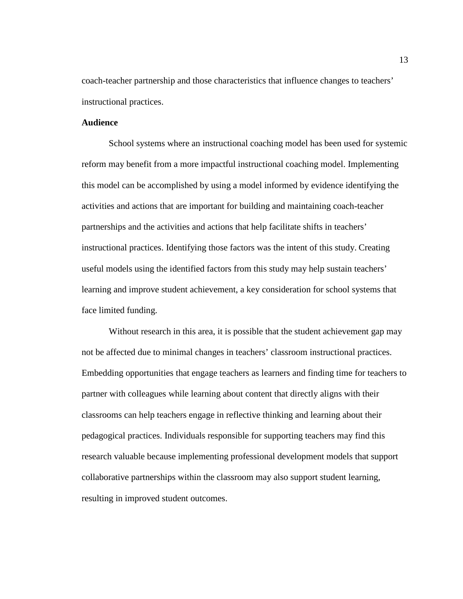coach-teacher partnership and those characteristics that influence changes to teachers' instructional practices.

# <span id="page-21-0"></span>**Audience**

School systems where an instructional coaching model has been used for systemic reform may benefit from a more impactful instructional coaching model. Implementing this model can be accomplished by using a model informed by evidence identifying the activities and actions that are important for building and maintaining coach-teacher partnerships and the activities and actions that help facilitate shifts in teachers' instructional practices. Identifying those factors was the intent of this study. Creating useful models using the identified factors from this study may help sustain teachers' learning and improve student achievement, a key consideration for school systems that face limited funding.

Without research in this area, it is possible that the student achievement gap may not be affected due to minimal changes in teachers' classroom instructional practices. Embedding opportunities that engage teachers as learners and finding time for teachers to partner with colleagues while learning about content that directly aligns with their classrooms can help teachers engage in reflective thinking and learning about their pedagogical practices. Individuals responsible for supporting teachers may find this research valuable because implementing professional development models that support collaborative partnerships within the classroom may also support student learning, resulting in improved student outcomes.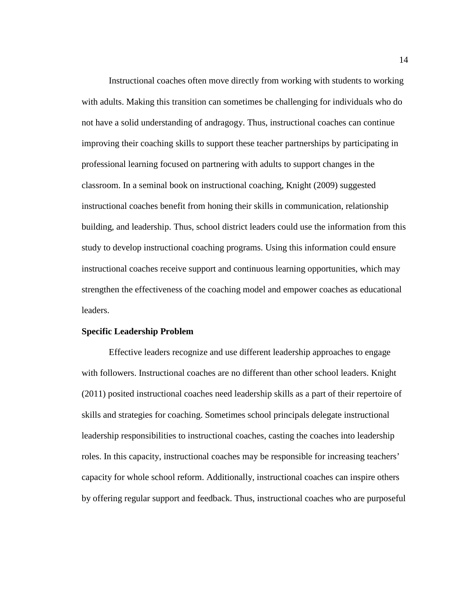Instructional coaches often move directly from working with students to working with adults. Making this transition can sometimes be challenging for individuals who do not have a solid understanding of andragogy. Thus, instructional coaches can continue improving their coaching skills to support these teacher partnerships by participating in professional learning focused on partnering with adults to support changes in the classroom. In a seminal book on instructional coaching, Knight (2009) suggested instructional coaches benefit from honing their skills in communication, relationship building, and leadership. Thus, school district leaders could use the information from this study to develop instructional coaching programs. Using this information could ensure instructional coaches receive support and continuous learning opportunities, which may strengthen the effectiveness of the coaching model and empower coaches as educational leaders.

#### <span id="page-22-0"></span>**Specific Leadership Problem**

Effective leaders recognize and use different leadership approaches to engage with followers. Instructional coaches are no different than other school leaders. Knight (2011) posited instructional coaches need leadership skills as a part of their repertoire of skills and strategies for coaching. Sometimes school principals delegate instructional leadership responsibilities to instructional coaches, casting the coaches into leadership roles. In this capacity, instructional coaches may be responsible for increasing teachers' capacity for whole school reform. Additionally, instructional coaches can inspire others by offering regular support and feedback. Thus, instructional coaches who are purposeful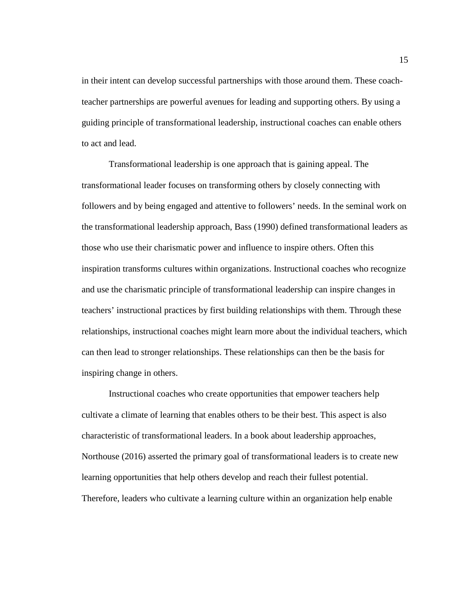in their intent can develop successful partnerships with those around them. These coachteacher partnerships are powerful avenues for leading and supporting others. By using a guiding principle of transformational leadership, instructional coaches can enable others to act and lead.

Transformational leadership is one approach that is gaining appeal. The transformational leader focuses on transforming others by closely connecting with followers and by being engaged and attentive to followers' needs. In the seminal work on the transformational leadership approach, Bass (1990) defined transformational leaders as those who use their charismatic power and influence to inspire others. Often this inspiration transforms cultures within organizations. Instructional coaches who recognize and use the charismatic principle of transformational leadership can inspire changes in teachers' instructional practices by first building relationships with them. Through these relationships, instructional coaches might learn more about the individual teachers, which can then lead to stronger relationships. These relationships can then be the basis for inspiring change in others.

Instructional coaches who create opportunities that empower teachers help cultivate a climate of learning that enables others to be their best. This aspect is also characteristic of transformational leaders. In a book about leadership approaches, Northouse (2016) asserted the primary goal of transformational leaders is to create new learning opportunities that help others develop and reach their fullest potential. Therefore, leaders who cultivate a learning culture within an organization help enable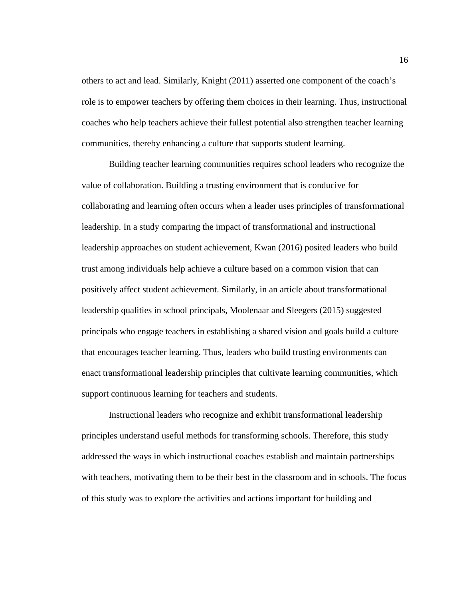others to act and lead. Similarly, Knight (2011) asserted one component of the coach's role is to empower teachers by offering them choices in their learning. Thus, instructional coaches who help teachers achieve their fullest potential also strengthen teacher learning communities, thereby enhancing a culture that supports student learning.

Building teacher learning communities requires school leaders who recognize the value of collaboration. Building a trusting environment that is conducive for collaborating and learning often occurs when a leader uses principles of transformational leadership. In a study comparing the impact of transformational and instructional leadership approaches on student achievement, Kwan (2016) posited leaders who build trust among individuals help achieve a culture based on a common vision that can positively affect student achievement. Similarly, in an article about transformational leadership qualities in school principals, Moolenaar and Sleegers (2015) suggested principals who engage teachers in establishing a shared vision and goals build a culture that encourages teacher learning. Thus, leaders who build trusting environments can enact transformational leadership principles that cultivate learning communities, which support continuous learning for teachers and students.

Instructional leaders who recognize and exhibit transformational leadership principles understand useful methods for transforming schools. Therefore, this study addressed the ways in which instructional coaches establish and maintain partnerships with teachers, motivating them to be their best in the classroom and in schools. The focus of this study was to explore the activities and actions important for building and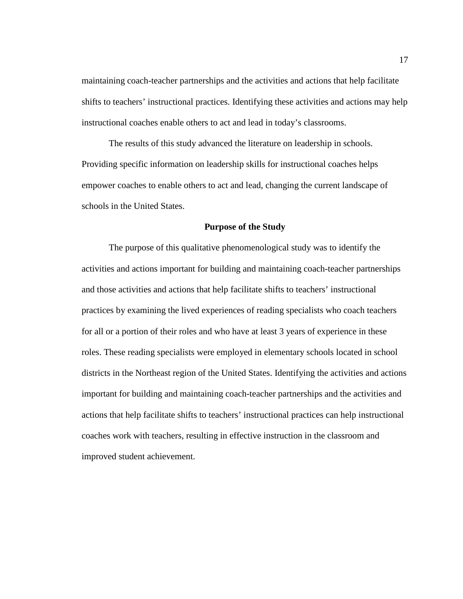maintaining coach-teacher partnerships and the activities and actions that help facilitate shifts to teachers' instructional practices. Identifying these activities and actions may help instructional coaches enable others to act and lead in today's classrooms.

The results of this study advanced the literature on leadership in schools. Providing specific information on leadership skills for instructional coaches helps empower coaches to enable others to act and lead, changing the current landscape of schools in the United States.

#### **Purpose of the Study**

<span id="page-25-0"></span>The purpose of this qualitative phenomenological study was to identify the activities and actions important for building and maintaining coach-teacher partnerships and those activities and actions that help facilitate shifts to teachers' instructional practices by examining the lived experiences of reading specialists who coach teachers for all or a portion of their roles and who have at least 3 years of experience in these roles. These reading specialists were employed in elementary schools located in school districts in the Northeast region of the United States. Identifying the activities and actions important for building and maintaining coach-teacher partnerships and the activities and actions that help facilitate shifts to teachers' instructional practices can help instructional coaches work with teachers, resulting in effective instruction in the classroom and improved student achievement.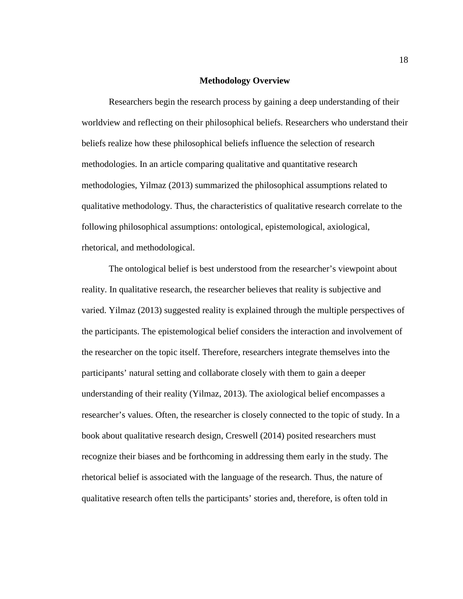#### **Methodology Overview**

<span id="page-26-0"></span>Researchers begin the research process by gaining a deep understanding of their worldview and reflecting on their philosophical beliefs. Researchers who understand their beliefs realize how these philosophical beliefs influence the selection of research methodologies. In an article comparing qualitative and quantitative research methodologies, Yilmaz (2013) summarized the philosophical assumptions related to qualitative methodology. Thus, the characteristics of qualitative research correlate to the following philosophical assumptions: ontological, epistemological, axiological, rhetorical, and methodological.

The ontological belief is best understood from the researcher's viewpoint about reality. In qualitative research, the researcher believes that reality is subjective and varied. Yilmaz (2013) suggested reality is explained through the multiple perspectives of the participants. The epistemological belief considers the interaction and involvement of the researcher on the topic itself. Therefore, researchers integrate themselves into the participants' natural setting and collaborate closely with them to gain a deeper understanding of their reality (Yilmaz, 2013). The axiological belief encompasses a researcher's values. Often, the researcher is closely connected to the topic of study. In a book about qualitative research design, Creswell (2014) posited researchers must recognize their biases and be forthcoming in addressing them early in the study. The rhetorical belief is associated with the language of the research. Thus, the nature of qualitative research often tells the participants' stories and, therefore, is often told in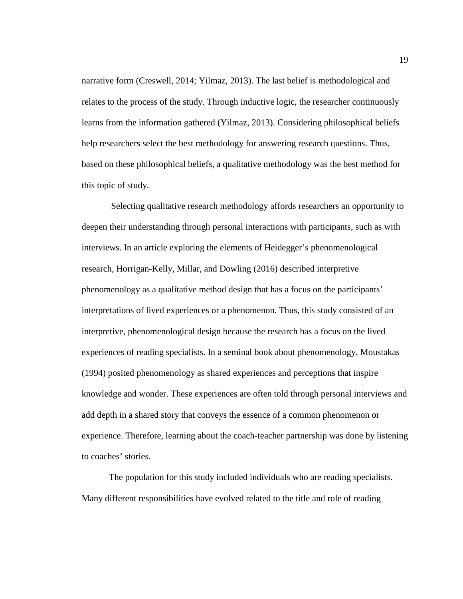narrative form (Creswell, 2014; Yilmaz, 2013). The last belief is methodological and relates to the process of the study. Through inductive logic, the researcher continuously learns from the information gathered (Yilmaz, 2013). Considering philosophical beliefs help researchers select the best methodology for answering research questions. Thus, based on these philosophical beliefs, a qualitative methodology was the best method for this topic of study.

Selecting qualitative research methodology affords researchers an opportunity to deepen their understanding through personal interactions with participants, such as with interviews. In an article exploring the elements of Heidegger's phenomenological research, Horrigan-Kelly, Millar, and Dowling (2016) described interpretive phenomenology as a qualitative method design that has a focus on the participants' interpretations of lived experiences or a phenomenon. Thus, this study consisted of an interpretive, phenomenological design because the research has a focus on the lived experiences of reading specialists. In a seminal book about phenomenology, Moustakas (1994) posited phenomenology as shared experiences and perceptions that inspire knowledge and wonder. These experiences are often told through personal interviews and add depth in a shared story that conveys the essence of a common phenomenon or experience. Therefore, learning about the coach-teacher partnership was done by listening to coaches' stories.

The population for this study included individuals who are reading specialists. Many different responsibilities have evolved related to the title and role of reading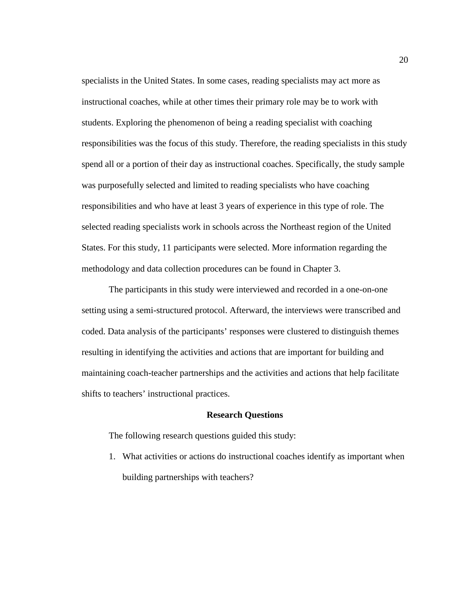specialists in the United States. In some cases, reading specialists may act more as instructional coaches, while at other times their primary role may be to work with students. Exploring the phenomenon of being a reading specialist with coaching responsibilities was the focus of this study. Therefore, the reading specialists in this study spend all or a portion of their day as instructional coaches. Specifically, the study sample was purposefully selected and limited to reading specialists who have coaching responsibilities and who have at least 3 years of experience in this type of role. The selected reading specialists work in schools across the Northeast region of the United States. For this study, 11 participants were selected. More information regarding the methodology and data collection procedures can be found in Chapter 3.

The participants in this study were interviewed and recorded in a one-on-one setting using a semi-structured protocol. Afterward, the interviews were transcribed and coded. Data analysis of the participants' responses were clustered to distinguish themes resulting in identifying the activities and actions that are important for building and maintaining coach-teacher partnerships and the activities and actions that help facilitate shifts to teachers' instructional practices.

#### **Research Questions**

<span id="page-28-0"></span>The following research questions guided this study:

1. What activities or actions do instructional coaches identify as important when building partnerships with teachers?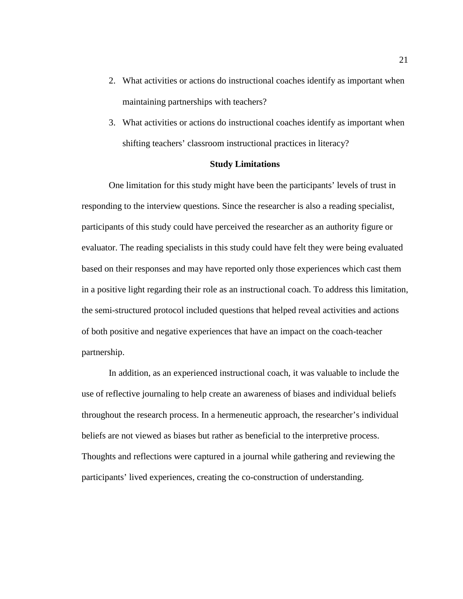- 2. What activities or actions do instructional coaches identify as important when maintaining partnerships with teachers?
- 3. What activities or actions do instructional coaches identify as important when shifting teachers' classroom instructional practices in literacy?

# **Study Limitations**

<span id="page-29-0"></span>One limitation for this study might have been the participants' levels of trust in responding to the interview questions. Since the researcher is also a reading specialist, participants of this study could have perceived the researcher as an authority figure or evaluator. The reading specialists in this study could have felt they were being evaluated based on their responses and may have reported only those experiences which cast them in a positive light regarding their role as an instructional coach. To address this limitation, the semi-structured protocol included questions that helped reveal activities and actions of both positive and negative experiences that have an impact on the coach-teacher partnership.

In addition, as an experienced instructional coach, it was valuable to include the use of reflective journaling to help create an awareness of biases and individual beliefs throughout the research process. In a hermeneutic approach, the researcher's individual beliefs are not viewed as biases but rather as beneficial to the interpretive process. Thoughts and reflections were captured in a journal while gathering and reviewing the participants' lived experiences, creating the co-construction of understanding.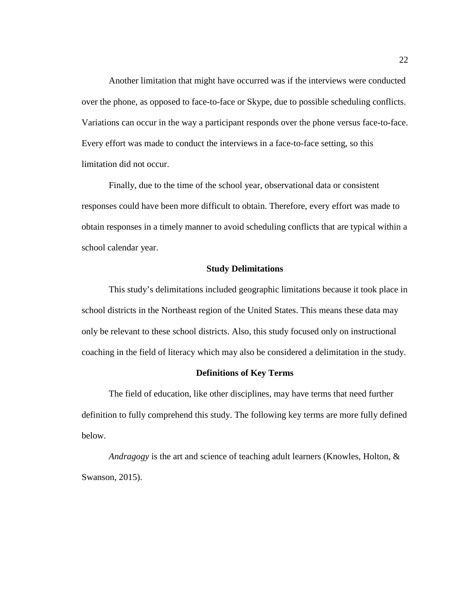Another limitation that might have occurred was if the interviews were conducted over the phone, as opposed to face-to-face or Skype, due to possible scheduling conflicts. Variations can occur in the way a participant responds over the phone versus face-to-face. Every effort was made to conduct the interviews in a face-to-face setting, so this limitation did not occur.

Finally, due to the time of the school year, observational data or consistent responses could have been more difficult to obtain. Therefore, every effort was made to obtain responses in a timely manner to avoid scheduling conflicts that are typical within a school calendar year.

### **Study Delimitations**

<span id="page-30-0"></span>This study's delimitations included geographic limitations because it took place in school districts in the Northeast region of the United States. This means these data may only be relevant to these school districts. Also, this study focused only on instructional coaching in the field of literacy which may also be considered a delimitation in the study.

# **Definitions of Key Terms**

<span id="page-30-1"></span>The field of education, like other disciplines, may have terms that need further definition to fully comprehend this study. The following key terms are more fully defined below.

*Andragogy* is the art and science of teaching adult learners (Knowles, Holton, & Swanson, 2015).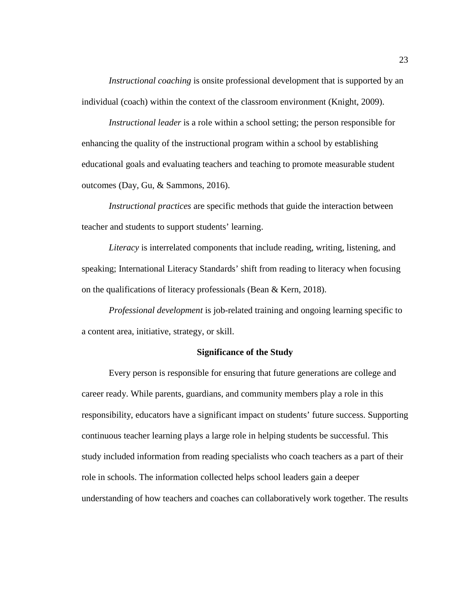*Instructional coaching* is onsite professional development that is supported by an individual (coach) within the context of the classroom environment (Knight, 2009).

*Instructional leader* is a role within a school setting; the person responsible for enhancing the quality of the instructional program within a school by establishing educational goals and evaluating teachers and teaching to promote measurable student outcomes (Day, Gu, & Sammons, 2016).

*Instructional practices* are specific methods that guide the interaction between teacher and students to support students' learning.

*Literacy* is interrelated components that include reading, writing, listening, and speaking; International Literacy Standards' shift from reading to literacy when focusing on the qualifications of literacy professionals (Bean & Kern, 2018).

*Professional development* is job-related training and ongoing learning specific to a content area, initiative, strategy, or skill.

# **Significance of the Study**

<span id="page-31-0"></span>Every person is responsible for ensuring that future generations are college and career ready. While parents, guardians, and community members play a role in this responsibility, educators have a significant impact on students' future success. Supporting continuous teacher learning plays a large role in helping students be successful. This study included information from reading specialists who coach teachers as a part of their role in schools. The information collected helps school leaders gain a deeper understanding of how teachers and coaches can collaboratively work together. The results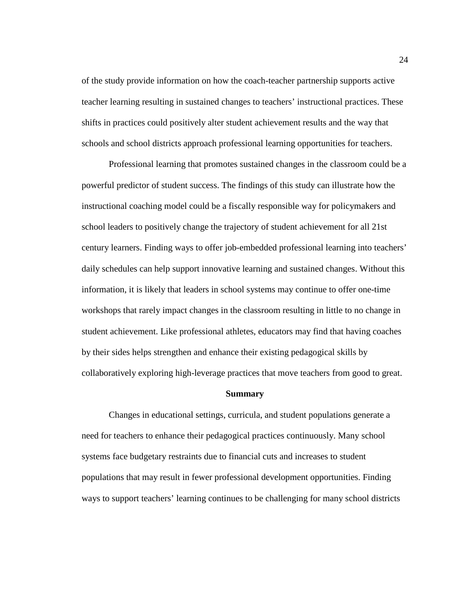of the study provide information on how the coach-teacher partnership supports active teacher learning resulting in sustained changes to teachers' instructional practices. These shifts in practices could positively alter student achievement results and the way that schools and school districts approach professional learning opportunities for teachers.

Professional learning that promotes sustained changes in the classroom could be a powerful predictor of student success. The findings of this study can illustrate how the instructional coaching model could be a fiscally responsible way for policymakers and school leaders to positively change the trajectory of student achievement for all 21st century learners. Finding ways to offer job-embedded professional learning into teachers' daily schedules can help support innovative learning and sustained changes. Without this information, it is likely that leaders in school systems may continue to offer one-time workshops that rarely impact changes in the classroom resulting in little to no change in student achievement. Like professional athletes, educators may find that having coaches by their sides helps strengthen and enhance their existing pedagogical skills by collaboratively exploring high-leverage practices that move teachers from good to great.

#### **Summary**

<span id="page-32-0"></span>Changes in educational settings, curricula, and student populations generate a need for teachers to enhance their pedagogical practices continuously. Many school systems face budgetary restraints due to financial cuts and increases to student populations that may result in fewer professional development opportunities. Finding ways to support teachers' learning continues to be challenging for many school districts

24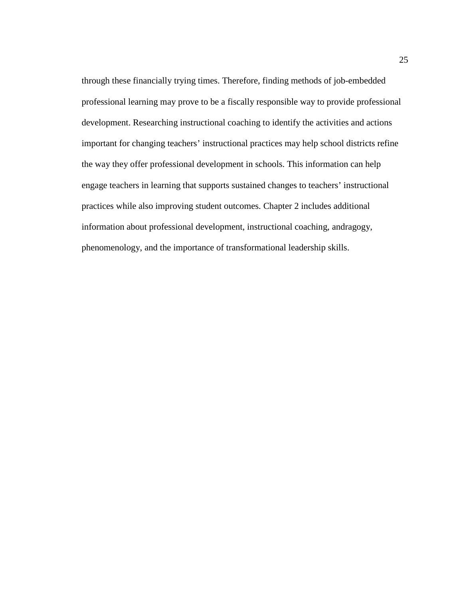through these financially trying times. Therefore, finding methods of job-embedded professional learning may prove to be a fiscally responsible way to provide professional development. Researching instructional coaching to identify the activities and actions important for changing teachers' instructional practices may help school districts refine the way they offer professional development in schools. This information can help engage teachers in learning that supports sustained changes to teachers' instructional practices while also improving student outcomes. Chapter 2 includes additional information about professional development, instructional coaching, andragogy, phenomenology, and the importance of transformational leadership skills.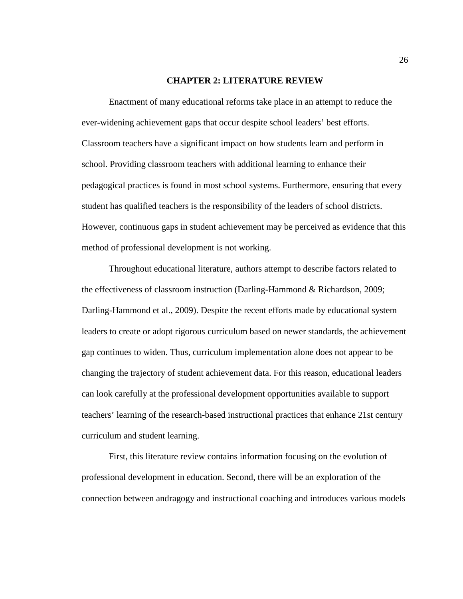#### **CHAPTER 2: LITERATURE REVIEW**

<span id="page-34-0"></span>Enactment of many educational reforms take place in an attempt to reduce the ever-widening achievement gaps that occur despite school leaders' best efforts. Classroom teachers have a significant impact on how students learn and perform in school. Providing classroom teachers with additional learning to enhance their pedagogical practices is found in most school systems. Furthermore, ensuring that every student has qualified teachers is the responsibility of the leaders of school districts. However, continuous gaps in student achievement may be perceived as evidence that this method of professional development is not working.

Throughout educational literature, authors attempt to describe factors related to the effectiveness of classroom instruction (Darling-Hammond & Richardson, 2009; Darling-Hammond et al., 2009). Despite the recent efforts made by educational system leaders to create or adopt rigorous curriculum based on newer standards, the achievement gap continues to widen. Thus, curriculum implementation alone does not appear to be changing the trajectory of student achievement data. For this reason, educational leaders can look carefully at the professional development opportunities available to support teachers' learning of the research-based instructional practices that enhance 21st century curriculum and student learning.

First, this literature review contains information focusing on the evolution of professional development in education. Second, there will be an exploration of the connection between andragogy and instructional coaching and introduces various models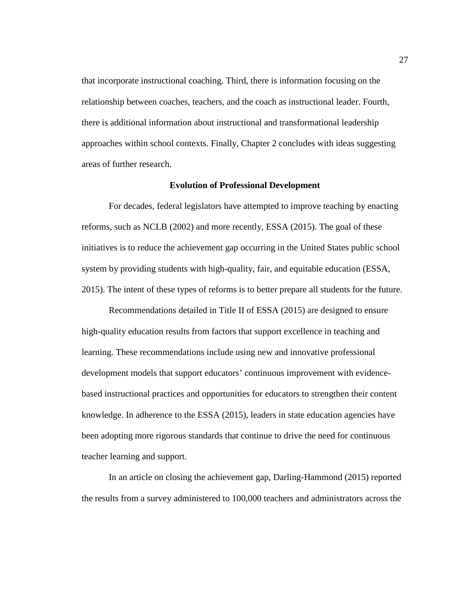that incorporate instructional coaching. Third, there is information focusing on the relationship between coaches, teachers, and the coach as instructional leader. Fourth, there is additional information about instructional and transformational leadership approaches within school contexts. Finally, Chapter 2 concludes with ideas suggesting areas of further research.

#### **Evolution of Professional Development**

<span id="page-35-0"></span>For decades, federal legislators have attempted to improve teaching by enacting reforms, such as NCLB (2002) and more recently, ESSA (2015). The goal of these initiatives is to reduce the achievement gap occurring in the United States public school system by providing students with high-quality, fair, and equitable education (ESSA, 2015). The intent of these types of reforms is to better prepare all students for the future.

Recommendations detailed in Title II of ESSA (2015) are designed to ensure high-quality education results from factors that support excellence in teaching and learning. These recommendations include using new and innovative professional development models that support educators' continuous improvement with evidencebased instructional practices and opportunities for educators to strengthen their content knowledge. In adherence to the ESSA (2015), leaders in state education agencies have been adopting more rigorous standards that continue to drive the need for continuous teacher learning and support.

In an article on closing the achievement gap, Darling-Hammond (2015) reported the results from a survey administered to 100,000 teachers and administrators across the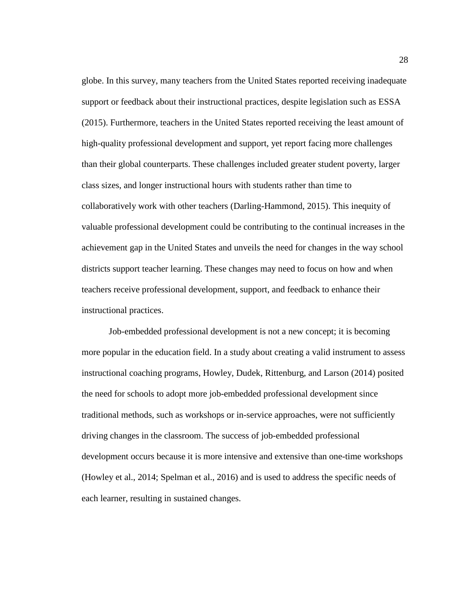globe. In this survey, many teachers from the United States reported receiving inadequate support or feedback about their instructional practices, despite legislation such as ESSA (2015). Furthermore, teachers in the United States reported receiving the least amount of high-quality professional development and support, yet report facing more challenges than their global counterparts. These challenges included greater student poverty, larger class sizes, and longer instructional hours with students rather than time to collaboratively work with other teachers (Darling-Hammond, 2015). This inequity of valuable professional development could be contributing to the continual increases in the achievement gap in the United States and unveils the need for changes in the way school districts support teacher learning. These changes may need to focus on how and when teachers receive professional development, support, and feedback to enhance their instructional practices.

Job-embedded professional development is not a new concept; it is becoming more popular in the education field. In a study about creating a valid instrument to assess instructional coaching programs, Howley, Dudek, Rittenburg, and Larson (2014) posited the need for schools to adopt more job-embedded professional development since traditional methods, such as workshops or in-service approaches, were not sufficiently driving changes in the classroom. The success of job-embedded professional development occurs because it is more intensive and extensive than one-time workshops (Howley et al., 2014; Spelman et al., 2016) and is used to address the specific needs of each learner, resulting in sustained changes.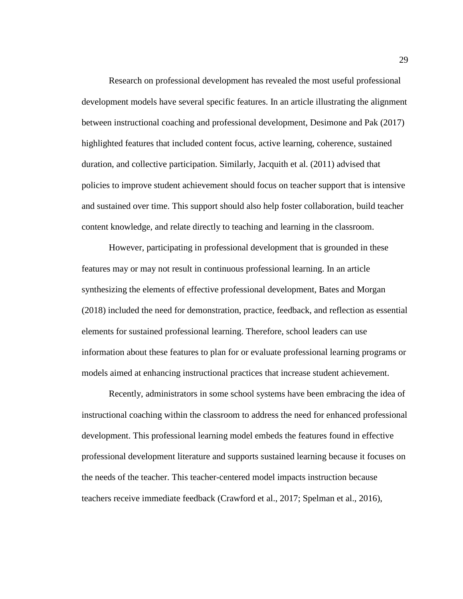Research on professional development has revealed the most useful professional development models have several specific features. In an article illustrating the alignment between instructional coaching and professional development, Desimone and Pak (2017) highlighted features that included content focus, active learning, coherence, sustained duration, and collective participation. Similarly, Jacquith et al. (2011) advised that policies to improve student achievement should focus on teacher support that is intensive and sustained over time. This support should also help foster collaboration, build teacher content knowledge, and relate directly to teaching and learning in the classroom.

However, participating in professional development that is grounded in these features may or may not result in continuous professional learning. In an article synthesizing the elements of effective professional development, Bates and Morgan (2018) included the need for demonstration, practice, feedback, and reflection as essential elements for sustained professional learning. Therefore, school leaders can use information about these features to plan for or evaluate professional learning programs or models aimed at enhancing instructional practices that increase student achievement.

Recently, administrators in some school systems have been embracing the idea of instructional coaching within the classroom to address the need for enhanced professional development. This professional learning model embeds the features found in effective professional development literature and supports sustained learning because it focuses on the needs of the teacher. This teacher-centered model impacts instruction because teachers receive immediate feedback (Crawford et al., 2017; Spelman et al., 2016),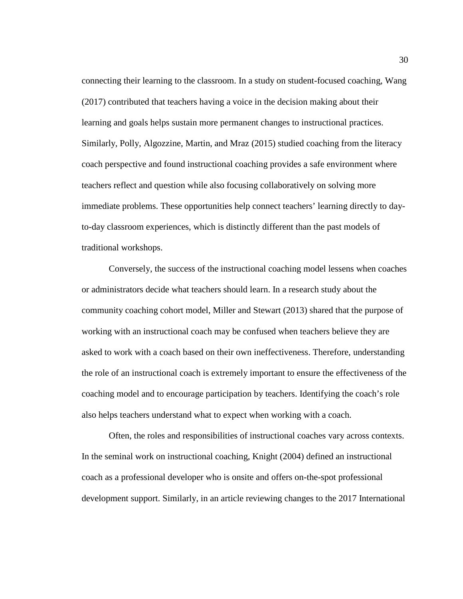connecting their learning to the classroom. In a study on student-focused coaching, Wang (2017) contributed that teachers having a voice in the decision making about their learning and goals helps sustain more permanent changes to instructional practices. Similarly, Polly, Algozzine, Martin, and Mraz (2015) studied coaching from the literacy coach perspective and found instructional coaching provides a safe environment where teachers reflect and question while also focusing collaboratively on solving more immediate problems. These opportunities help connect teachers' learning directly to dayto-day classroom experiences, which is distinctly different than the past models of traditional workshops.

Conversely, the success of the instructional coaching model lessens when coaches or administrators decide what teachers should learn. In a research study about the community coaching cohort model, Miller and Stewart (2013) shared that the purpose of working with an instructional coach may be confused when teachers believe they are asked to work with a coach based on their own ineffectiveness. Therefore, understanding the role of an instructional coach is extremely important to ensure the effectiveness of the coaching model and to encourage participation by teachers. Identifying the coach's role also helps teachers understand what to expect when working with a coach.

Often, the roles and responsibilities of instructional coaches vary across contexts. In the seminal work on instructional coaching, Knight (2004) defined an instructional coach as a professional developer who is onsite and offers on-the-spot professional development support. Similarly, in an article reviewing changes to the 2017 International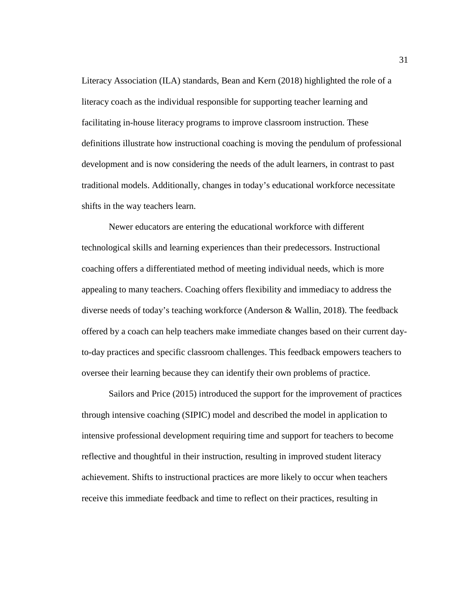Literacy Association (ILA) standards, Bean and Kern (2018) highlighted the role of a literacy coach as the individual responsible for supporting teacher learning and facilitating in-house literacy programs to improve classroom instruction. These definitions illustrate how instructional coaching is moving the pendulum of professional development and is now considering the needs of the adult learners, in contrast to past traditional models. Additionally, changes in today's educational workforce necessitate shifts in the way teachers learn.

Newer educators are entering the educational workforce with different technological skills and learning experiences than their predecessors. Instructional coaching offers a differentiated method of meeting individual needs, which is more appealing to many teachers. Coaching offers flexibility and immediacy to address the diverse needs of today's teaching workforce (Anderson & Wallin, 2018). The feedback offered by a coach can help teachers make immediate changes based on their current dayto-day practices and specific classroom challenges. This feedback empowers teachers to oversee their learning because they can identify their own problems of practice.

Sailors and Price (2015) introduced the support for the improvement of practices through intensive coaching (SIPIC) model and described the model in application to intensive professional development requiring time and support for teachers to become reflective and thoughtful in their instruction, resulting in improved student literacy achievement. Shifts to instructional practices are more likely to occur when teachers receive this immediate feedback and time to reflect on their practices, resulting in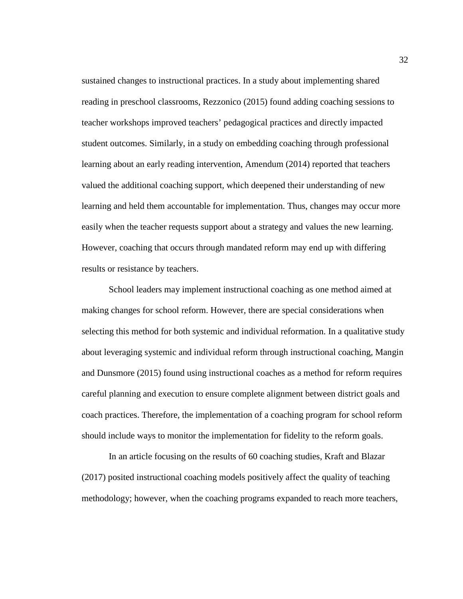sustained changes to instructional practices. In a study about implementing shared reading in preschool classrooms, Rezzonico (2015) found adding coaching sessions to teacher workshops improved teachers' pedagogical practices and directly impacted student outcomes. Similarly, in a study on embedding coaching through professional learning about an early reading intervention, Amendum (2014) reported that teachers valued the additional coaching support, which deepened their understanding of new learning and held them accountable for implementation. Thus, changes may occur more easily when the teacher requests support about a strategy and values the new learning. However, coaching that occurs through mandated reform may end up with differing results or resistance by teachers.

School leaders may implement instructional coaching as one method aimed at making changes for school reform. However, there are special considerations when selecting this method for both systemic and individual reformation. In a qualitative study about leveraging systemic and individual reform through instructional coaching, Mangin and Dunsmore (2015) found using instructional coaches as a method for reform requires careful planning and execution to ensure complete alignment between district goals and coach practices. Therefore, the implementation of a coaching program for school reform should include ways to monitor the implementation for fidelity to the reform goals.

In an article focusing on the results of 60 coaching studies, Kraft and Blazar (2017) posited instructional coaching models positively affect the quality of teaching methodology; however, when the coaching programs expanded to reach more teachers,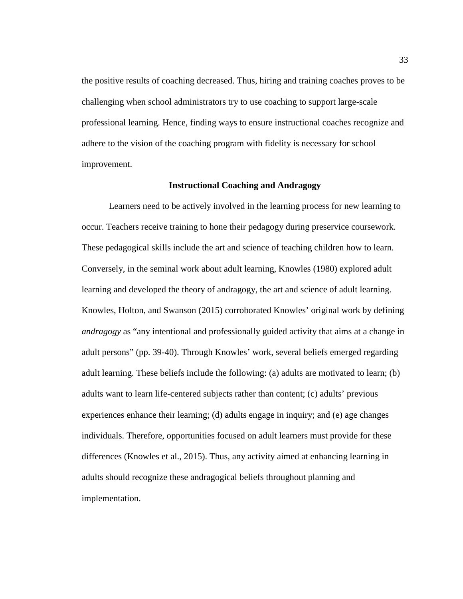the positive results of coaching decreased. Thus, hiring and training coaches proves to be challenging when school administrators try to use coaching to support large-scale professional learning. Hence, finding ways to ensure instructional coaches recognize and adhere to the vision of the coaching program with fidelity is necessary for school improvement.

## **Instructional Coaching and Andragogy**

Learners need to be actively involved in the learning process for new learning to occur. Teachers receive training to hone their pedagogy during preservice coursework. These pedagogical skills include the art and science of teaching children how to learn. Conversely, in the seminal work about adult learning, Knowles (1980) explored adult learning and developed the theory of andragogy, the art and science of adult learning. Knowles, Holton, and Swanson (2015) corroborated Knowles' original work by defining *andragogy* as "any intentional and professionally guided activity that aims at a change in adult persons" (pp. 39-40). Through Knowles' work, several beliefs emerged regarding adult learning. These beliefs include the following: (a) adults are motivated to learn; (b) adults want to learn life-centered subjects rather than content; (c) adults' previous experiences enhance their learning; (d) adults engage in inquiry; and (e) age changes individuals. Therefore, opportunities focused on adult learners must provide for these differences (Knowles et al., 2015). Thus, any activity aimed at enhancing learning in adults should recognize these andragogical beliefs throughout planning and implementation.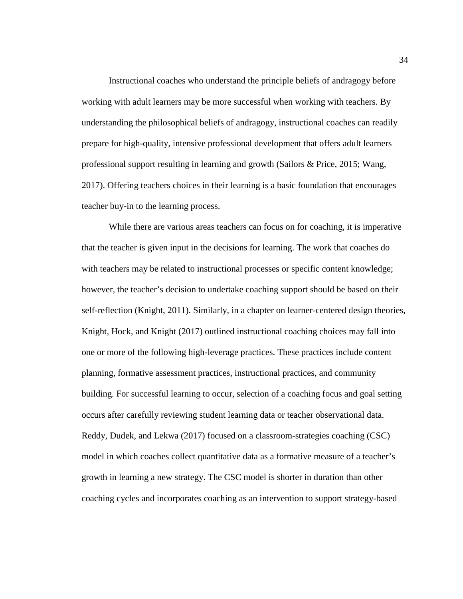Instructional coaches who understand the principle beliefs of andragogy before working with adult learners may be more successful when working with teachers. By understanding the philosophical beliefs of andragogy, instructional coaches can readily prepare for high-quality, intensive professional development that offers adult learners professional support resulting in learning and growth (Sailors & Price, 2015; Wang, 2017). Offering teachers choices in their learning is a basic foundation that encourages teacher buy-in to the learning process.

While there are various areas teachers can focus on for coaching, it is imperative that the teacher is given input in the decisions for learning. The work that coaches do with teachers may be related to instructional processes or specific content knowledge; however, the teacher's decision to undertake coaching support should be based on their self-reflection (Knight, 2011). Similarly, in a chapter on learner-centered design theories, Knight, Hock, and Knight (2017) outlined instructional coaching choices may fall into one or more of the following high-leverage practices. These practices include content planning, formative assessment practices, instructional practices, and community building. For successful learning to occur, selection of a coaching focus and goal setting occurs after carefully reviewing student learning data or teacher observational data. Reddy, Dudek, and Lekwa (2017) focused on a classroom-strategies coaching (CSC) model in which coaches collect quantitative data as a formative measure of a teacher's growth in learning a new strategy. The CSC model is shorter in duration than other coaching cycles and incorporates coaching as an intervention to support strategy-based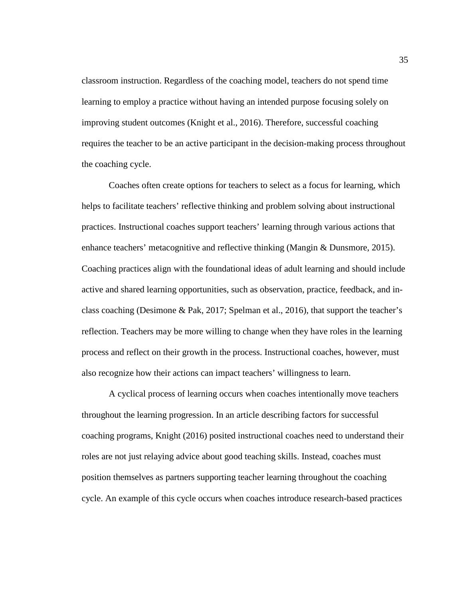classroom instruction. Regardless of the coaching model, teachers do not spend time learning to employ a practice without having an intended purpose focusing solely on improving student outcomes (Knight et al., 2016). Therefore, successful coaching requires the teacher to be an active participant in the decision-making process throughout the coaching cycle.

Coaches often create options for teachers to select as a focus for learning, which helps to facilitate teachers' reflective thinking and problem solving about instructional practices. Instructional coaches support teachers' learning through various actions that enhance teachers' metacognitive and reflective thinking (Mangin & Dunsmore, 2015). Coaching practices align with the foundational ideas of adult learning and should include active and shared learning opportunities, such as observation, practice, feedback, and inclass coaching (Desimone & Pak, 2017; Spelman et al., 2016), that support the teacher's reflection. Teachers may be more willing to change when they have roles in the learning process and reflect on their growth in the process. Instructional coaches, however, must also recognize how their actions can impact teachers' willingness to learn.

A cyclical process of learning occurs when coaches intentionally move teachers throughout the learning progression. In an article describing factors for successful coaching programs, Knight (2016) posited instructional coaches need to understand their roles are not just relaying advice about good teaching skills. Instead, coaches must position themselves as partners supporting teacher learning throughout the coaching cycle. An example of this cycle occurs when coaches introduce research-based practices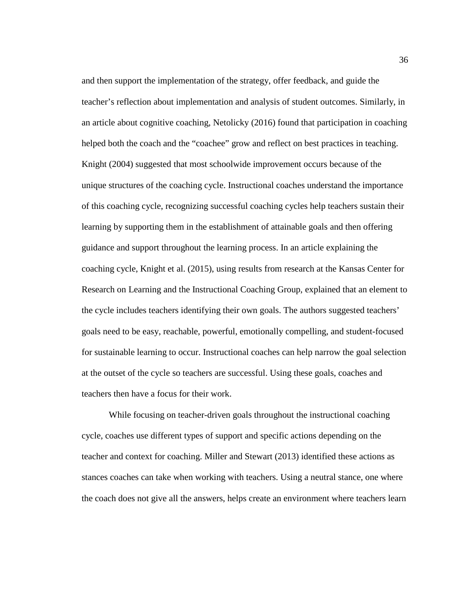and then support the implementation of the strategy, offer feedback, and guide the teacher's reflection about implementation and analysis of student outcomes. Similarly, in an article about cognitive coaching, Netolicky (2016) found that participation in coaching helped both the coach and the "coachee" grow and reflect on best practices in teaching. Knight (2004) suggested that most schoolwide improvement occurs because of the unique structures of the coaching cycle. Instructional coaches understand the importance of this coaching cycle, recognizing successful coaching cycles help teachers sustain their learning by supporting them in the establishment of attainable goals and then offering guidance and support throughout the learning process. In an article explaining the coaching cycle, Knight et al. (2015), using results from research at the Kansas Center for Research on Learning and the Instructional Coaching Group, explained that an element to the cycle includes teachers identifying their own goals. The authors suggested teachers' goals need to be easy, reachable, powerful, emotionally compelling, and student-focused for sustainable learning to occur. Instructional coaches can help narrow the goal selection at the outset of the cycle so teachers are successful. Using these goals, coaches and teachers then have a focus for their work.

While focusing on teacher-driven goals throughout the instructional coaching cycle, coaches use different types of support and specific actions depending on the teacher and context for coaching. Miller and Stewart (2013) identified these actions as stances coaches can take when working with teachers. Using a neutral stance, one where the coach does not give all the answers, helps create an environment where teachers learn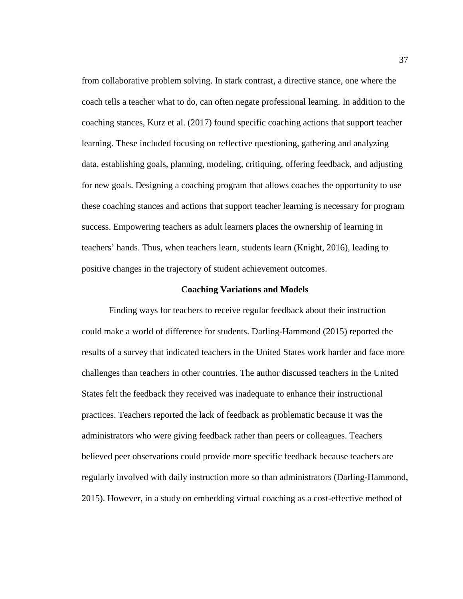from collaborative problem solving. In stark contrast, a directive stance, one where the coach tells a teacher what to do, can often negate professional learning. In addition to the coaching stances, Kurz et al. (2017) found specific coaching actions that support teacher learning. These included focusing on reflective questioning, gathering and analyzing data, establishing goals, planning, modeling, critiquing, offering feedback, and adjusting for new goals. Designing a coaching program that allows coaches the opportunity to use these coaching stances and actions that support teacher learning is necessary for program success. Empowering teachers as adult learners places the ownership of learning in teachers' hands. Thus, when teachers learn, students learn (Knight, 2016), leading to positive changes in the trajectory of student achievement outcomes.

### **Coaching Variations and Models**

Finding ways for teachers to receive regular feedback about their instruction could make a world of difference for students. Darling-Hammond (2015) reported the results of a survey that indicated teachers in the United States work harder and face more challenges than teachers in other countries. The author discussed teachers in the United States felt the feedback they received was inadequate to enhance their instructional practices. Teachers reported the lack of feedback as problematic because it was the administrators who were giving feedback rather than peers or colleagues. Teachers believed peer observations could provide more specific feedback because teachers are regularly involved with daily instruction more so than administrators (Darling-Hammond, 2015). However, in a study on embedding virtual coaching as a cost-effective method of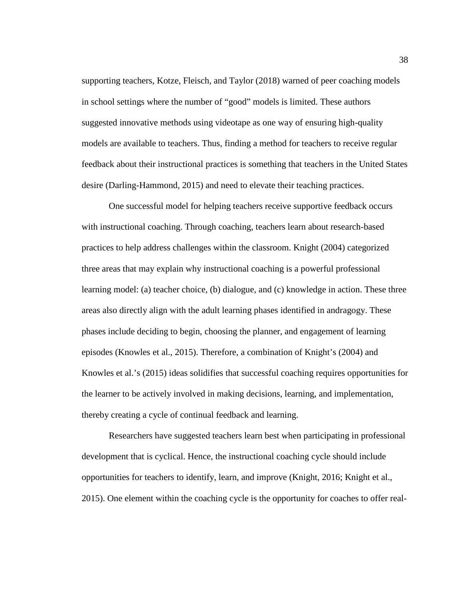supporting teachers, Kotze, Fleisch, and Taylor (2018) warned of peer coaching models in school settings where the number of "good" models is limited. These authors suggested innovative methods using videotape as one way of ensuring high-quality models are available to teachers. Thus, finding a method for teachers to receive regular feedback about their instructional practices is something that teachers in the United States desire (Darling-Hammond, 2015) and need to elevate their teaching practices.

One successful model for helping teachers receive supportive feedback occurs with instructional coaching. Through coaching, teachers learn about research-based practices to help address challenges within the classroom. Knight (2004) categorized three areas that may explain why instructional coaching is a powerful professional learning model: (a) teacher choice, (b) dialogue, and (c) knowledge in action. These three areas also directly align with the adult learning phases identified in andragogy. These phases include deciding to begin, choosing the planner, and engagement of learning episodes (Knowles et al., 2015). Therefore, a combination of Knight's (2004) and Knowles et al.'s (2015) ideas solidifies that successful coaching requires opportunities for the learner to be actively involved in making decisions, learning, and implementation, thereby creating a cycle of continual feedback and learning.

Researchers have suggested teachers learn best when participating in professional development that is cyclical. Hence, the instructional coaching cycle should include opportunities for teachers to identify, learn, and improve (Knight, 2016; Knight et al., 2015). One element within the coaching cycle is the opportunity for coaches to offer real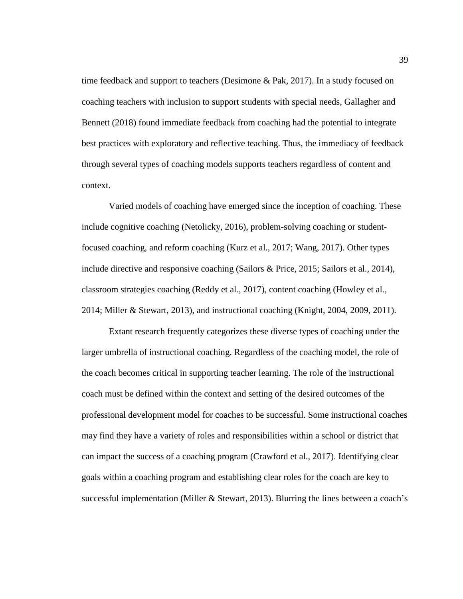time feedback and support to teachers (Desimone & Pak, 2017). In a study focused on coaching teachers with inclusion to support students with special needs, Gallagher and Bennett (2018) found immediate feedback from coaching had the potential to integrate best practices with exploratory and reflective teaching. Thus, the immediacy of feedback through several types of coaching models supports teachers regardless of content and context.

Varied models of coaching have emerged since the inception of coaching. These include cognitive coaching (Netolicky, 2016), problem-solving coaching or studentfocused coaching, and reform coaching (Kurz et al., 2017; Wang, 2017). Other types include directive and responsive coaching (Sailors & Price, 2015; Sailors et al., 2014), classroom strategies coaching (Reddy et al., 2017), content coaching (Howley et al., 2014; Miller & Stewart, 2013), and instructional coaching (Knight, 2004, 2009, 2011).

Extant research frequently categorizes these diverse types of coaching under the larger umbrella of instructional coaching. Regardless of the coaching model, the role of the coach becomes critical in supporting teacher learning. The role of the instructional coach must be defined within the context and setting of the desired outcomes of the professional development model for coaches to be successful. Some instructional coaches may find they have a variety of roles and responsibilities within a school or district that can impact the success of a coaching program (Crawford et al., 2017). Identifying clear goals within a coaching program and establishing clear roles for the coach are key to successful implementation (Miller & Stewart, 2013). Blurring the lines between a coach's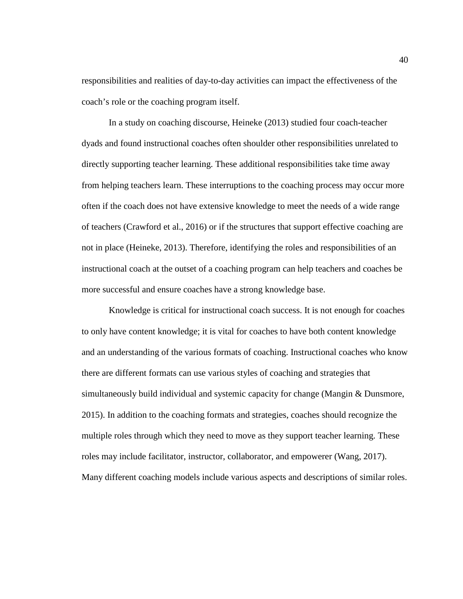responsibilities and realities of day-to-day activities can impact the effectiveness of the coach's role or the coaching program itself.

In a study on coaching discourse, Heineke (2013) studied four coach-teacher dyads and found instructional coaches often shoulder other responsibilities unrelated to directly supporting teacher learning. These additional responsibilities take time away from helping teachers learn. These interruptions to the coaching process may occur more often if the coach does not have extensive knowledge to meet the needs of a wide range of teachers (Crawford et al., 2016) or if the structures that support effective coaching are not in place (Heineke, 2013). Therefore, identifying the roles and responsibilities of an instructional coach at the outset of a coaching program can help teachers and coaches be more successful and ensure coaches have a strong knowledge base.

Knowledge is critical for instructional coach success. It is not enough for coaches to only have content knowledge; it is vital for coaches to have both content knowledge and an understanding of the various formats of coaching. Instructional coaches who know there are different formats can use various styles of coaching and strategies that simultaneously build individual and systemic capacity for change (Mangin & Dunsmore, 2015). In addition to the coaching formats and strategies, coaches should recognize the multiple roles through which they need to move as they support teacher learning. These roles may include facilitator, instructor, collaborator, and empowerer (Wang, 2017). Many different coaching models include various aspects and descriptions of similar roles.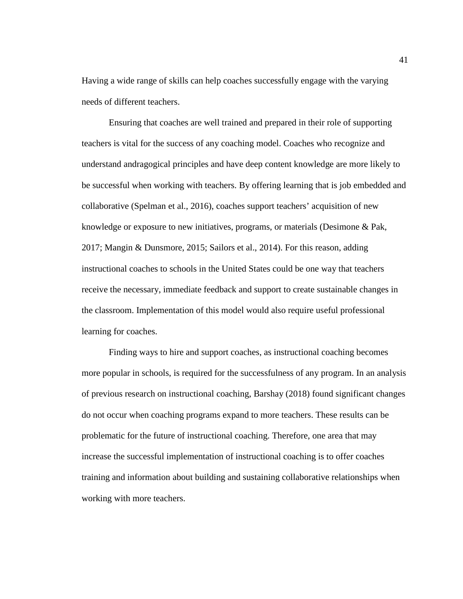Having a wide range of skills can help coaches successfully engage with the varying needs of different teachers.

Ensuring that coaches are well trained and prepared in their role of supporting teachers is vital for the success of any coaching model. Coaches who recognize and understand andragogical principles and have deep content knowledge are more likely to be successful when working with teachers. By offering learning that is job embedded and collaborative (Spelman et al., 2016), coaches support teachers' acquisition of new knowledge or exposure to new initiatives, programs, or materials (Desimone & Pak, 2017; Mangin & Dunsmore, 2015; Sailors et al., 2014). For this reason, adding instructional coaches to schools in the United States could be one way that teachers receive the necessary, immediate feedback and support to create sustainable changes in the classroom. Implementation of this model would also require useful professional learning for coaches.

Finding ways to hire and support coaches, as instructional coaching becomes more popular in schools, is required for the successfulness of any program. In an analysis of previous research on instructional coaching, Barshay (2018) found significant changes do not occur when coaching programs expand to more teachers. These results can be problematic for the future of instructional coaching. Therefore, one area that may increase the successful implementation of instructional coaching is to offer coaches training and information about building and sustaining collaborative relationships when working with more teachers.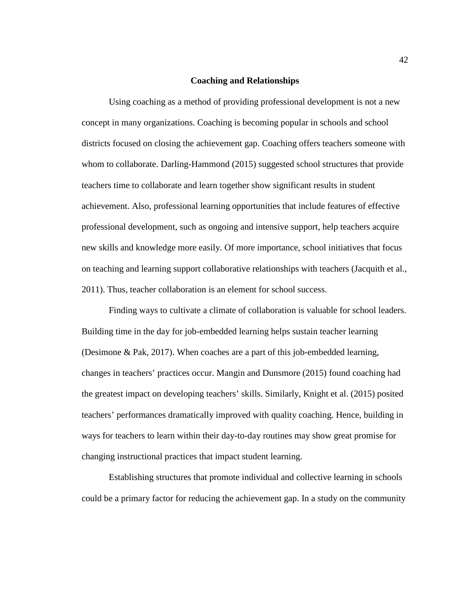## **Coaching and Relationships**

Using coaching as a method of providing professional development is not a new concept in many organizations. Coaching is becoming popular in schools and school districts focused on closing the achievement gap. Coaching offers teachers someone with whom to collaborate. Darling-Hammond (2015) suggested school structures that provide teachers time to collaborate and learn together show significant results in student achievement. Also, professional learning opportunities that include features of effective professional development, such as ongoing and intensive support, help teachers acquire new skills and knowledge more easily. Of more importance, school initiatives that focus on teaching and learning support collaborative relationships with teachers (Jacquith et al., 2011). Thus, teacher collaboration is an element for school success.

Finding ways to cultivate a climate of collaboration is valuable for school leaders. Building time in the day for job-embedded learning helps sustain teacher learning (Desimone & Pak, 2017). When coaches are a part of this job-embedded learning, changes in teachers' practices occur. Mangin and Dunsmore (2015) found coaching had the greatest impact on developing teachers' skills. Similarly, Knight et al. (2015) posited teachers' performances dramatically improved with quality coaching. Hence, building in ways for teachers to learn within their day-to-day routines may show great promise for changing instructional practices that impact student learning.

Establishing structures that promote individual and collective learning in schools could be a primary factor for reducing the achievement gap. In a study on the community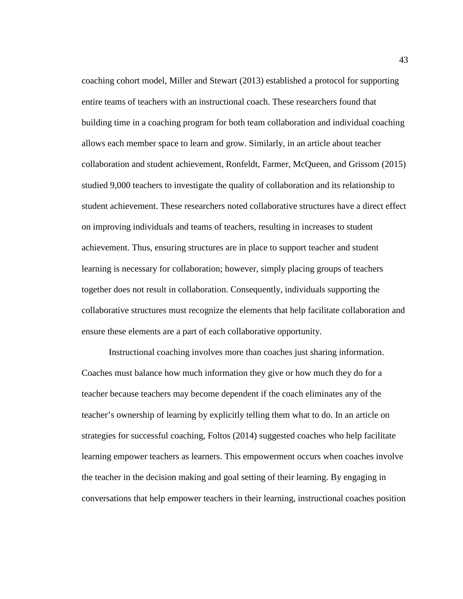coaching cohort model, Miller and Stewart (2013) established a protocol for supporting entire teams of teachers with an instructional coach. These researchers found that building time in a coaching program for both team collaboration and individual coaching allows each member space to learn and grow. Similarly, in an article about teacher collaboration and student achievement, Ronfeldt, Farmer, McQueen, and Grissom (2015) studied 9,000 teachers to investigate the quality of collaboration and its relationship to student achievement. These researchers noted collaborative structures have a direct effect on improving individuals and teams of teachers, resulting in increases to student achievement. Thus, ensuring structures are in place to support teacher and student learning is necessary for collaboration; however, simply placing groups of teachers together does not result in collaboration. Consequently, individuals supporting the collaborative structures must recognize the elements that help facilitate collaboration and ensure these elements are a part of each collaborative opportunity.

Instructional coaching involves more than coaches just sharing information. Coaches must balance how much information they give or how much they do for a teacher because teachers may become dependent if the coach eliminates any of the teacher's ownership of learning by explicitly telling them what to do. In an article on strategies for successful coaching, Foltos (2014) suggested coaches who help facilitate learning empower teachers as learners. This empowerment occurs when coaches involve the teacher in the decision making and goal setting of their learning. By engaging in conversations that help empower teachers in their learning, instructional coaches position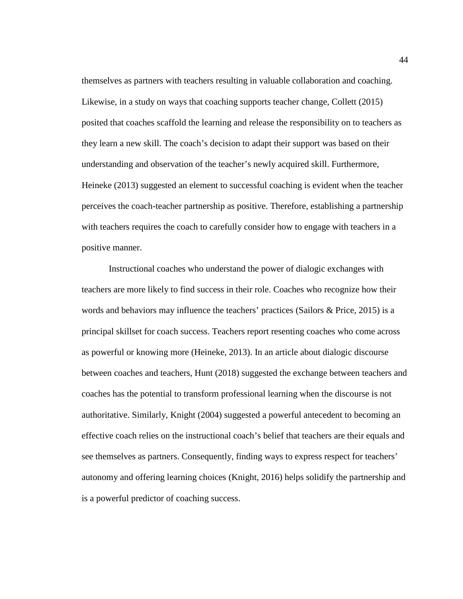themselves as partners with teachers resulting in valuable collaboration and coaching. Likewise, in a study on ways that coaching supports teacher change, Collett (2015) posited that coaches scaffold the learning and release the responsibility on to teachers as they learn a new skill. The coach's decision to adapt their support was based on their understanding and observation of the teacher's newly acquired skill. Furthermore, Heineke (2013) suggested an element to successful coaching is evident when the teacher perceives the coach-teacher partnership as positive. Therefore, establishing a partnership with teachers requires the coach to carefully consider how to engage with teachers in a positive manner.

Instructional coaches who understand the power of dialogic exchanges with teachers are more likely to find success in their role. Coaches who recognize how their words and behaviors may influence the teachers' practices (Sailors & Price, 2015) is a principal skillset for coach success. Teachers report resenting coaches who come across as powerful or knowing more (Heineke, 2013). In an article about dialogic discourse between coaches and teachers, Hunt (2018) suggested the exchange between teachers and coaches has the potential to transform professional learning when the discourse is not authoritative. Similarly, Knight (2004) suggested a powerful antecedent to becoming an effective coach relies on the instructional coach's belief that teachers are their equals and see themselves as partners. Consequently, finding ways to express respect for teachers' autonomy and offering learning choices (Knight, 2016) helps solidify the partnership and is a powerful predictor of coaching success.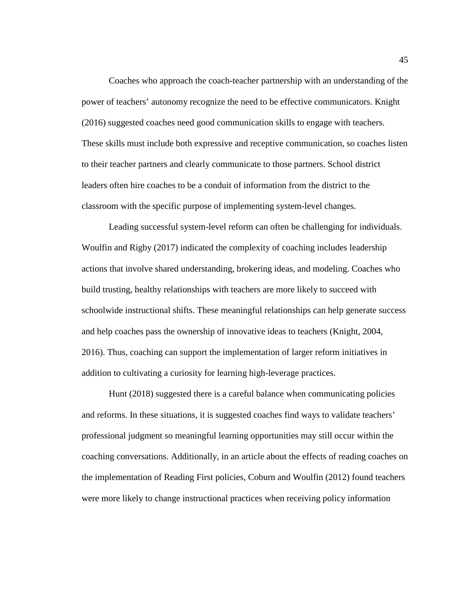Coaches who approach the coach-teacher partnership with an understanding of the power of teachers' autonomy recognize the need to be effective communicators. Knight (2016) suggested coaches need good communication skills to engage with teachers. These skills must include both expressive and receptive communication, so coaches listen to their teacher partners and clearly communicate to those partners. School district leaders often hire coaches to be a conduit of information from the district to the classroom with the specific purpose of implementing system-level changes.

Leading successful system-level reform can often be challenging for individuals. Woulfin and Rigby (2017) indicated the complexity of coaching includes leadership actions that involve shared understanding, brokering ideas, and modeling. Coaches who build trusting, healthy relationships with teachers are more likely to succeed with schoolwide instructional shifts. These meaningful relationships can help generate success and help coaches pass the ownership of innovative ideas to teachers (Knight, 2004, 2016). Thus, coaching can support the implementation of larger reform initiatives in addition to cultivating a curiosity for learning high-leverage practices.

Hunt (2018) suggested there is a careful balance when communicating policies and reforms. In these situations, it is suggested coaches find ways to validate teachers' professional judgment so meaningful learning opportunities may still occur within the coaching conversations. Additionally, in an article about the effects of reading coaches on the implementation of Reading First policies, Coburn and Woulfin (2012) found teachers were more likely to change instructional practices when receiving policy information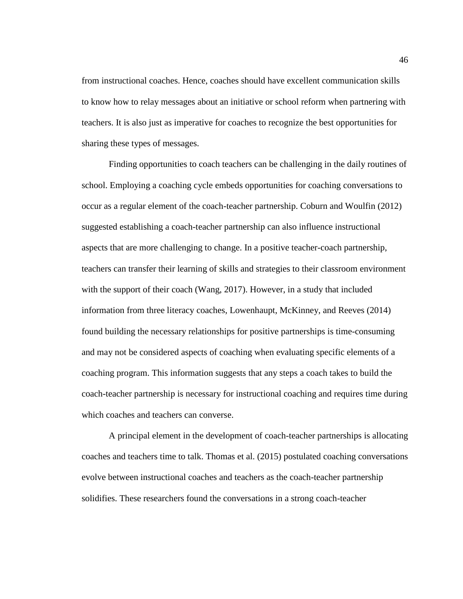from instructional coaches. Hence, coaches should have excellent communication skills to know how to relay messages about an initiative or school reform when partnering with teachers. It is also just as imperative for coaches to recognize the best opportunities for sharing these types of messages.

Finding opportunities to coach teachers can be challenging in the daily routines of school. Employing a coaching cycle embeds opportunities for coaching conversations to occur as a regular element of the coach-teacher partnership. Coburn and Woulfin (2012) suggested establishing a coach-teacher partnership can also influence instructional aspects that are more challenging to change. In a positive teacher-coach partnership, teachers can transfer their learning of skills and strategies to their classroom environment with the support of their coach (Wang, 2017). However, in a study that included information from three literacy coaches, Lowenhaupt, McKinney, and Reeves (2014) found building the necessary relationships for positive partnerships is time-consuming and may not be considered aspects of coaching when evaluating specific elements of a coaching program. This information suggests that any steps a coach takes to build the coach-teacher partnership is necessary for instructional coaching and requires time during which coaches and teachers can converse.

A principal element in the development of coach-teacher partnerships is allocating coaches and teachers time to talk. Thomas et al. (2015) postulated coaching conversations evolve between instructional coaches and teachers as the coach-teacher partnership solidifies. These researchers found the conversations in a strong coach-teacher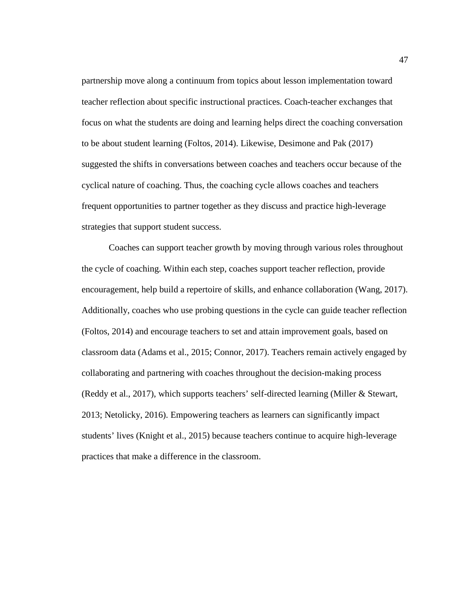partnership move along a continuum from topics about lesson implementation toward teacher reflection about specific instructional practices. Coach-teacher exchanges that focus on what the students are doing and learning helps direct the coaching conversation to be about student learning (Foltos, 2014). Likewise, Desimone and Pak (2017) suggested the shifts in conversations between coaches and teachers occur because of the cyclical nature of coaching. Thus, the coaching cycle allows coaches and teachers frequent opportunities to partner together as they discuss and practice high-leverage strategies that support student success.

Coaches can support teacher growth by moving through various roles throughout the cycle of coaching. Within each step, coaches support teacher reflection, provide encouragement, help build a repertoire of skills, and enhance collaboration (Wang, 2017). Additionally, coaches who use probing questions in the cycle can guide teacher reflection (Foltos, 2014) and encourage teachers to set and attain improvement goals, based on classroom data (Adams et al., 2015; Connor, 2017). Teachers remain actively engaged by collaborating and partnering with coaches throughout the decision-making process (Reddy et al., 2017), which supports teachers' self-directed learning (Miller & Stewart, 2013; Netolicky, 2016). Empowering teachers as learners can significantly impact students' lives (Knight et al., 2015) because teachers continue to acquire high-leverage practices that make a difference in the classroom.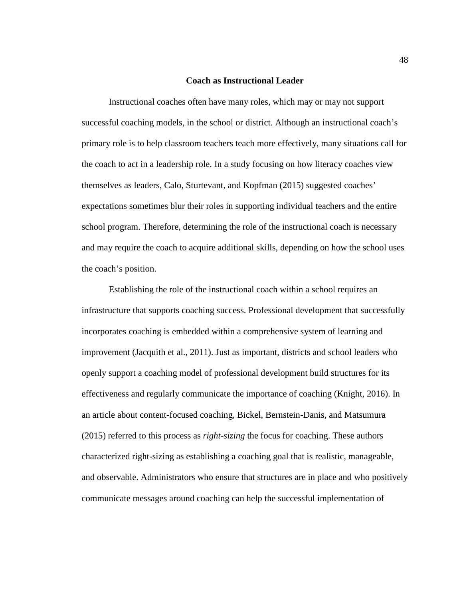## **Coach as Instructional Leader**

Instructional coaches often have many roles, which may or may not support successful coaching models, in the school or district. Although an instructional coach's primary role is to help classroom teachers teach more effectively, many situations call for the coach to act in a leadership role. In a study focusing on how literacy coaches view themselves as leaders, Calo, Sturtevant, and Kopfman (2015) suggested coaches' expectations sometimes blur their roles in supporting individual teachers and the entire school program. Therefore, determining the role of the instructional coach is necessary and may require the coach to acquire additional skills, depending on how the school uses the coach's position.

Establishing the role of the instructional coach within a school requires an infrastructure that supports coaching success. Professional development that successfully incorporates coaching is embedded within a comprehensive system of learning and improvement (Jacquith et al., 2011). Just as important, districts and school leaders who openly support a coaching model of professional development build structures for its effectiveness and regularly communicate the importance of coaching (Knight, 2016). In an article about content-focused coaching, Bickel, Bernstein-Danis, and Matsumura (2015) referred to this process as *right-sizing* the focus for coaching. These authors characterized right-sizing as establishing a coaching goal that is realistic, manageable, and observable. Administrators who ensure that structures are in place and who positively communicate messages around coaching can help the successful implementation of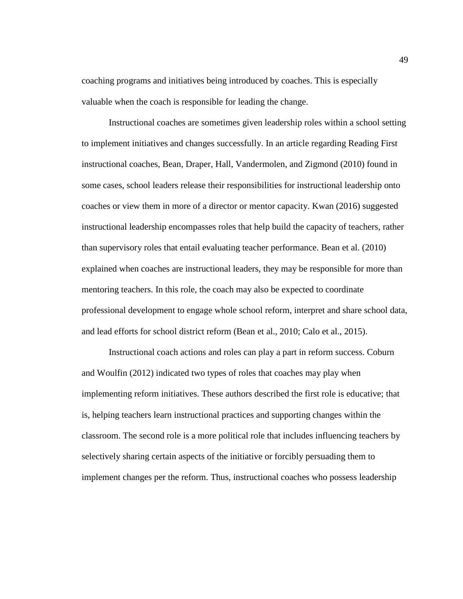coaching programs and initiatives being introduced by coaches. This is especially valuable when the coach is responsible for leading the change.

Instructional coaches are sometimes given leadership roles within a school setting to implement initiatives and changes successfully. In an article regarding Reading First instructional coaches, Bean, Draper, Hall, Vandermolen, and Zigmond (2010) found in some cases, school leaders release their responsibilities for instructional leadership onto coaches or view them in more of a director or mentor capacity. Kwan (2016) suggested instructional leadership encompasses roles that help build the capacity of teachers, rather than supervisory roles that entail evaluating teacher performance. Bean et al. (2010) explained when coaches are instructional leaders, they may be responsible for more than mentoring teachers. In this role, the coach may also be expected to coordinate professional development to engage whole school reform, interpret and share school data, and lead efforts for school district reform (Bean et al., 2010; Calo et al., 2015).

Instructional coach actions and roles can play a part in reform success. Coburn and Woulfin (2012) indicated two types of roles that coaches may play when implementing reform initiatives. These authors described the first role is educative; that is, helping teachers learn instructional practices and supporting changes within the classroom. The second role is a more political role that includes influencing teachers by selectively sharing certain aspects of the initiative or forcibly persuading them to implement changes per the reform. Thus, instructional coaches who possess leadership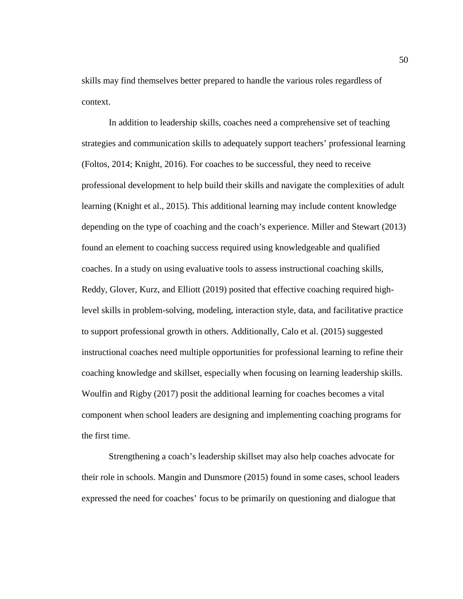skills may find themselves better prepared to handle the various roles regardless of context.

In addition to leadership skills, coaches need a comprehensive set of teaching strategies and communication skills to adequately support teachers' professional learning (Foltos, 2014; Knight, 2016). For coaches to be successful, they need to receive professional development to help build their skills and navigate the complexities of adult learning (Knight et al., 2015). This additional learning may include content knowledge depending on the type of coaching and the coach's experience. Miller and Stewart (2013) found an element to coaching success required using knowledgeable and qualified coaches. In a study on using evaluative tools to assess instructional coaching skills, Reddy, Glover, Kurz, and Elliott (2019) posited that effective coaching required highlevel skills in problem-solving, modeling, interaction style, data, and facilitative practice to support professional growth in others. Additionally, Calo et al. (2015) suggested instructional coaches need multiple opportunities for professional learning to refine their coaching knowledge and skillset, especially when focusing on learning leadership skills. Woulfin and Rigby (2017) posit the additional learning for coaches becomes a vital component when school leaders are designing and implementing coaching programs for the first time.

Strengthening a coach's leadership skillset may also help coaches advocate for their role in schools. Mangin and Dunsmore (2015) found in some cases, school leaders expressed the need for coaches' focus to be primarily on questioning and dialogue that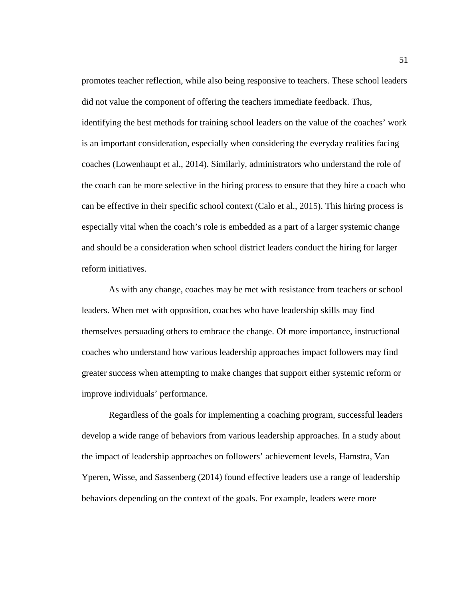promotes teacher reflection, while also being responsive to teachers. These school leaders did not value the component of offering the teachers immediate feedback. Thus, identifying the best methods for training school leaders on the value of the coaches' work is an important consideration, especially when considering the everyday realities facing coaches (Lowenhaupt et al., 2014). Similarly, administrators who understand the role of the coach can be more selective in the hiring process to ensure that they hire a coach who can be effective in their specific school context (Calo et al., 2015). This hiring process is especially vital when the coach's role is embedded as a part of a larger systemic change and should be a consideration when school district leaders conduct the hiring for larger reform initiatives.

As with any change, coaches may be met with resistance from teachers or school leaders. When met with opposition, coaches who have leadership skills may find themselves persuading others to embrace the change. Of more importance, instructional coaches who understand how various leadership approaches impact followers may find greater success when attempting to make changes that support either systemic reform or improve individuals' performance.

Regardless of the goals for implementing a coaching program, successful leaders develop a wide range of behaviors from various leadership approaches. In a study about the impact of leadership approaches on followers' achievement levels, Hamstra, Van Yperen, Wisse, and Sassenberg (2014) found effective leaders use a range of leadership behaviors depending on the context of the goals. For example, leaders were more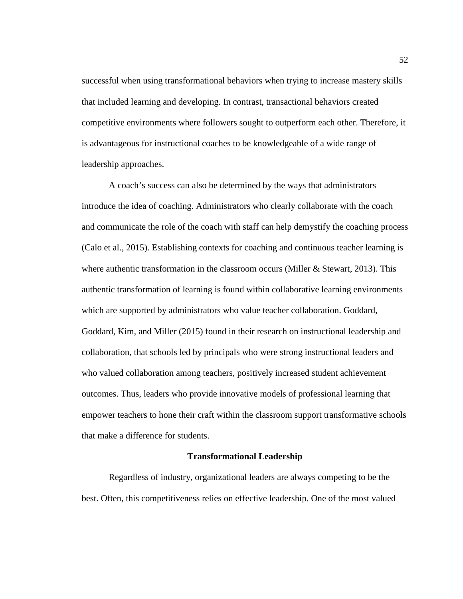successful when using transformational behaviors when trying to increase mastery skills that included learning and developing. In contrast, transactional behaviors created competitive environments where followers sought to outperform each other. Therefore, it is advantageous for instructional coaches to be knowledgeable of a wide range of leadership approaches.

A coach's success can also be determined by the ways that administrators introduce the idea of coaching. Administrators who clearly collaborate with the coach and communicate the role of the coach with staff can help demystify the coaching process (Calo et al., 2015). Establishing contexts for coaching and continuous teacher learning is where authentic transformation in the classroom occurs (Miller  $\&$  Stewart, 2013). This authentic transformation of learning is found within collaborative learning environments which are supported by administrators who value teacher collaboration. Goddard, Goddard, Kim, and Miller (2015) found in their research on instructional leadership and collaboration, that schools led by principals who were strong instructional leaders and who valued collaboration among teachers, positively increased student achievement outcomes. Thus, leaders who provide innovative models of professional learning that empower teachers to hone their craft within the classroom support transformative schools that make a difference for students.

### **Transformational Leadership**

Regardless of industry, organizational leaders are always competing to be the best. Often, this competitiveness relies on effective leadership. One of the most valued

52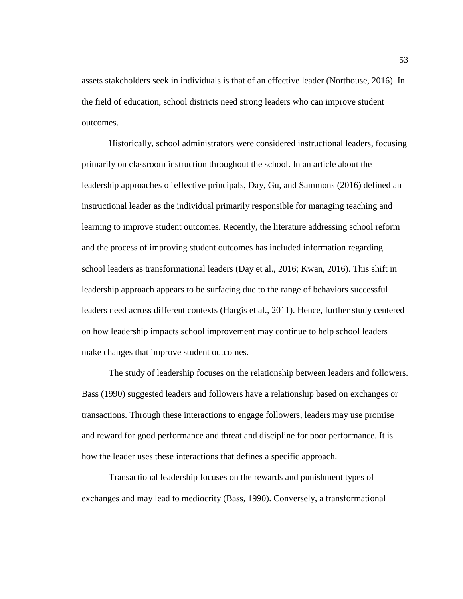assets stakeholders seek in individuals is that of an effective leader (Northouse, 2016). In the field of education, school districts need strong leaders who can improve student outcomes.

Historically, school administrators were considered instructional leaders, focusing primarily on classroom instruction throughout the school. In an article about the leadership approaches of effective principals, Day, Gu, and Sammons (2016) defined an instructional leader as the individual primarily responsible for managing teaching and learning to improve student outcomes. Recently, the literature addressing school reform and the process of improving student outcomes has included information regarding school leaders as transformational leaders (Day et al., 2016; Kwan, 2016). This shift in leadership approach appears to be surfacing due to the range of behaviors successful leaders need across different contexts (Hargis et al., 2011). Hence, further study centered on how leadership impacts school improvement may continue to help school leaders make changes that improve student outcomes.

The study of leadership focuses on the relationship between leaders and followers. Bass (1990) suggested leaders and followers have a relationship based on exchanges or transactions. Through these interactions to engage followers, leaders may use promise and reward for good performance and threat and discipline for poor performance. It is how the leader uses these interactions that defines a specific approach.

Transactional leadership focuses on the rewards and punishment types of exchanges and may lead to mediocrity (Bass, 1990). Conversely, a transformational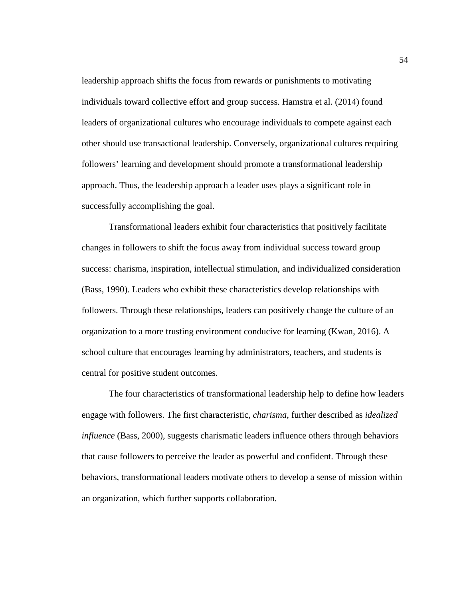leadership approach shifts the focus from rewards or punishments to motivating individuals toward collective effort and group success. Hamstra et al. (2014) found leaders of organizational cultures who encourage individuals to compete against each other should use transactional leadership. Conversely, organizational cultures requiring followers' learning and development should promote a transformational leadership approach. Thus, the leadership approach a leader uses plays a significant role in successfully accomplishing the goal.

Transformational leaders exhibit four characteristics that positively facilitate changes in followers to shift the focus away from individual success toward group success: charisma, inspiration, intellectual stimulation, and individualized consideration (Bass, 1990). Leaders who exhibit these characteristics develop relationships with followers. Through these relationships, leaders can positively change the culture of an organization to a more trusting environment conducive for learning (Kwan, 2016). A school culture that encourages learning by administrators, teachers, and students is central for positive student outcomes.

The four characteristics of transformational leadership help to define how leaders engage with followers. The first characteristic, *charisma*, further described as *idealized influence* (Bass, 2000), suggests charismatic leaders influence others through behaviors that cause followers to perceive the leader as powerful and confident. Through these behaviors, transformational leaders motivate others to develop a sense of mission within an organization, which further supports collaboration.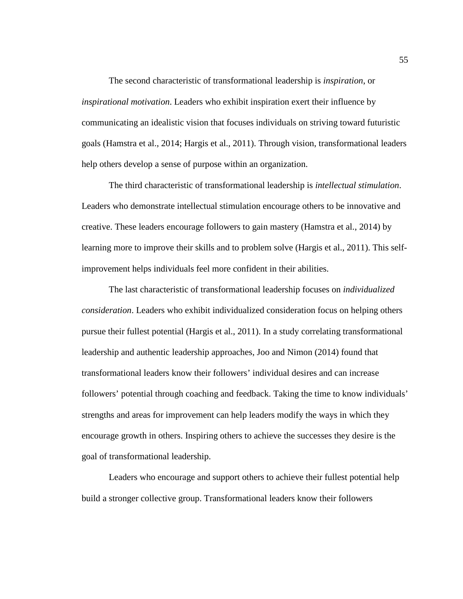The second characteristic of transformational leadership is *inspiration*, or *inspirational motivation*. Leaders who exhibit inspiration exert their influence by communicating an idealistic vision that focuses individuals on striving toward futuristic goals (Hamstra et al., 2014; Hargis et al., 2011). Through vision, transformational leaders help others develop a sense of purpose within an organization.

The third characteristic of transformational leadership is *intellectual stimulation*. Leaders who demonstrate intellectual stimulation encourage others to be innovative and creative. These leaders encourage followers to gain mastery (Hamstra et al., 2014) by learning more to improve their skills and to problem solve (Hargis et al., 2011). This selfimprovement helps individuals feel more confident in their abilities.

The last characteristic of transformational leadership focuses on *individualized consideration*. Leaders who exhibit individualized consideration focus on helping others pursue their fullest potential (Hargis et al., 2011). In a study correlating transformational leadership and authentic leadership approaches, Joo and Nimon (2014) found that transformational leaders know their followers' individual desires and can increase followers' potential through coaching and feedback. Taking the time to know individuals' strengths and areas for improvement can help leaders modify the ways in which they encourage growth in others. Inspiring others to achieve the successes they desire is the goal of transformational leadership.

Leaders who encourage and support others to achieve their fullest potential help build a stronger collective group. Transformational leaders know their followers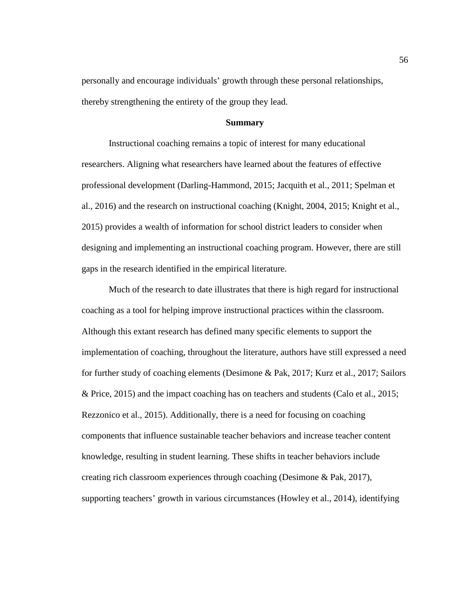personally and encourage individuals' growth through these personal relationships, thereby strengthening the entirety of the group they lead.

# **Summary**

Instructional coaching remains a topic of interest for many educational researchers. Aligning what researchers have learned about the features of effective professional development (Darling-Hammond, 2015; Jacquith et al., 2011; Spelman et al., 2016) and the research on instructional coaching (Knight, 2004, 2015; Knight et al., 2015) provides a wealth of information for school district leaders to consider when designing and implementing an instructional coaching program. However, there are still gaps in the research identified in the empirical literature.

Much of the research to date illustrates that there is high regard for instructional coaching as a tool for helping improve instructional practices within the classroom. Although this extant research has defined many specific elements to support the implementation of coaching, throughout the literature, authors have still expressed a need for further study of coaching elements (Desimone & Pak, 2017; Kurz et al., 2017; Sailors & Price, 2015) and the impact coaching has on teachers and students (Calo et al., 2015; Rezzonico et al., 2015). Additionally, there is a need for focusing on coaching components that influence sustainable teacher behaviors and increase teacher content knowledge, resulting in student learning. These shifts in teacher behaviors include creating rich classroom experiences through coaching (Desimone & Pak, 2017), supporting teachers' growth in various circumstances (Howley et al., 2014), identifying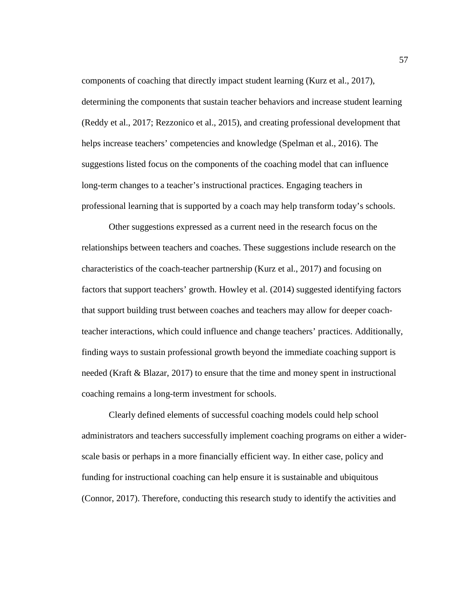components of coaching that directly impact student learning (Kurz et al., 2017), determining the components that sustain teacher behaviors and increase student learning (Reddy et al., 2017; Rezzonico et al., 2015), and creating professional development that helps increase teachers' competencies and knowledge (Spelman et al., 2016). The suggestions listed focus on the components of the coaching model that can influence long-term changes to a teacher's instructional practices. Engaging teachers in professional learning that is supported by a coach may help transform today's schools.

Other suggestions expressed as a current need in the research focus on the relationships between teachers and coaches. These suggestions include research on the characteristics of the coach-teacher partnership (Kurz et al., 2017) and focusing on factors that support teachers' growth. Howley et al. (2014) suggested identifying factors that support building trust between coaches and teachers may allow for deeper coachteacher interactions, which could influence and change teachers' practices. Additionally, finding ways to sustain professional growth beyond the immediate coaching support is needed (Kraft & Blazar, 2017) to ensure that the time and money spent in instructional coaching remains a long-term investment for schools.

Clearly defined elements of successful coaching models could help school administrators and teachers successfully implement coaching programs on either a widerscale basis or perhaps in a more financially efficient way. In either case, policy and funding for instructional coaching can help ensure it is sustainable and ubiquitous (Connor, 2017). Therefore, conducting this research study to identify the activities and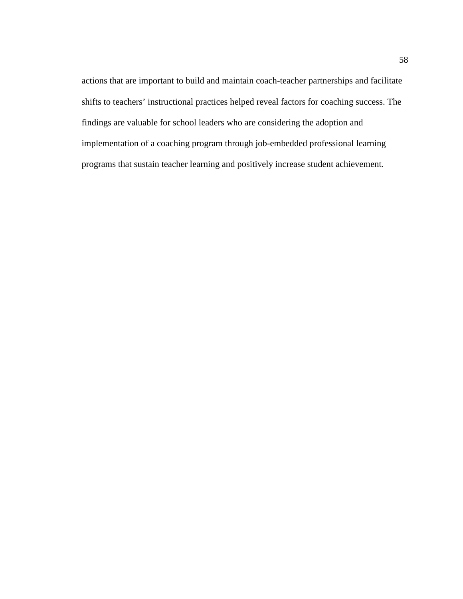actions that are important to build and maintain coach-teacher partnerships and facilitate shifts to teachers' instructional practices helped reveal factors for coaching success. The findings are valuable for school leaders who are considering the adoption and implementation of a coaching program through job-embedded professional learning programs that sustain teacher learning and positively increase student achievement.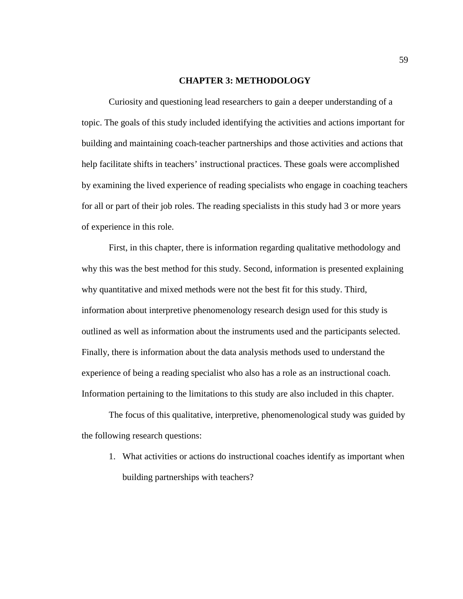## **CHAPTER 3: METHODOLOGY**

Curiosity and questioning lead researchers to gain a deeper understanding of a topic. The goals of this study included identifying the activities and actions important for building and maintaining coach-teacher partnerships and those activities and actions that help facilitate shifts in teachers' instructional practices. These goals were accomplished by examining the lived experience of reading specialists who engage in coaching teachers for all or part of their job roles. The reading specialists in this study had 3 or more years of experience in this role.

First, in this chapter, there is information regarding qualitative methodology and why this was the best method for this study. Second, information is presented explaining why quantitative and mixed methods were not the best fit for this study. Third, information about interpretive phenomenology research design used for this study is outlined as well as information about the instruments used and the participants selected. Finally, there is information about the data analysis methods used to understand the experience of being a reading specialist who also has a role as an instructional coach. Information pertaining to the limitations to this study are also included in this chapter.

The focus of this qualitative, interpretive, phenomenological study was guided by the following research questions:

1. What activities or actions do instructional coaches identify as important when building partnerships with teachers?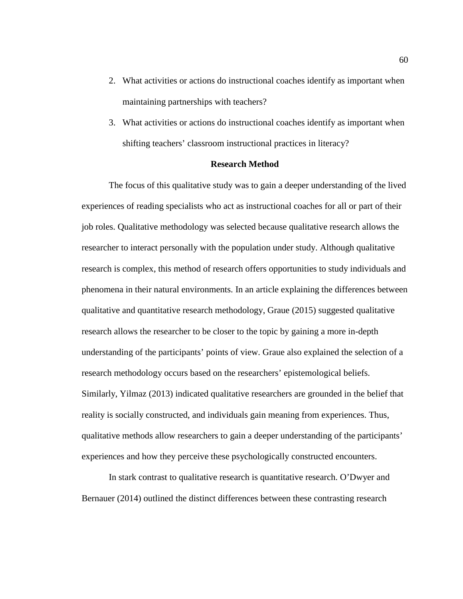- 2. What activities or actions do instructional coaches identify as important when maintaining partnerships with teachers?
- 3. What activities or actions do instructional coaches identify as important when shifting teachers' classroom instructional practices in literacy?

# **Research Method**

The focus of this qualitative study was to gain a deeper understanding of the lived experiences of reading specialists who act as instructional coaches for all or part of their job roles. Qualitative methodology was selected because qualitative research allows the researcher to interact personally with the population under study. Although qualitative research is complex, this method of research offers opportunities to study individuals and phenomena in their natural environments. In an article explaining the differences between qualitative and quantitative research methodology, Graue (2015) suggested qualitative research allows the researcher to be closer to the topic by gaining a more in-depth understanding of the participants' points of view. Graue also explained the selection of a research methodology occurs based on the researchers' epistemological beliefs. Similarly, Yilmaz (2013) indicated qualitative researchers are grounded in the belief that reality is socially constructed, and individuals gain meaning from experiences. Thus, qualitative methods allow researchers to gain a deeper understanding of the participants' experiences and how they perceive these psychologically constructed encounters.

In stark contrast to qualitative research is quantitative research. O'Dwyer and Bernauer (2014) outlined the distinct differences between these contrasting research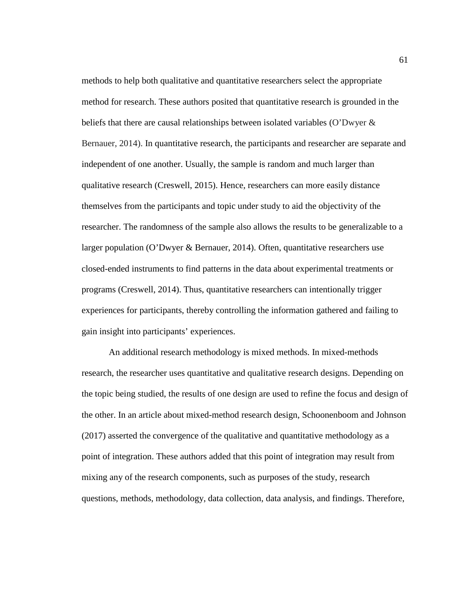methods to help both qualitative and quantitative researchers select the appropriate method for research. These authors posited that quantitative research is grounded in the beliefs that there are causal relationships between isolated variables (O'Dwyer & Bernauer, 2014). In quantitative research, the participants and researcher are separate and independent of one another. Usually, the sample is random and much larger than qualitative research (Creswell, 2015). Hence, researchers can more easily distance themselves from the participants and topic under study to aid the objectivity of the researcher. The randomness of the sample also allows the results to be generalizable to a larger population (O'Dwyer & Bernauer, 2014). Often, quantitative researchers use closed-ended instruments to find patterns in the data about experimental treatments or programs (Creswell, 2014). Thus, quantitative researchers can intentionally trigger experiences for participants, thereby controlling the information gathered and failing to gain insight into participants' experiences.

An additional research methodology is mixed methods. In mixed-methods research, the researcher uses quantitative and qualitative research designs. Depending on the topic being studied, the results of one design are used to refine the focus and design of the other. In an article about mixed-method research design, Schoonenboom and Johnson (2017) asserted the convergence of the qualitative and quantitative methodology as a point of integration. These authors added that this point of integration may result from mixing any of the research components, such as purposes of the study, research questions, methods, methodology, data collection, data analysis, and findings. Therefore,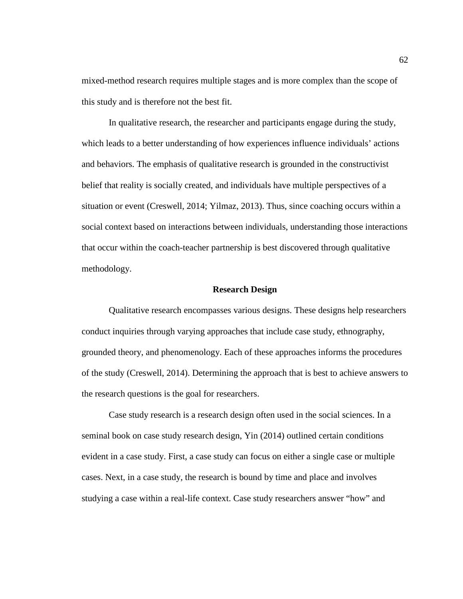mixed-method research requires multiple stages and is more complex than the scope of this study and is therefore not the best fit.

In qualitative research, the researcher and participants engage during the study, which leads to a better understanding of how experiences influence individuals' actions and behaviors. The emphasis of qualitative research is grounded in the constructivist belief that reality is socially created, and individuals have multiple perspectives of a situation or event (Creswell, 2014; Yilmaz, 2013). Thus, since coaching occurs within a social context based on interactions between individuals, understanding those interactions that occur within the coach-teacher partnership is best discovered through qualitative methodology.

### **Research Design**

Qualitative research encompasses various designs. These designs help researchers conduct inquiries through varying approaches that include case study, ethnography, grounded theory, and phenomenology. Each of these approaches informs the procedures of the study (Creswell, 2014). Determining the approach that is best to achieve answers to the research questions is the goal for researchers.

Case study research is a research design often used in the social sciences. In a seminal book on case study research design, Yin (2014) outlined certain conditions evident in a case study. First, a case study can focus on either a single case or multiple cases. Next, in a case study, the research is bound by time and place and involves studying a case within a real-life context. Case study researchers answer "how" and

62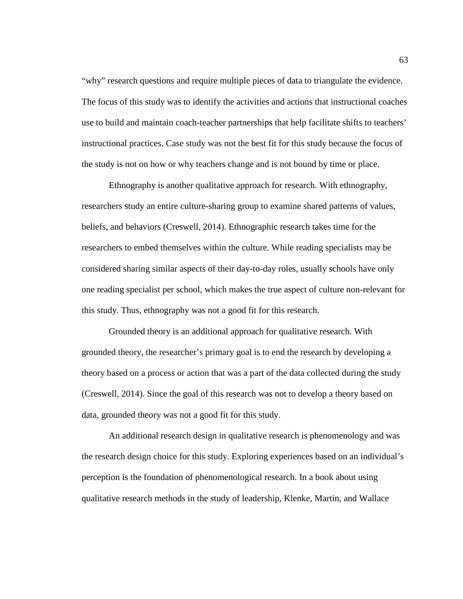"why" research questions and require multiple pieces of data to triangulate the evidence. The focus of this study was to identify the activities and actions that instructional coaches use to build and maintain coach-teacher partnerships that help facilitate shifts to teachers' instructional practices. Case study was not the best fit for this study because the focus of the study is not on how or why teachers change and is not bound by time or place.

Ethnography is another qualitative approach for research. With ethnography, researchers study an entire culture-sharing group to examine shared patterns of values, beliefs, and behaviors (Creswell, 2014). Ethnographic research takes time for the researchers to embed themselves within the culture. While reading specialists may be considered sharing similar aspects of their day-to-day roles, usually schools have only one reading specialist per school, which makes the true aspect of culture non-relevant for this study. Thus, ethnography was not a good fit for this research.

Grounded theory is an additional approach for qualitative research. With grounded theory, the researcher's primary goal is to end the research by developing a theory based on a process or action that was a part of the data collected during the study (Creswell, 2014). Since the goal of this research was not to develop a theory based on data, grounded theory was not a good fit for this study.

An additional research design in qualitative research is phenomenology and was the research design choice for this study. Exploring experiences based on an individual's perception is the foundation of phenomenological research. In a book about using qualitative research methods in the study of leadership, Klenke, Martin, and Wallace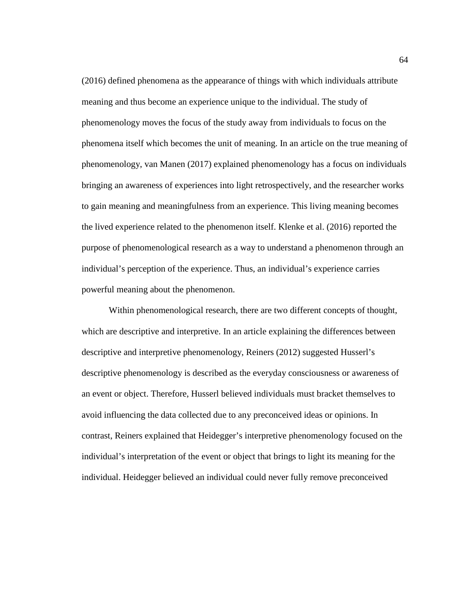(2016) defined phenomena as the appearance of things with which individuals attribute meaning and thus become an experience unique to the individual. The study of phenomenology moves the focus of the study away from individuals to focus on the phenomena itself which becomes the unit of meaning. In an article on the true meaning of phenomenology, van Manen (2017) explained phenomenology has a focus on individuals bringing an awareness of experiences into light retrospectively, and the researcher works to gain meaning and meaningfulness from an experience. This living meaning becomes the lived experience related to the phenomenon itself. Klenke et al. (2016) reported the purpose of phenomenological research as a way to understand a phenomenon through an individual's perception of the experience. Thus, an individual's experience carries powerful meaning about the phenomenon.

Within phenomenological research, there are two different concepts of thought, which are descriptive and interpretive. In an article explaining the differences between descriptive and interpretive phenomenology, Reiners (2012) suggested Husserl's descriptive phenomenology is described as the everyday consciousness or awareness of an event or object. Therefore, Husserl believed individuals must bracket themselves to avoid influencing the data collected due to any preconceived ideas or opinions. In contrast, Reiners explained that Heidegger's interpretive phenomenology focused on the individual's interpretation of the event or object that brings to light its meaning for the individual. Heidegger believed an individual could never fully remove preconceived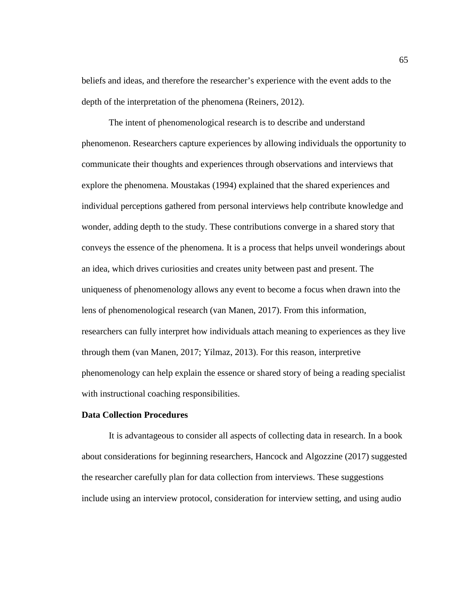beliefs and ideas, and therefore the researcher's experience with the event adds to the depth of the interpretation of the phenomena (Reiners, 2012).

The intent of phenomenological research is to describe and understand phenomenon. Researchers capture experiences by allowing individuals the opportunity to communicate their thoughts and experiences through observations and interviews that explore the phenomena. Moustakas (1994) explained that the shared experiences and individual perceptions gathered from personal interviews help contribute knowledge and wonder, adding depth to the study. These contributions converge in a shared story that conveys the essence of the phenomena. It is a process that helps unveil wonderings about an idea, which drives curiosities and creates unity between past and present. The uniqueness of phenomenology allows any event to become a focus when drawn into the lens of phenomenological research (van Manen, 2017). From this information, researchers can fully interpret how individuals attach meaning to experiences as they live through them (van Manen, 2017; Yilmaz, 2013). For this reason, interpretive phenomenology can help explain the essence or shared story of being a reading specialist with instructional coaching responsibilities.

# **Data Collection Procedures**

It is advantageous to consider all aspects of collecting data in research. In a book about considerations for beginning researchers, Hancock and Algozzine (2017) suggested the researcher carefully plan for data collection from interviews. These suggestions include using an interview protocol, consideration for interview setting, and using audio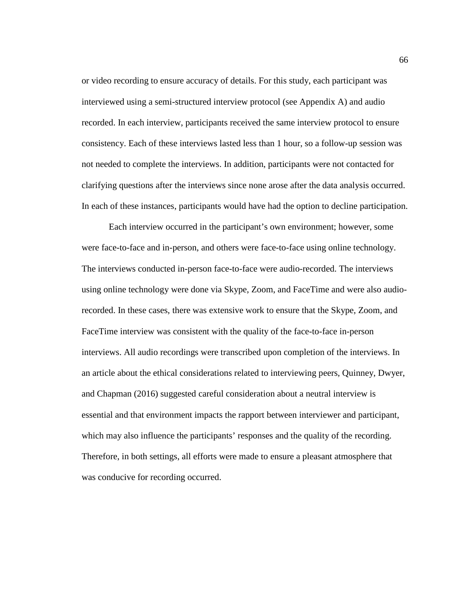or video recording to ensure accuracy of details. For this study, each participant was interviewed using a semi-structured interview protocol (see Appendix A) and audio recorded. In each interview, participants received the same interview protocol to ensure consistency. Each of these interviews lasted less than 1 hour, so a follow-up session was not needed to complete the interviews. In addition, participants were not contacted for clarifying questions after the interviews since none arose after the data analysis occurred. In each of these instances, participants would have had the option to decline participation.

Each interview occurred in the participant's own environment; however, some were face-to-face and in-person, and others were face-to-face using online technology. The interviews conducted in-person face-to-face were audio-recorded. The interviews using online technology were done via Skype, Zoom, and FaceTime and were also audiorecorded. In these cases, there was extensive work to ensure that the Skype, Zoom, and FaceTime interview was consistent with the quality of the face-to-face in-person interviews. All audio recordings were transcribed upon completion of the interviews. In an article about the ethical considerations related to interviewing peers, Quinney, Dwyer, and Chapman (2016) suggested careful consideration about a neutral interview is essential and that environment impacts the rapport between interviewer and participant, which may also influence the participants' responses and the quality of the recording. Therefore, in both settings, all efforts were made to ensure a pleasant atmosphere that was conducive for recording occurred.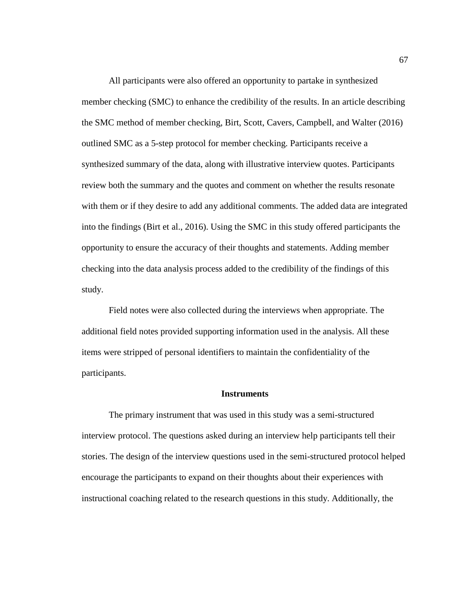All participants were also offered an opportunity to partake in synthesized member checking (SMC) to enhance the credibility of the results. In an article describing the SMC method of member checking, Birt, Scott, Cavers, Campbell, and Walter (2016) outlined SMC as a 5-step protocol for member checking. Participants receive a synthesized summary of the data, along with illustrative interview quotes. Participants review both the summary and the quotes and comment on whether the results resonate with them or if they desire to add any additional comments. The added data are integrated into the findings (Birt et al., 2016). Using the SMC in this study offered participants the opportunity to ensure the accuracy of their thoughts and statements. Adding member checking into the data analysis process added to the credibility of the findings of this study.

Field notes were also collected during the interviews when appropriate. The additional field notes provided supporting information used in the analysis. All these items were stripped of personal identifiers to maintain the confidentiality of the participants.

## **Instruments**

The primary instrument that was used in this study was a semi-structured interview protocol. The questions asked during an interview help participants tell their stories. The design of the interview questions used in the semi-structured protocol helped encourage the participants to expand on their thoughts about their experiences with instructional coaching related to the research questions in this study. Additionally, the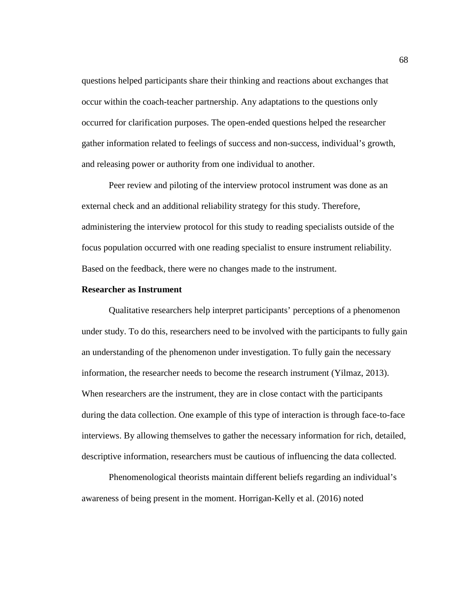questions helped participants share their thinking and reactions about exchanges that occur within the coach-teacher partnership. Any adaptations to the questions only occurred for clarification purposes. The open-ended questions helped the researcher gather information related to feelings of success and non-success, individual's growth, and releasing power or authority from one individual to another.

Peer review and piloting of the interview protocol instrument was done as an external check and an additional reliability strategy for this study. Therefore, administering the interview protocol for this study to reading specialists outside of the focus population occurred with one reading specialist to ensure instrument reliability. Based on the feedback, there were no changes made to the instrument.

## **Researcher as Instrument**

Qualitative researchers help interpret participants' perceptions of a phenomenon under study. To do this, researchers need to be involved with the participants to fully gain an understanding of the phenomenon under investigation. To fully gain the necessary information, the researcher needs to become the research instrument (Yilmaz, 2013). When researchers are the instrument, they are in close contact with the participants during the data collection. One example of this type of interaction is through face-to-face interviews. By allowing themselves to gather the necessary information for rich, detailed, descriptive information, researchers must be cautious of influencing the data collected.

Phenomenological theorists maintain different beliefs regarding an individual's awareness of being present in the moment. Horrigan-Kelly et al. (2016) noted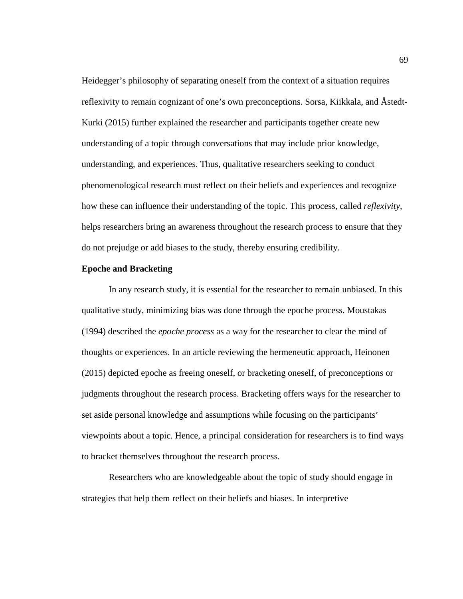Heidegger's philosophy of separating oneself from the context of a situation requires reflexivity to remain cognizant of one's own preconceptions. Sorsa, Kiikkala, and Åstedt-Kurki (2015) further explained the researcher and participants together create new understanding of a topic through conversations that may include prior knowledge, understanding, and experiences. Thus, qualitative researchers seeking to conduct phenomenological research must reflect on their beliefs and experiences and recognize how these can influence their understanding of the topic. This process, called *reflexivity*, helps researchers bring an awareness throughout the research process to ensure that they do not prejudge or add biases to the study, thereby ensuring credibility.

## **Epoche and Bracketing**

In any research study, it is essential for the researcher to remain unbiased. In this qualitative study, minimizing bias was done through the epoche process. Moustakas (1994) described the *epoche process* as a way for the researcher to clear the mind of thoughts or experiences. In an article reviewing the hermeneutic approach, Heinonen (2015) depicted epoche as freeing oneself, or bracketing oneself, of preconceptions or judgments throughout the research process. Bracketing offers ways for the researcher to set aside personal knowledge and assumptions while focusing on the participants' viewpoints about a topic. Hence, a principal consideration for researchers is to find ways to bracket themselves throughout the research process.

Researchers who are knowledgeable about the topic of study should engage in strategies that help them reflect on their beliefs and biases. In interpretive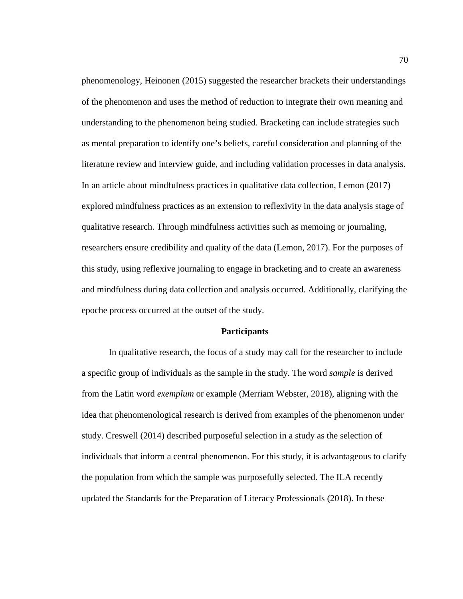phenomenology, Heinonen (2015) suggested the researcher brackets their understandings of the phenomenon and uses the method of reduction to integrate their own meaning and understanding to the phenomenon being studied. Bracketing can include strategies such as mental preparation to identify one's beliefs, careful consideration and planning of the literature review and interview guide, and including validation processes in data analysis. In an article about mindfulness practices in qualitative data collection, Lemon (2017) explored mindfulness practices as an extension to reflexivity in the data analysis stage of qualitative research. Through mindfulness activities such as memoing or journaling, researchers ensure credibility and quality of the data (Lemon, 2017). For the purposes of this study, using reflexive journaling to engage in bracketing and to create an awareness and mindfulness during data collection and analysis occurred. Additionally, clarifying the epoche process occurred at the outset of the study.

#### **Participants**

In qualitative research, the focus of a study may call for the researcher to include a specific group of individuals as the sample in the study. The word *sample* is derived from the Latin word *exemplum* or example (Merriam Webster, 2018), aligning with the idea that phenomenological research is derived from examples of the phenomenon under study. Creswell (2014) described purposeful selection in a study as the selection of individuals that inform a central phenomenon. For this study, it is advantageous to clarify the population from which the sample was purposefully selected. The ILA recently updated the Standards for the Preparation of Literacy Professionals (2018). In these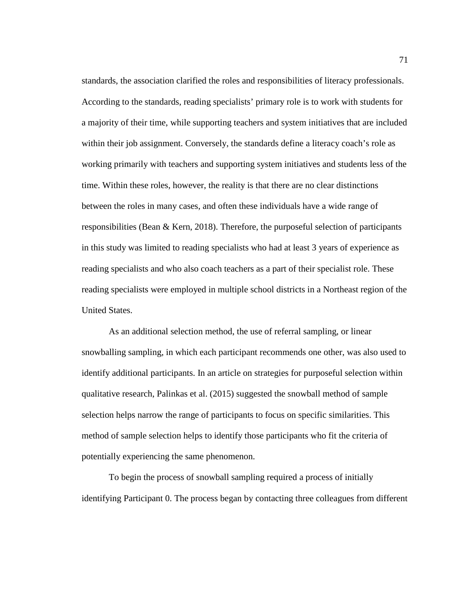standards, the association clarified the roles and responsibilities of literacy professionals. According to the standards, reading specialists' primary role is to work with students for a majority of their time, while supporting teachers and system initiatives that are included within their job assignment. Conversely, the standards define a literacy coach's role as working primarily with teachers and supporting system initiatives and students less of the time. Within these roles, however, the reality is that there are no clear distinctions between the roles in many cases, and often these individuals have a wide range of responsibilities (Bean & Kern, 2018). Therefore, the purposeful selection of participants in this study was limited to reading specialists who had at least 3 years of experience as reading specialists and who also coach teachers as a part of their specialist role. These reading specialists were employed in multiple school districts in a Northeast region of the United States.

As an additional selection method, the use of referral sampling, or linear snowballing sampling, in which each participant recommends one other, was also used to identify additional participants. In an article on strategies for purposeful selection within qualitative research, Palinkas et al. (2015) suggested the snowball method of sample selection helps narrow the range of participants to focus on specific similarities. This method of sample selection helps to identify those participants who fit the criteria of potentially experiencing the same phenomenon.

To begin the process of snowball sampling required a process of initially identifying Participant 0. The process began by contacting three colleagues from different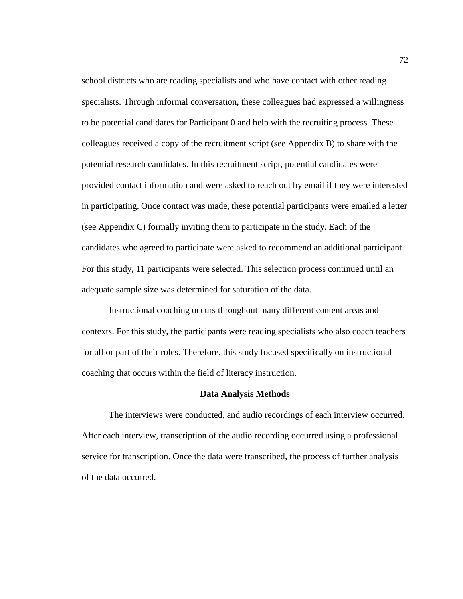school districts who are reading specialists and who have contact with other reading specialists. Through informal conversation, these colleagues had expressed a willingness to be potential candidates for Participant 0 and help with the recruiting process. These colleagues received a copy of the recruitment script (see Appendix B) to share with the potential research candidates. In this recruitment script, potential candidates were provided contact information and were asked to reach out by email if they were interested in participating. Once contact was made, these potential participants were emailed a letter (see Appendix C) formally inviting them to participate in the study. Each of the candidates who agreed to participate were asked to recommend an additional participant. For this study, 11 participants were selected. This selection process continued until an adequate sample size was determined for saturation of the data.

Instructional coaching occurs throughout many different content areas and contexts. For this study, the participants were reading specialists who also coach teachers for all or part of their roles. Therefore, this study focused specifically on instructional coaching that occurs within the field of literacy instruction.

#### **Data Analysis Methods**

The interviews were conducted, and audio recordings of each interview occurred. After each interview, transcription of the audio recording occurred using a professional service for transcription. Once the data were transcribed, the process of further analysis of the data occurred.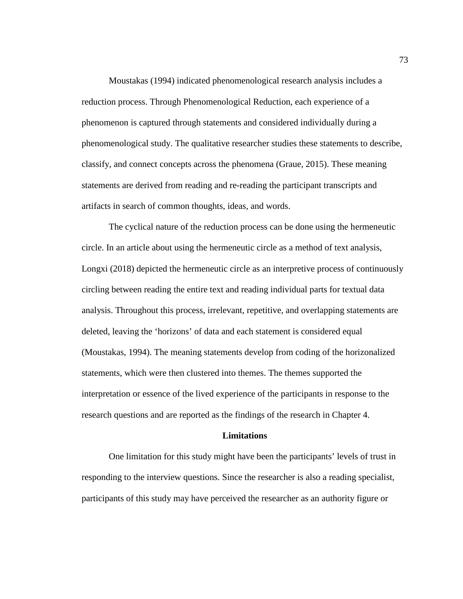Moustakas (1994) indicated phenomenological research analysis includes a reduction process. Through Phenomenological Reduction, each experience of a phenomenon is captured through statements and considered individually during a phenomenological study. The qualitative researcher studies these statements to describe, classify, and connect concepts across the phenomena (Graue, 2015). These meaning statements are derived from reading and re-reading the participant transcripts and artifacts in search of common thoughts, ideas, and words.

The cyclical nature of the reduction process can be done using the hermeneutic circle. In an article about using the hermeneutic circle as a method of text analysis, Longxi (2018) depicted the hermeneutic circle as an interpretive process of continuously circling between reading the entire text and reading individual parts for textual data analysis. Throughout this process, irrelevant, repetitive, and overlapping statements are deleted, leaving the 'horizons' of data and each statement is considered equal (Moustakas, 1994). The meaning statements develop from coding of the horizonalized statements, which were then clustered into themes. The themes supported the interpretation or essence of the lived experience of the participants in response to the research questions and are reported as the findings of the research in Chapter 4.

## **Limitations**

One limitation for this study might have been the participants' levels of trust in responding to the interview questions. Since the researcher is also a reading specialist, participants of this study may have perceived the researcher as an authority figure or

73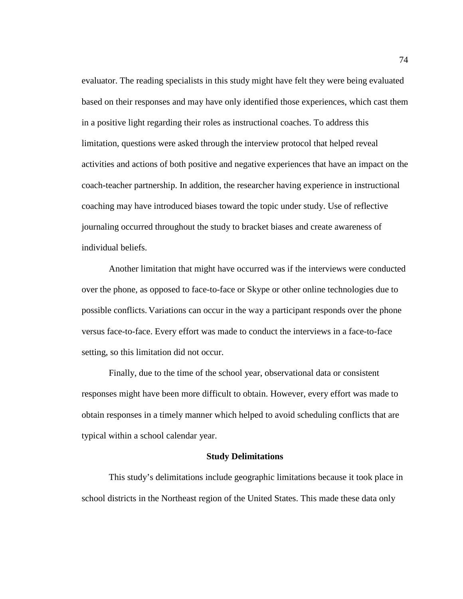evaluator. The reading specialists in this study might have felt they were being evaluated based on their responses and may have only identified those experiences, which cast them in a positive light regarding their roles as instructional coaches. To address this limitation, questions were asked through the interview protocol that helped reveal activities and actions of both positive and negative experiences that have an impact on the coach-teacher partnership. In addition, the researcher having experience in instructional coaching may have introduced biases toward the topic under study. Use of reflective journaling occurred throughout the study to bracket biases and create awareness of individual beliefs.

Another limitation that might have occurred was if the interviews were conducted over the phone, as opposed to face-to-face or Skype or other online technologies due to possible conflicts. Variations can occur in the way a participant responds over the phone versus face-to-face. Every effort was made to conduct the interviews in a face-to-face setting, so this limitation did not occur.

Finally, due to the time of the school year, observational data or consistent responses might have been more difficult to obtain. However, every effort was made to obtain responses in a timely manner which helped to avoid scheduling conflicts that are typical within a school calendar year.

### **Study Delimitations**

This study's delimitations include geographic limitations because it took place in school districts in the Northeast region of the United States. This made these data only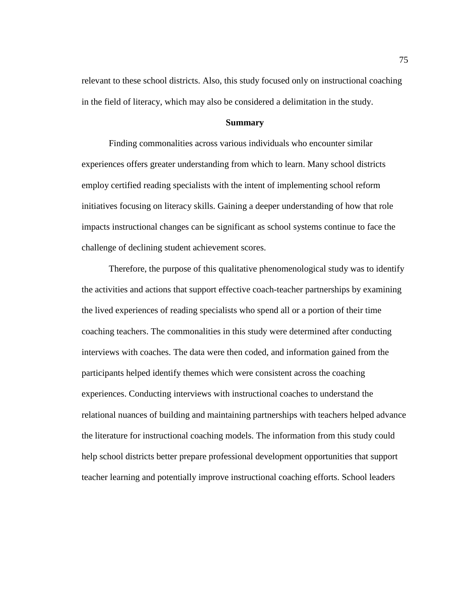relevant to these school districts. Also, this study focused only on instructional coaching in the field of literacy, which may also be considered a delimitation in the study.

## **Summary**

Finding commonalities across various individuals who encounter similar experiences offers greater understanding from which to learn. Many school districts employ certified reading specialists with the intent of implementing school reform initiatives focusing on literacy skills. Gaining a deeper understanding of how that role impacts instructional changes can be significant as school systems continue to face the challenge of declining student achievement scores.

Therefore, the purpose of this qualitative phenomenological study was to identify the activities and actions that support effective coach-teacher partnerships by examining the lived experiences of reading specialists who spend all or a portion of their time coaching teachers. The commonalities in this study were determined after conducting interviews with coaches. The data were then coded, and information gained from the participants helped identify themes which were consistent across the coaching experiences. Conducting interviews with instructional coaches to understand the relational nuances of building and maintaining partnerships with teachers helped advance the literature for instructional coaching models. The information from this study could help school districts better prepare professional development opportunities that support teacher learning and potentially improve instructional coaching efforts. School leaders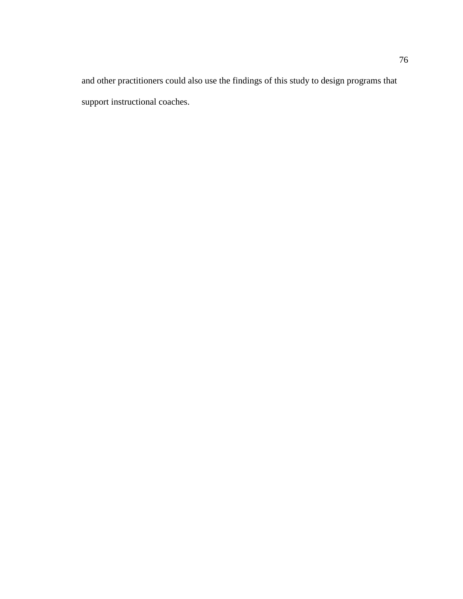and other practitioners could also use the findings of this study to design programs that support instructional coaches.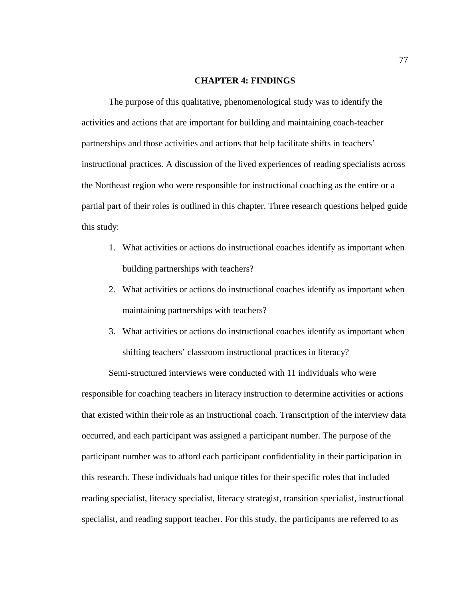## **CHAPTER 4: FINDINGS**

The purpose of this qualitative, phenomenological study was to identify the activities and actions that are important for building and maintaining coach-teacher partnerships and those activities and actions that help facilitate shifts in teachers' instructional practices. A discussion of the lived experiences of reading specialists across the Northeast region who were responsible for instructional coaching as the entire or a partial part of their roles is outlined in this chapter. Three research questions helped guide this study:

- 1. What activities or actions do instructional coaches identify as important when building partnerships with teachers?
- 2. What activities or actions do instructional coaches identify as important when maintaining partnerships with teachers?
- 3. What activities or actions do instructional coaches identify as important when shifting teachers' classroom instructional practices in literacy?

Semi-structured interviews were conducted with 11 individuals who were responsible for coaching teachers in literacy instruction to determine activities or actions that existed within their role as an instructional coach. Transcription of the interview data occurred, and each participant was assigned a participant number. The purpose of the participant number was to afford each participant confidentiality in their participation in this research. These individuals had unique titles for their specific roles that included reading specialist, literacy specialist, literacy strategist, transition specialist, instructional specialist, and reading support teacher. For this study, the participants are referred to as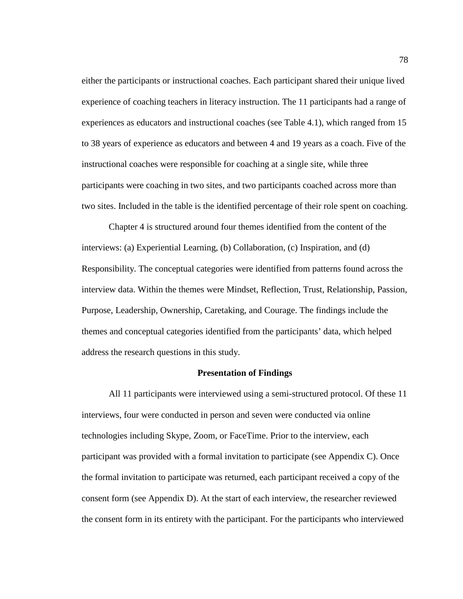either the participants or instructional coaches. Each participant shared their unique lived experience of coaching teachers in literacy instruction. The 11 participants had a range of experiences as educators and instructional coaches (see Table 4.1), which ranged from 15 to 38 years of experience as educators and between 4 and 19 years as a coach. Five of the instructional coaches were responsible for coaching at a single site, while three participants were coaching in two sites, and two participants coached across more than two sites. Included in the table is the identified percentage of their role spent on coaching.

Chapter 4 is structured around four themes identified from the content of the interviews: (a) Experiential Learning, (b) Collaboration, (c) Inspiration, and (d) Responsibility. The conceptual categories were identified from patterns found across the interview data. Within the themes were Mindset, Reflection, Trust, Relationship, Passion, Purpose, Leadership, Ownership, Caretaking, and Courage. The findings include the themes and conceptual categories identified from the participants' data, which helped address the research questions in this study.

#### **Presentation of Findings**

All 11 participants were interviewed using a semi-structured protocol. Of these 11 interviews, four were conducted in person and seven were conducted via online technologies including Skype, Zoom, or FaceTime. Prior to the interview, each participant was provided with a formal invitation to participate (see Appendix C). Once the formal invitation to participate was returned, each participant received a copy of the consent form (see Appendix D). At the start of each interview, the researcher reviewed the consent form in its entirety with the participant. For the participants who interviewed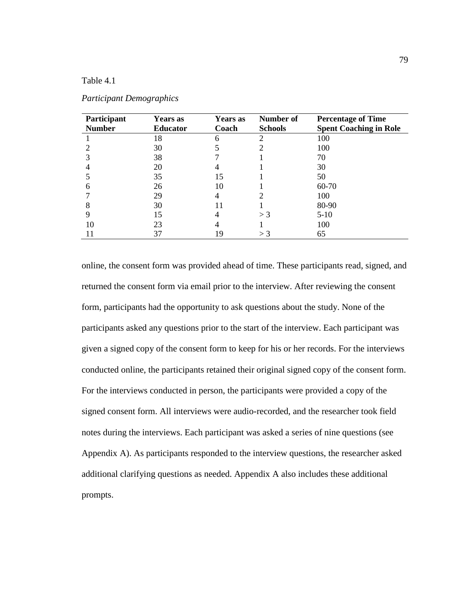# Table 4.1

| Participant   | <b>Years</b> as | Years as | Number of      | <b>Percentage of Time</b>     |
|---------------|-----------------|----------|----------------|-------------------------------|
| <b>Number</b> | <b>Educator</b> | Coach    | <b>Schools</b> | <b>Spent Coaching in Role</b> |
|               | 18              | 6        |                | 100                           |
|               | 30              |          |                | 100                           |
|               | 38              |          |                | 70                            |
|               | 20              |          |                | 30                            |
|               | 35              | 15       |                | 50                            |
| 6             | 26              | 10       |                | 60-70                         |
|               | 29              |          |                | 100                           |
| 8             | 30              | 11       |                | 80-90                         |
|               | 15              |          | $>$ 3          | $5-10$                        |
| 10            | 23              |          |                | 100                           |
|               | 37              | 19       | $>$ 3          | 65                            |

## *Participant Demographics*

online, the consent form was provided ahead of time. These participants read, signed, and returned the consent form via email prior to the interview. After reviewing the consent form, participants had the opportunity to ask questions about the study. None of the participants asked any questions prior to the start of the interview. Each participant was given a signed copy of the consent form to keep for his or her records. For the interviews conducted online, the participants retained their original signed copy of the consent form. For the interviews conducted in person, the participants were provided a copy of the signed consent form. All interviews were audio-recorded, and the researcher took field notes during the interviews. Each participant was asked a series of nine questions (see Appendix A). As participants responded to the interview questions, the researcher asked additional clarifying questions as needed. Appendix A also includes these additional prompts.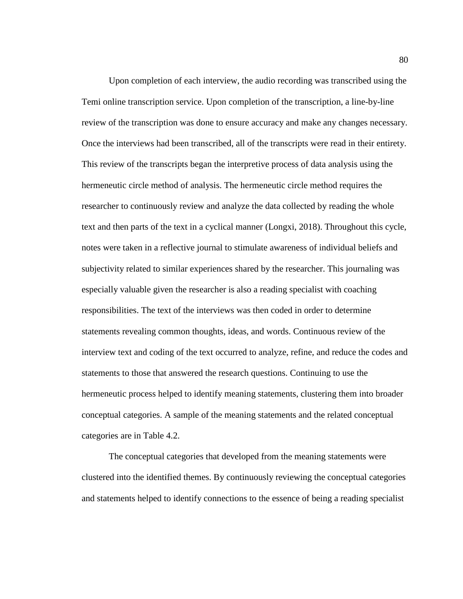Upon completion of each interview, the audio recording was transcribed using the Temi online transcription service. Upon completion of the transcription, a line-by-line review of the transcription was done to ensure accuracy and make any changes necessary. Once the interviews had been transcribed, all of the transcripts were read in their entirety. This review of the transcripts began the interpretive process of data analysis using the hermeneutic circle method of analysis. The hermeneutic circle method requires the researcher to continuously review and analyze the data collected by reading the whole text and then parts of the text in a cyclical manner (Longxi, 2018). Throughout this cycle, notes were taken in a reflective journal to stimulate awareness of individual beliefs and subjectivity related to similar experiences shared by the researcher. This journaling was especially valuable given the researcher is also a reading specialist with coaching responsibilities. The text of the interviews was then coded in order to determine statements revealing common thoughts, ideas, and words. Continuous review of the interview text and coding of the text occurred to analyze, refine, and reduce the codes and statements to those that answered the research questions. Continuing to use the hermeneutic process helped to identify meaning statements, clustering them into broader conceptual categories. A sample of the meaning statements and the related conceptual categories are in Table 4.2.

The conceptual categories that developed from the meaning statements were clustered into the identified themes. By continuously reviewing the conceptual categories and statements helped to identify connections to the essence of being a reading specialist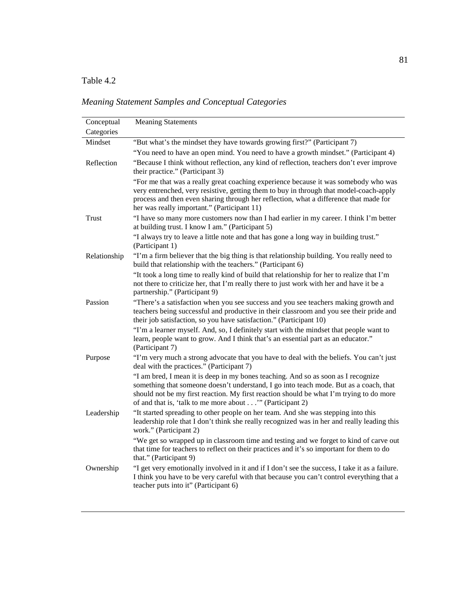# Table 4.2

*Meaning Statement Samples and Conceptual Categories*

| Conceptual   | <b>Meaning Statements</b>                                                                                                                                                                                                                                                                                                         |
|--------------|-----------------------------------------------------------------------------------------------------------------------------------------------------------------------------------------------------------------------------------------------------------------------------------------------------------------------------------|
| Categories   |                                                                                                                                                                                                                                                                                                                                   |
| Mindset      | "But what's the mindset they have towards growing first?" (Participant 7)                                                                                                                                                                                                                                                         |
|              | "You need to have an open mind. You need to have a growth mindset." (Participant 4)                                                                                                                                                                                                                                               |
| Reflection   | "Because I think without reflection, any kind of reflection, teachers don't ever improve<br>their practice." (Participant 3)                                                                                                                                                                                                      |
|              | "For me that was a really great coaching experience because it was somebody who was<br>very entrenched, very resistive, getting them to buy in through that model-coach-apply<br>process and then even sharing through her reflection, what a difference that made for<br>her was really important." (Participant 11)             |
| Trust        | "I have so many more customers now than I had earlier in my career. I think I'm better<br>at building trust. I know I am." (Participant 5)                                                                                                                                                                                        |
|              | "I always try to leave a little note and that has gone a long way in building trust."<br>(Participant 1)                                                                                                                                                                                                                          |
| Relationship | "I'm a firm believer that the big thing is that relationship building. You really need to<br>build that relationship with the teachers." (Participant 6)                                                                                                                                                                          |
|              | "It took a long time to really kind of build that relationship for her to realize that I'm<br>not there to criticize her, that I'm really there to just work with her and have it be a<br>partnership." (Participant 9)                                                                                                           |
| Passion      | "There's a satisfaction when you see success and you see teachers making growth and<br>teachers being successful and productive in their classroom and you see their pride and<br>their job satisfaction, so you have satisfaction." (Participant 10)                                                                             |
|              | "I'm a learner myself. And, so, I definitely start with the mindset that people want to<br>learn, people want to grow. And I think that's an essential part as an educator."<br>(Participant 7)                                                                                                                                   |
| Purpose      | "I'm very much a strong advocate that you have to deal with the beliefs. You can't just<br>deal with the practices." (Participant 7)                                                                                                                                                                                              |
|              | "I am bred, I mean it is deep in my bones teaching. And so as soon as I recognize<br>something that someone doesn't understand, I go into teach mode. But as a coach, that<br>should not be my first reaction. My first reaction should be what I'm trying to do more<br>of and that is, 'talk to me more about'" (Participant 2) |
| Leadership   | "It started spreading to other people on her team. And she was stepping into this<br>leadership role that I don't think she really recognized was in her and really leading this<br>work." (Participant 2)                                                                                                                        |
|              | "We get so wrapped up in classroom time and testing and we forget to kind of carve out<br>that time for teachers to reflect on their practices and it's so important for them to do<br>that." (Participant 9)                                                                                                                     |
| Ownership    | "I get very emotionally involved in it and if I don't see the success, I take it as a failure.<br>I think you have to be very careful with that because you can't control everything that a<br>teacher puts into it" (Participant 6)                                                                                              |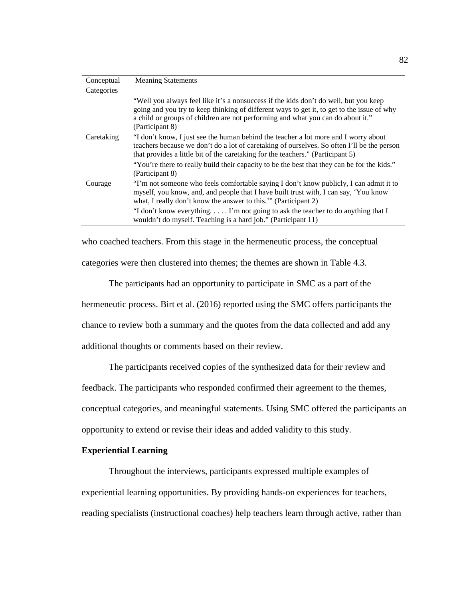| Conceptual | <b>Meaning Statements</b>                                                                                                                                                                                                                                                                |
|------------|------------------------------------------------------------------------------------------------------------------------------------------------------------------------------------------------------------------------------------------------------------------------------------------|
| Categories |                                                                                                                                                                                                                                                                                          |
|            | "Well you always feel like it's a nonsuccess if the kids don't do well, but you keep<br>going and you try to keep thinking of different ways to get it, to get to the issue of why<br>a child or groups of children are not performing and what you can do about it."<br>(Participant 8) |
| Caretaking | "I don't know, I just see the human behind the teacher a lot more and I worry about<br>teachers because we don't do a lot of caretaking of ourselves. So often I'll be the person<br>that provides a little bit of the caretaking for the teachers." (Participant 5)                     |
|            | "You're there to really build their capacity to be the best that they can be for the kids."<br>(Participant 8)                                                                                                                                                                           |
| Courage    | "I'm not someone who feels comfortable saying I don't know publicly, I can admit it to<br>myself, you know, and, and people that I have built trust with, I can say, 'You know<br>what, I really don't know the answer to this." (Participant 2)                                         |
|            | "I don't know everything I'm not going to ask the teacher to do anything that I<br>wouldn't do myself. Teaching is a hard job." (Participant 11)                                                                                                                                         |

who coached teachers. From this stage in the hermeneutic process, the conceptual categories were then clustered into themes; the themes are shown in Table 4.3.

The participants had an opportunity to participate in SMC as a part of the hermeneutic process. Birt et al. (2016) reported using the SMC offers participants the chance to review both a summary and the quotes from the data collected and add any additional thoughts or comments based on their review.

The participants received copies of the synthesized data for their review and

feedback. The participants who responded confirmed their agreement to the themes,

conceptual categories, and meaningful statements. Using SMC offered the participants an

opportunity to extend or revise their ideas and added validity to this study.

# **Experiential Learning**

Throughout the interviews, participants expressed multiple examples of experiential learning opportunities. By providing hands-on experiences for teachers, reading specialists (instructional coaches) help teachers learn through active, rather than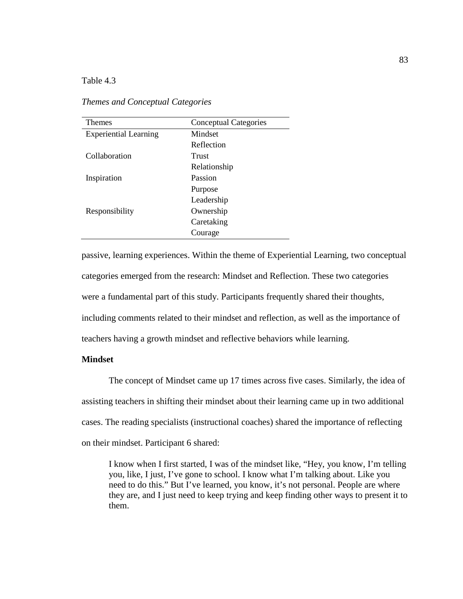Table 4.3

| <b>Themes</b>                | <b>Conceptual Categories</b> |
|------------------------------|------------------------------|
| <b>Experiential Learning</b> | Mindset                      |
|                              | Reflection                   |
| Collaboration                | Trust                        |
|                              | Relationship                 |
| Inspiration                  | Passion                      |
|                              | Purpose                      |
|                              | Leadership                   |
| Responsibility               | Ownership                    |
|                              | Caretaking                   |
|                              | Courage                      |

*Themes and Conceptual Categories*

passive, learning experiences. Within the theme of Experiential Learning, two conceptual categories emerged from the research: Mindset and Reflection. These two categories were a fundamental part of this study. Participants frequently shared their thoughts, including comments related to their mindset and reflection, as well as the importance of teachers having a growth mindset and reflective behaviors while learning.

# **Mindset**

The concept of Mindset came up 17 times across five cases. Similarly, the idea of assisting teachers in shifting their mindset about their learning came up in two additional cases. The reading specialists (instructional coaches) shared the importance of reflecting on their mindset. Participant 6 shared:

I know when I first started, I was of the mindset like, "Hey, you know, I'm telling you, like, I just, I've gone to school. I know what I'm talking about. Like you need to do this." But I've learned, you know, it's not personal. People are where they are, and I just need to keep trying and keep finding other ways to present it to them.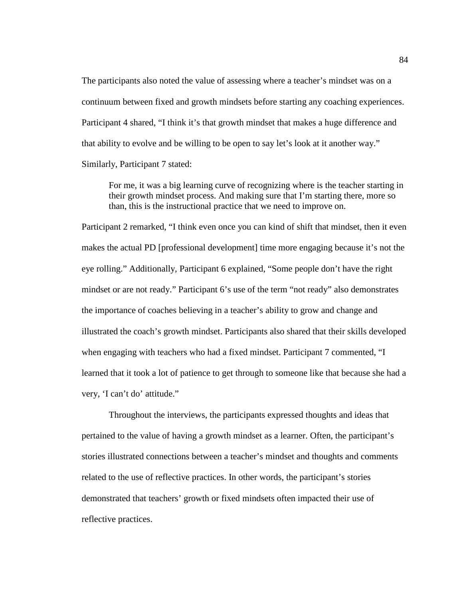The participants also noted the value of assessing where a teacher's mindset was on a continuum between fixed and growth mindsets before starting any coaching experiences. Participant 4 shared, "I think it's that growth mindset that makes a huge difference and that ability to evolve and be willing to be open to say let's look at it another way." Similarly, Participant 7 stated:

For me, it was a big learning curve of recognizing where is the teacher starting in their growth mindset process. And making sure that I'm starting there, more so than, this is the instructional practice that we need to improve on.

Participant 2 remarked, "I think even once you can kind of shift that mindset, then it even makes the actual PD [professional development] time more engaging because it's not the eye rolling." Additionally, Participant 6 explained, "Some people don't have the right mindset or are not ready." Participant 6's use of the term "not ready" also demonstrates the importance of coaches believing in a teacher's ability to grow and change and illustrated the coach's growth mindset. Participants also shared that their skills developed when engaging with teachers who had a fixed mindset. Participant 7 commented, "I learned that it took a lot of patience to get through to someone like that because she had a very, 'I can't do' attitude."

Throughout the interviews, the participants expressed thoughts and ideas that pertained to the value of having a growth mindset as a learner. Often, the participant's stories illustrated connections between a teacher's mindset and thoughts and comments related to the use of reflective practices. In other words, the participant's stories demonstrated that teachers' growth or fixed mindsets often impacted their use of reflective practices.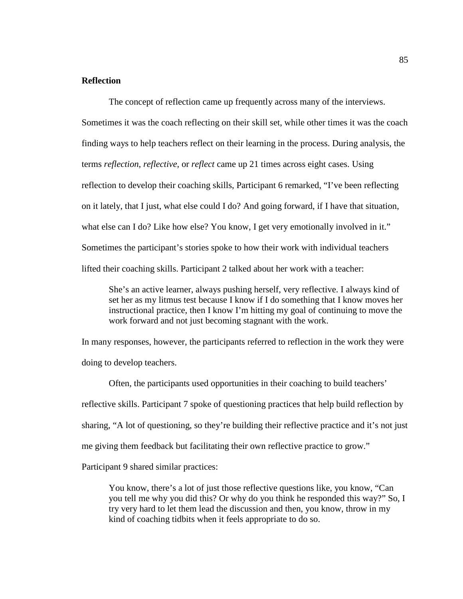# **Reflection**

The concept of reflection came up frequently across many of the interviews.

Sometimes it was the coach reflecting on their skill set, while other times it was the coach finding ways to help teachers reflect on their learning in the process. During analysis, the terms *reflection*, *reflective*, or *reflect* came up 21 times across eight cases. Using reflection to develop their coaching skills, Participant 6 remarked, "I've been reflecting on it lately, that I just, what else could I do? And going forward, if I have that situation, what else can I do? Like how else? You know, I get very emotionally involved in it." Sometimes the participant's stories spoke to how their work with individual teachers lifted their coaching skills. Participant 2 talked about her work with a teacher:

She's an active learner, always pushing herself, very reflective. I always kind of set her as my litmus test because I know if I do something that I know moves her instructional practice, then I know I'm hitting my goal of continuing to move the work forward and not just becoming stagnant with the work.

In many responses, however, the participants referred to reflection in the work they were doing to develop teachers.

Often, the participants used opportunities in their coaching to build teachers' reflective skills. Participant 7 spoke of questioning practices that help build reflection by sharing, "A lot of questioning, so they're building their reflective practice and it's not just me giving them feedback but facilitating their own reflective practice to grow."

Participant 9 shared similar practices:

You know, there's a lot of just those reflective questions like, you know, "Can you tell me why you did this? Or why do you think he responded this way?" So, I try very hard to let them lead the discussion and then, you know, throw in my kind of coaching tidbits when it feels appropriate to do so.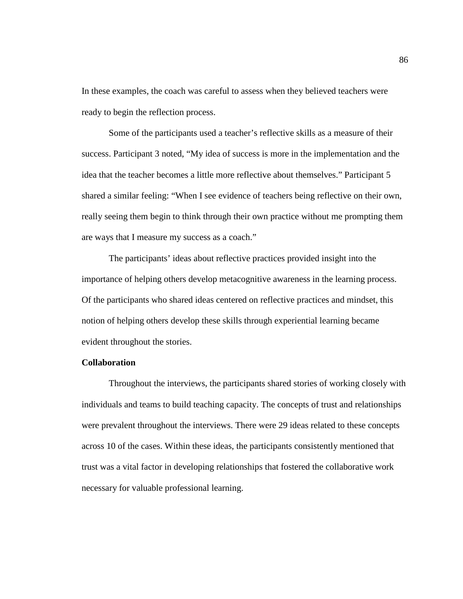In these examples, the coach was careful to assess when they believed teachers were ready to begin the reflection process.

Some of the participants used a teacher's reflective skills as a measure of their success. Participant 3 noted, "My idea of success is more in the implementation and the idea that the teacher becomes a little more reflective about themselves." Participant 5 shared a similar feeling: "When I see evidence of teachers being reflective on their own, really seeing them begin to think through their own practice without me prompting them are ways that I measure my success as a coach."

The participants' ideas about reflective practices provided insight into the importance of helping others develop metacognitive awareness in the learning process. Of the participants who shared ideas centered on reflective practices and mindset, this notion of helping others develop these skills through experiential learning became evident throughout the stories.

# **Collaboration**

Throughout the interviews, the participants shared stories of working closely with individuals and teams to build teaching capacity. The concepts of trust and relationships were prevalent throughout the interviews. There were 29 ideas related to these concepts across 10 of the cases. Within these ideas, the participants consistently mentioned that trust was a vital factor in developing relationships that fostered the collaborative work necessary for valuable professional learning.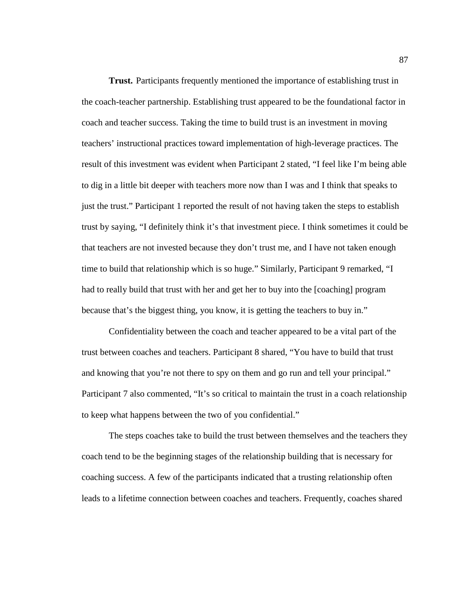**Trust.** Participants frequently mentioned the importance of establishing trust in the coach-teacher partnership. Establishing trust appeared to be the foundational factor in coach and teacher success. Taking the time to build trust is an investment in moving teachers' instructional practices toward implementation of high-leverage practices. The result of this investment was evident when Participant 2 stated, "I feel like I'm being able to dig in a little bit deeper with teachers more now than I was and I think that speaks to just the trust." Participant 1 reported the result of not having taken the steps to establish trust by saying, "I definitely think it's that investment piece. I think sometimes it could be that teachers are not invested because they don't trust me, and I have not taken enough time to build that relationship which is so huge." Similarly, Participant 9 remarked, "I had to really build that trust with her and get her to buy into the [coaching] program because that's the biggest thing, you know, it is getting the teachers to buy in."

Confidentiality between the coach and teacher appeared to be a vital part of the trust between coaches and teachers. Participant 8 shared, "You have to build that trust and knowing that you're not there to spy on them and go run and tell your principal." Participant 7 also commented, "It's so critical to maintain the trust in a coach relationship to keep what happens between the two of you confidential."

The steps coaches take to build the trust between themselves and the teachers they coach tend to be the beginning stages of the relationship building that is necessary for coaching success. A few of the participants indicated that a trusting relationship often leads to a lifetime connection between coaches and teachers. Frequently, coaches shared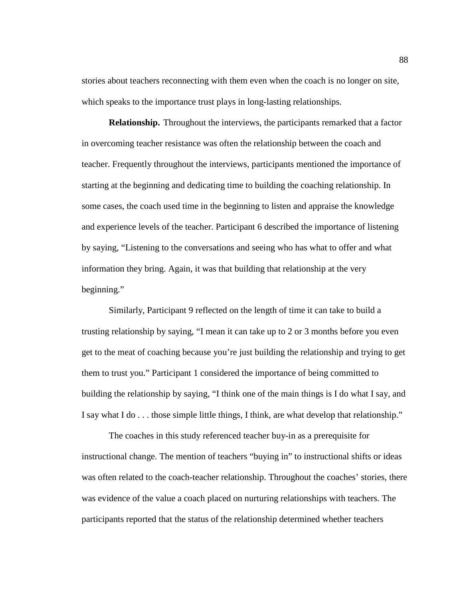stories about teachers reconnecting with them even when the coach is no longer on site, which speaks to the importance trust plays in long-lasting relationships.

**Relationship.** Throughout the interviews, the participants remarked that a factor in overcoming teacher resistance was often the relationship between the coach and teacher. Frequently throughout the interviews, participants mentioned the importance of starting at the beginning and dedicating time to building the coaching relationship. In some cases, the coach used time in the beginning to listen and appraise the knowledge and experience levels of the teacher. Participant 6 described the importance of listening by saying, "Listening to the conversations and seeing who has what to offer and what information they bring. Again, it was that building that relationship at the very beginning."

Similarly, Participant 9 reflected on the length of time it can take to build a trusting relationship by saying, "I mean it can take up to 2 or 3 months before you even get to the meat of coaching because you're just building the relationship and trying to get them to trust you." Participant 1 considered the importance of being committed to building the relationship by saying, "I think one of the main things is I do what I say, and I say what I do . . . those simple little things, I think, are what develop that relationship."

The coaches in this study referenced teacher buy-in as a prerequisite for instructional change. The mention of teachers "buying in" to instructional shifts or ideas was often related to the coach-teacher relationship. Throughout the coaches' stories, there was evidence of the value a coach placed on nurturing relationships with teachers. The participants reported that the status of the relationship determined whether teachers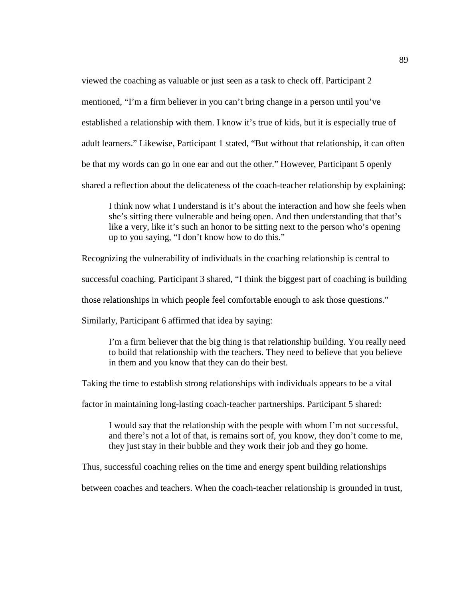viewed the coaching as valuable or just seen as a task to check off. Participant 2 mentioned, "I'm a firm believer in you can't bring change in a person until you've established a relationship with them. I know it's true of kids, but it is especially true of adult learners." Likewise, Participant 1 stated, "But without that relationship, it can often be that my words can go in one ear and out the other." However, Participant 5 openly shared a reflection about the delicateness of the coach-teacher relationship by explaining:

I think now what I understand is it's about the interaction and how she feels when she's sitting there vulnerable and being open. And then understanding that that's like a very, like it's such an honor to be sitting next to the person who's opening up to you saying, "I don't know how to do this."

Recognizing the vulnerability of individuals in the coaching relationship is central to

successful coaching. Participant 3 shared, "I think the biggest part of coaching is building

those relationships in which people feel comfortable enough to ask those questions."

Similarly, Participant 6 affirmed that idea by saying:

I'm a firm believer that the big thing is that relationship building. You really need to build that relationship with the teachers. They need to believe that you believe in them and you know that they can do their best.

Taking the time to establish strong relationships with individuals appears to be a vital

factor in maintaining long-lasting coach-teacher partnerships. Participant 5 shared:

I would say that the relationship with the people with whom I'm not successful, and there's not a lot of that, is remains sort of, you know, they don't come to me, they just stay in their bubble and they work their job and they go home.

Thus, successful coaching relies on the time and energy spent building relationships

between coaches and teachers. When the coach-teacher relationship is grounded in trust,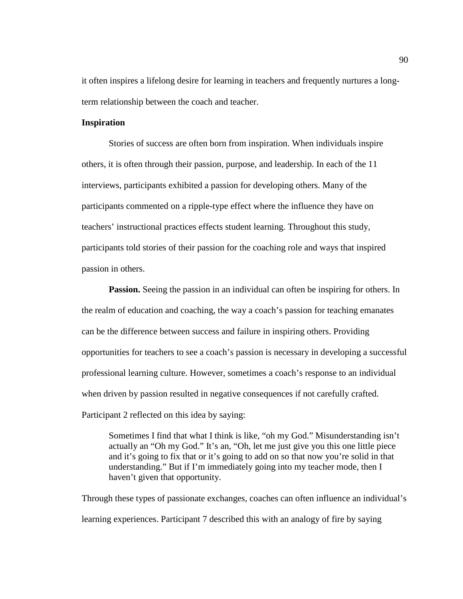it often inspires a lifelong desire for learning in teachers and frequently nurtures a longterm relationship between the coach and teacher.

# **Inspiration**

Stories of success are often born from inspiration. When individuals inspire others, it is often through their passion, purpose, and leadership. In each of the 11 interviews, participants exhibited a passion for developing others. Many of the participants commented on a ripple-type effect where the influence they have on teachers' instructional practices effects student learning. Throughout this study, participants told stories of their passion for the coaching role and ways that inspired passion in others.

**Passion.** Seeing the passion in an individual can often be inspiring for others. In the realm of education and coaching, the way a coach's passion for teaching emanates can be the difference between success and failure in inspiring others. Providing opportunities for teachers to see a coach's passion is necessary in developing a successful professional learning culture. However, sometimes a coach's response to an individual when driven by passion resulted in negative consequences if not carefully crafted. Participant 2 reflected on this idea by saying:

Sometimes I find that what I think is like, "oh my God." Misunderstanding isn't actually an "Oh my God." It's an, "Oh, let me just give you this one little piece and it's going to fix that or it's going to add on so that now you're solid in that understanding." But if I'm immediately going into my teacher mode, then I haven't given that opportunity.

Through these types of passionate exchanges, coaches can often influence an individual's learning experiences. Participant 7 described this with an analogy of fire by saying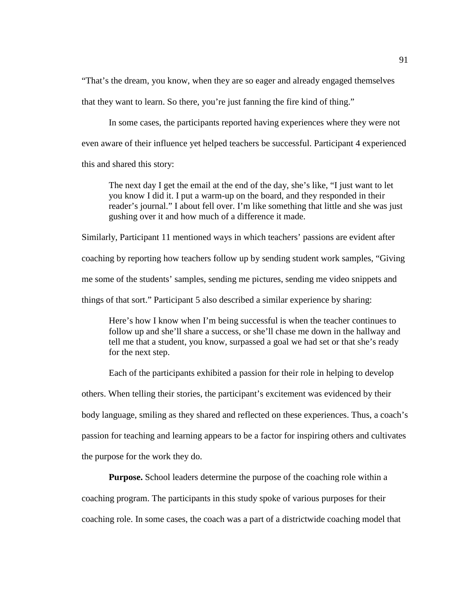"That's the dream, you know, when they are so eager and already engaged themselves that they want to learn. So there, you're just fanning the fire kind of thing."

In some cases, the participants reported having experiences where they were not even aware of their influence yet helped teachers be successful. Participant 4 experienced this and shared this story:

The next day I get the email at the end of the day, she's like, "I just want to let you know I did it. I put a warm-up on the board, and they responded in their reader's journal." I about fell over. I'm like something that little and she was just gushing over it and how much of a difference it made.

Similarly, Participant 11 mentioned ways in which teachers' passions are evident after coaching by reporting how teachers follow up by sending student work samples, "Giving me some of the students' samples, sending me pictures, sending me video snippets and things of that sort." Participant 5 also described a similar experience by sharing:

Here's how I know when I'm being successful is when the teacher continues to follow up and she'll share a success, or she'll chase me down in the hallway and tell me that a student, you know, surpassed a goal we had set or that she's ready for the next step.

Each of the participants exhibited a passion for their role in helping to develop others. When telling their stories, the participant's excitement was evidenced by their body language, smiling as they shared and reflected on these experiences. Thus, a coach's passion for teaching and learning appears to be a factor for inspiring others and cultivates the purpose for the work they do.

**Purpose.** School leaders determine the purpose of the coaching role within a coaching program. The participants in this study spoke of various purposes for their coaching role. In some cases, the coach was a part of a districtwide coaching model that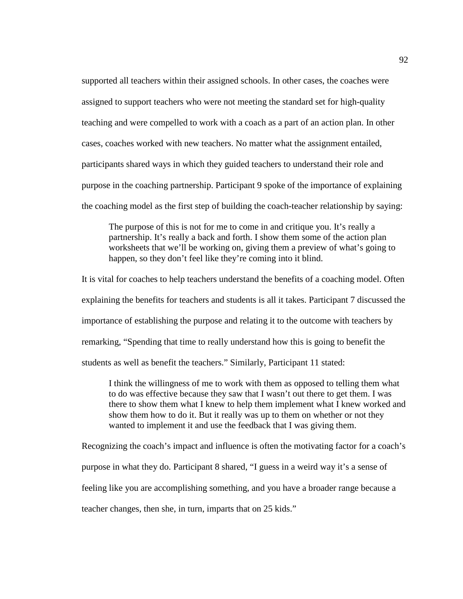supported all teachers within their assigned schools. In other cases, the coaches were assigned to support teachers who were not meeting the standard set for high-quality teaching and were compelled to work with a coach as a part of an action plan. In other cases, coaches worked with new teachers. No matter what the assignment entailed, participants shared ways in which they guided teachers to understand their role and purpose in the coaching partnership. Participant 9 spoke of the importance of explaining the coaching model as the first step of building the coach-teacher relationship by saying:

The purpose of this is not for me to come in and critique you. It's really a partnership. It's really a back and forth. I show them some of the action plan worksheets that we'll be working on, giving them a preview of what's going to happen, so they don't feel like they're coming into it blind.

It is vital for coaches to help teachers understand the benefits of a coaching model. Often explaining the benefits for teachers and students is all it takes. Participant 7 discussed the importance of establishing the purpose and relating it to the outcome with teachers by remarking, "Spending that time to really understand how this is going to benefit the students as well as benefit the teachers." Similarly, Participant 11 stated:

I think the willingness of me to work with them as opposed to telling them what to do was effective because they saw that I wasn't out there to get them. I was there to show them what I knew to help them implement what I knew worked and show them how to do it. But it really was up to them on whether or not they wanted to implement it and use the feedback that I was giving them.

Recognizing the coach's impact and influence is often the motivating factor for a coach's purpose in what they do. Participant 8 shared, "I guess in a weird way it's a sense of feeling like you are accomplishing something, and you have a broader range because a teacher changes, then she, in turn, imparts that on 25 kids."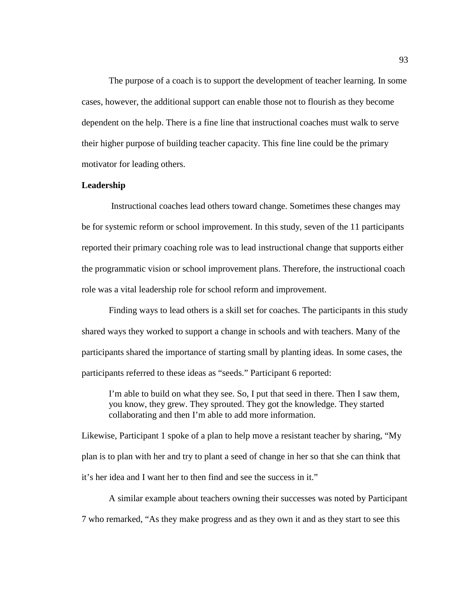The purpose of a coach is to support the development of teacher learning. In some cases, however, the additional support can enable those not to flourish as they become dependent on the help. There is a fine line that instructional coaches must walk to serve their higher purpose of building teacher capacity. This fine line could be the primary motivator for leading others.

#### **Leadership**

Instructional coaches lead others toward change. Sometimes these changes may be for systemic reform or school improvement. In this study, seven of the 11 participants reported their primary coaching role was to lead instructional change that supports either the programmatic vision or school improvement plans. Therefore, the instructional coach role was a vital leadership role for school reform and improvement.

Finding ways to lead others is a skill set for coaches. The participants in this study shared ways they worked to support a change in schools and with teachers. Many of the participants shared the importance of starting small by planting ideas. In some cases, the participants referred to these ideas as "seeds." Participant 6 reported:

I'm able to build on what they see. So, I put that seed in there. Then I saw them, you know, they grew. They sprouted. They got the knowledge. They started collaborating and then I'm able to add more information.

Likewise, Participant 1 spoke of a plan to help move a resistant teacher by sharing, "My plan is to plan with her and try to plant a seed of change in her so that she can think that it's her idea and I want her to then find and see the success in it."

A similar example about teachers owning their successes was noted by Participant 7 who remarked, "As they make progress and as they own it and as they start to see this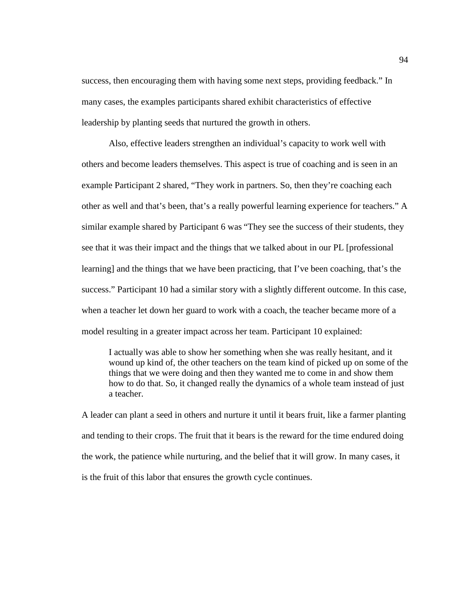success, then encouraging them with having some next steps, providing feedback." In many cases, the examples participants shared exhibit characteristics of effective leadership by planting seeds that nurtured the growth in others.

Also, effective leaders strengthen an individual's capacity to work well with others and become leaders themselves. This aspect is true of coaching and is seen in an example Participant 2 shared, "They work in partners. So, then they're coaching each other as well and that's been, that's a really powerful learning experience for teachers." A similar example shared by Participant 6 was "They see the success of their students, they see that it was their impact and the things that we talked about in our PL [professional learning] and the things that we have been practicing, that I've been coaching, that's the success." Participant 10 had a similar story with a slightly different outcome. In this case, when a teacher let down her guard to work with a coach, the teacher became more of a model resulting in a greater impact across her team. Participant 10 explained:

I actually was able to show her something when she was really hesitant, and it wound up kind of, the other teachers on the team kind of picked up on some of the things that we were doing and then they wanted me to come in and show them how to do that. So, it changed really the dynamics of a whole team instead of just a teacher.

A leader can plant a seed in others and nurture it until it bears fruit, like a farmer planting and tending to their crops. The fruit that it bears is the reward for the time endured doing the work, the patience while nurturing, and the belief that it will grow. In many cases, it is the fruit of this labor that ensures the growth cycle continues.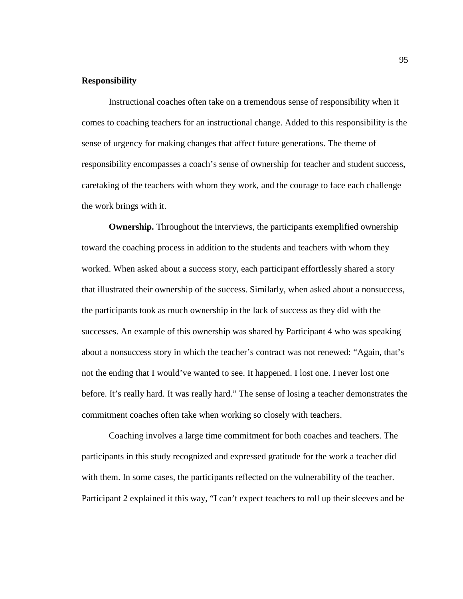## **Responsibility**

Instructional coaches often take on a tremendous sense of responsibility when it comes to coaching teachers for an instructional change. Added to this responsibility is the sense of urgency for making changes that affect future generations. The theme of responsibility encompasses a coach's sense of ownership for teacher and student success, caretaking of the teachers with whom they work, and the courage to face each challenge the work brings with it.

**Ownership.** Throughout the interviews, the participants exemplified ownership toward the coaching process in addition to the students and teachers with whom they worked. When asked about a success story, each participant effortlessly shared a story that illustrated their ownership of the success. Similarly, when asked about a nonsuccess, the participants took as much ownership in the lack of success as they did with the successes. An example of this ownership was shared by Participant 4 who was speaking about a nonsuccess story in which the teacher's contract was not renewed: "Again, that's not the ending that I would've wanted to see. It happened. I lost one. I never lost one before. It's really hard. It was really hard." The sense of losing a teacher demonstrates the commitment coaches often take when working so closely with teachers.

Coaching involves a large time commitment for both coaches and teachers. The participants in this study recognized and expressed gratitude for the work a teacher did with them. In some cases, the participants reflected on the vulnerability of the teacher. Participant 2 explained it this way, "I can't expect teachers to roll up their sleeves and be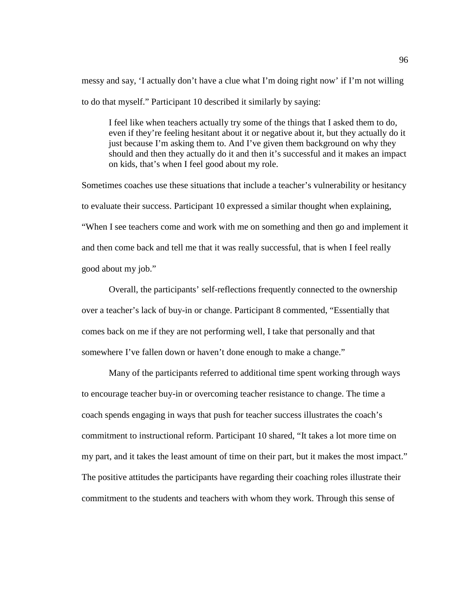messy and say, 'I actually don't have a clue what I'm doing right now' if I'm not willing to do that myself." Participant 10 described it similarly by saying:

I feel like when teachers actually try some of the things that I asked them to do, even if they're feeling hesitant about it or negative about it, but they actually do it just because I'm asking them to. And I've given them background on why they should and then they actually do it and then it's successful and it makes an impact on kids, that's when I feel good about my role.

Sometimes coaches use these situations that include a teacher's vulnerability or hesitancy to evaluate their success. Participant 10 expressed a similar thought when explaining, "When I see teachers come and work with me on something and then go and implement it and then come back and tell me that it was really successful, that is when I feel really good about my job."

Overall, the participants' self-reflections frequently connected to the ownership over a teacher's lack of buy-in or change. Participant 8 commented, "Essentially that comes back on me if they are not performing well, I take that personally and that somewhere I've fallen down or haven't done enough to make a change."

Many of the participants referred to additional time spent working through ways to encourage teacher buy-in or overcoming teacher resistance to change. The time a coach spends engaging in ways that push for teacher success illustrates the coach's commitment to instructional reform. Participant 10 shared, "It takes a lot more time on my part, and it takes the least amount of time on their part, but it makes the most impact." The positive attitudes the participants have regarding their coaching roles illustrate their commitment to the students and teachers with whom they work. Through this sense of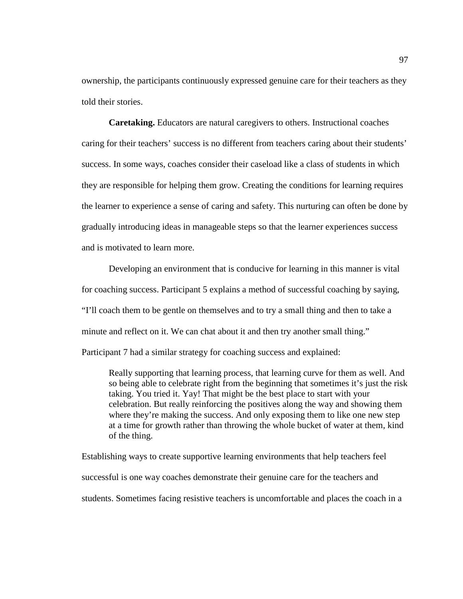ownership, the participants continuously expressed genuine care for their teachers as they told their stories.

**Caretaking.** Educators are natural caregivers to others. Instructional coaches caring for their teachers' success is no different from teachers caring about their students' success. In some ways, coaches consider their caseload like a class of students in which they are responsible for helping them grow. Creating the conditions for learning requires the learner to experience a sense of caring and safety. This nurturing can often be done by gradually introducing ideas in manageable steps so that the learner experiences success and is motivated to learn more.

Developing an environment that is conducive for learning in this manner is vital for coaching success. Participant 5 explains a method of successful coaching by saying, "I'll coach them to be gentle on themselves and to try a small thing and then to take a minute and reflect on it. We can chat about it and then try another small thing."

Participant 7 had a similar strategy for coaching success and explained:

Really supporting that learning process, that learning curve for them as well. And so being able to celebrate right from the beginning that sometimes it's just the risk taking. You tried it. Yay! That might be the best place to start with your celebration. But really reinforcing the positives along the way and showing them where they're making the success. And only exposing them to like one new step at a time for growth rather than throwing the whole bucket of water at them, kind of the thing.

Establishing ways to create supportive learning environments that help teachers feel successful is one way coaches demonstrate their genuine care for the teachers and students. Sometimes facing resistive teachers is uncomfortable and places the coach in a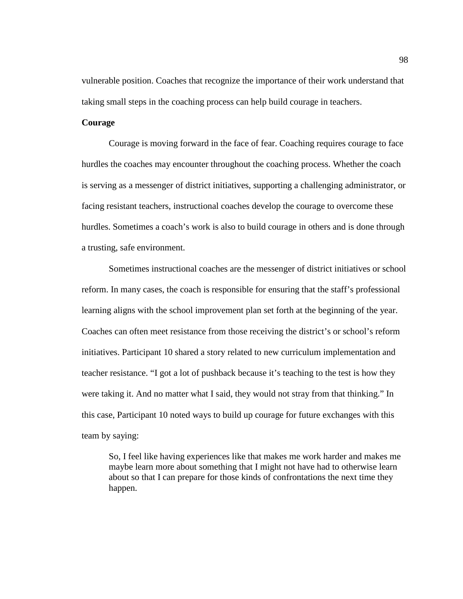vulnerable position. Coaches that recognize the importance of their work understand that taking small steps in the coaching process can help build courage in teachers.

# **Courage**

Courage is moving forward in the face of fear. Coaching requires courage to face hurdles the coaches may encounter throughout the coaching process. Whether the coach is serving as a messenger of district initiatives, supporting a challenging administrator, or facing resistant teachers, instructional coaches develop the courage to overcome these hurdles. Sometimes a coach's work is also to build courage in others and is done through a trusting, safe environment.

Sometimes instructional coaches are the messenger of district initiatives or school reform. In many cases, the coach is responsible for ensuring that the staff's professional learning aligns with the school improvement plan set forth at the beginning of the year. Coaches can often meet resistance from those receiving the district's or school's reform initiatives. Participant 10 shared a story related to new curriculum implementation and teacher resistance. "I got a lot of pushback because it's teaching to the test is how they were taking it. And no matter what I said, they would not stray from that thinking." In this case, Participant 10 noted ways to build up courage for future exchanges with this team by saying:

So, I feel like having experiences like that makes me work harder and makes me maybe learn more about something that I might not have had to otherwise learn about so that I can prepare for those kinds of confrontations the next time they happen.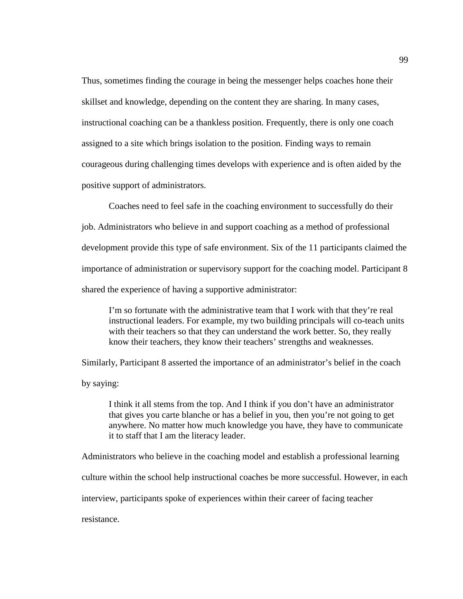Thus, sometimes finding the courage in being the messenger helps coaches hone their skillset and knowledge, depending on the content they are sharing. In many cases, instructional coaching can be a thankless position. Frequently, there is only one coach assigned to a site which brings isolation to the position. Finding ways to remain courageous during challenging times develops with experience and is often aided by the positive support of administrators.

Coaches need to feel safe in the coaching environment to successfully do their job. Administrators who believe in and support coaching as a method of professional development provide this type of safe environment. Six of the 11 participants claimed the importance of administration or supervisory support for the coaching model. Participant 8 shared the experience of having a supportive administrator:

I'm so fortunate with the administrative team that I work with that they're real instructional leaders. For example, my two building principals will co-teach units with their teachers so that they can understand the work better. So, they really know their teachers, they know their teachers' strengths and weaknesses.

Similarly, Participant 8 asserted the importance of an administrator's belief in the coach by saying:

I think it all stems from the top. And I think if you don't have an administrator that gives you carte blanche or has a belief in you, then you're not going to get anywhere. No matter how much knowledge you have, they have to communicate it to staff that I am the literacy leader.

Administrators who believe in the coaching model and establish a professional learning culture within the school help instructional coaches be more successful. However, in each interview, participants spoke of experiences within their career of facing teacher resistance.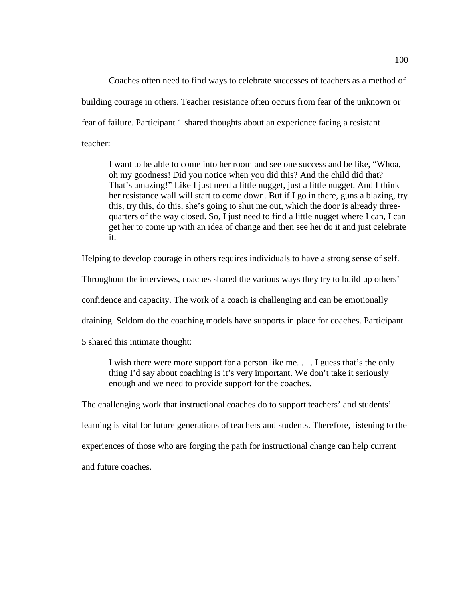Coaches often need to find ways to celebrate successes of teachers as a method of building courage in others. Teacher resistance often occurs from fear of the unknown or fear of failure. Participant 1 shared thoughts about an experience facing a resistant teacher:

I want to be able to come into her room and see one success and be like, "Whoa, oh my goodness! Did you notice when you did this? And the child did that? That's amazing!" Like I just need a little nugget, just a little nugget. And I think her resistance wall will start to come down. But if I go in there, guns a blazing, try this, try this, do this, she's going to shut me out, which the door is already threequarters of the way closed. So, I just need to find a little nugget where I can, I can get her to come up with an idea of change and then see her do it and just celebrate it.

Helping to develop courage in others requires individuals to have a strong sense of self.

Throughout the interviews, coaches shared the various ways they try to build up others'

confidence and capacity. The work of a coach is challenging and can be emotionally

draining. Seldom do the coaching models have supports in place for coaches. Participant

5 shared this intimate thought:

I wish there were more support for a person like me. . . . I guess that's the only thing I'd say about coaching is it's very important. We don't take it seriously enough and we need to provide support for the coaches.

The challenging work that instructional coaches do to support teachers' and students'

learning is vital for future generations of teachers and students. Therefore, listening to the

experiences of those who are forging the path for instructional change can help current

and future coaches.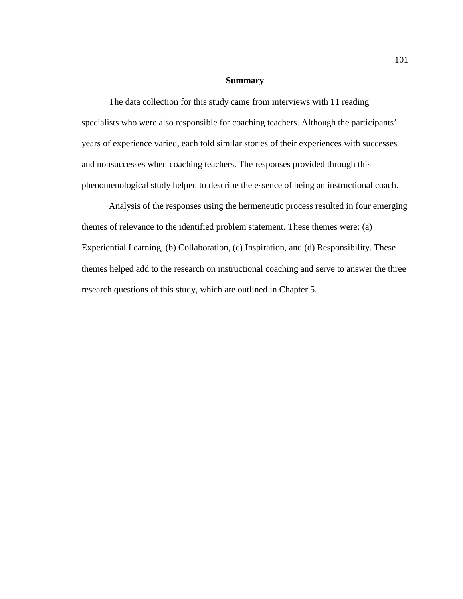## **Summary**

The data collection for this study came from interviews with 11 reading specialists who were also responsible for coaching teachers. Although the participants' years of experience varied, each told similar stories of their experiences with successes and nonsuccesses when coaching teachers. The responses provided through this phenomenological study helped to describe the essence of being an instructional coach.

Analysis of the responses using the hermeneutic process resulted in four emerging themes of relevance to the identified problem statement. These themes were: (a) Experiential Learning, (b) Collaboration, (c) Inspiration, and (d) Responsibility. These themes helped add to the research on instructional coaching and serve to answer the three research questions of this study, which are outlined in Chapter 5.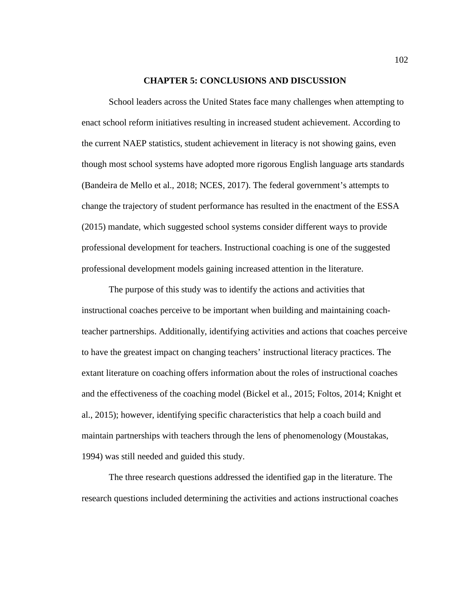### **CHAPTER 5: CONCLUSIONS AND DISCUSSION**

School leaders across the United States face many challenges when attempting to enact school reform initiatives resulting in increased student achievement. According to the current NAEP statistics, student achievement in literacy is not showing gains, even though most school systems have adopted more rigorous English language arts standards (Bandeira de Mello et al., 2018; NCES, 2017). The federal government's attempts to change the trajectory of student performance has resulted in the enactment of the ESSA (2015) mandate, which suggested school systems consider different ways to provide professional development for teachers. Instructional coaching is one of the suggested professional development models gaining increased attention in the literature.

The purpose of this study was to identify the actions and activities that instructional coaches perceive to be important when building and maintaining coachteacher partnerships. Additionally, identifying activities and actions that coaches perceive to have the greatest impact on changing teachers' instructional literacy practices. The extant literature on coaching offers information about the roles of instructional coaches and the effectiveness of the coaching model (Bickel et al., 2015; Foltos, 2014; Knight et al., 2015); however, identifying specific characteristics that help a coach build and maintain partnerships with teachers through the lens of phenomenology (Moustakas, 1994) was still needed and guided this study.

The three research questions addressed the identified gap in the literature. The research questions included determining the activities and actions instructional coaches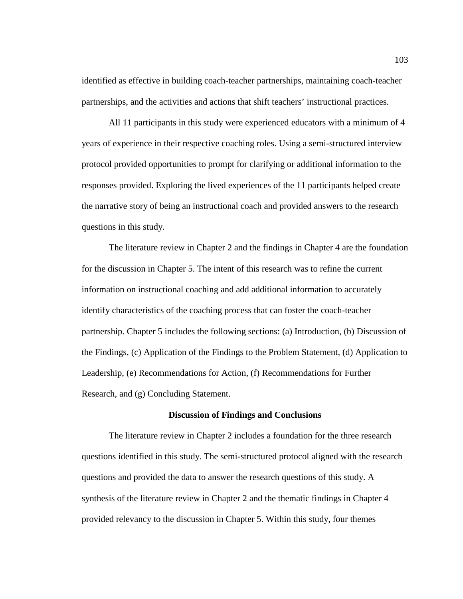identified as effective in building coach-teacher partnerships, maintaining coach-teacher partnerships, and the activities and actions that shift teachers' instructional practices.

All 11 participants in this study were experienced educators with a minimum of 4 years of experience in their respective coaching roles. Using a semi-structured interview protocol provided opportunities to prompt for clarifying or additional information to the responses provided. Exploring the lived experiences of the 11 participants helped create the narrative story of being an instructional coach and provided answers to the research questions in this study.

The literature review in Chapter 2 and the findings in Chapter 4 are the foundation for the discussion in Chapter 5. The intent of this research was to refine the current information on instructional coaching and add additional information to accurately identify characteristics of the coaching process that can foster the coach-teacher partnership. Chapter 5 includes the following sections: (a) Introduction, (b) Discussion of the Findings, (c) Application of the Findings to the Problem Statement, (d) Application to Leadership, (e) Recommendations for Action, (f) Recommendations for Further Research, and (g) Concluding Statement.

## **Discussion of Findings and Conclusions**

The literature review in Chapter 2 includes a foundation for the three research questions identified in this study. The semi-structured protocol aligned with the research questions and provided the data to answer the research questions of this study. A synthesis of the literature review in Chapter 2 and the thematic findings in Chapter 4 provided relevancy to the discussion in Chapter 5. Within this study, four themes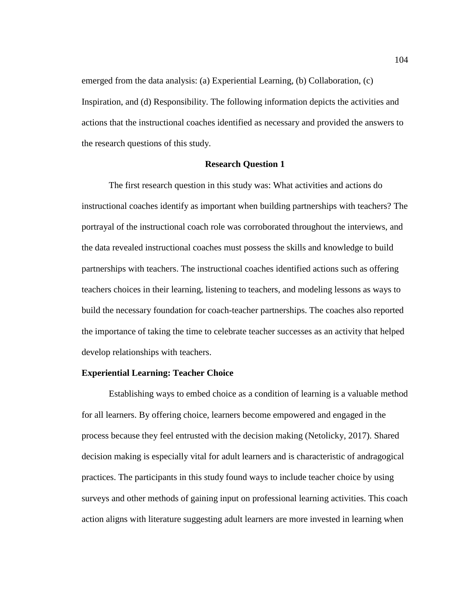emerged from the data analysis: (a) Experiential Learning, (b) Collaboration, (c) Inspiration, and (d) Responsibility. The following information depicts the activities and actions that the instructional coaches identified as necessary and provided the answers to the research questions of this study.

## **Research Question 1**

The first research question in this study was: What activities and actions do instructional coaches identify as important when building partnerships with teachers? The portrayal of the instructional coach role was corroborated throughout the interviews, and the data revealed instructional coaches must possess the skills and knowledge to build partnerships with teachers. The instructional coaches identified actions such as offering teachers choices in their learning, listening to teachers, and modeling lessons as ways to build the necessary foundation for coach-teacher partnerships. The coaches also reported the importance of taking the time to celebrate teacher successes as an activity that helped develop relationships with teachers.

### **Experiential Learning: Teacher Choice**

Establishing ways to embed choice as a condition of learning is a valuable method for all learners. By offering choice, learners become empowered and engaged in the process because they feel entrusted with the decision making (Netolicky, 2017). Shared decision making is especially vital for adult learners and is characteristic of andragogical practices. The participants in this study found ways to include teacher choice by using surveys and other methods of gaining input on professional learning activities. This coach action aligns with literature suggesting adult learners are more invested in learning when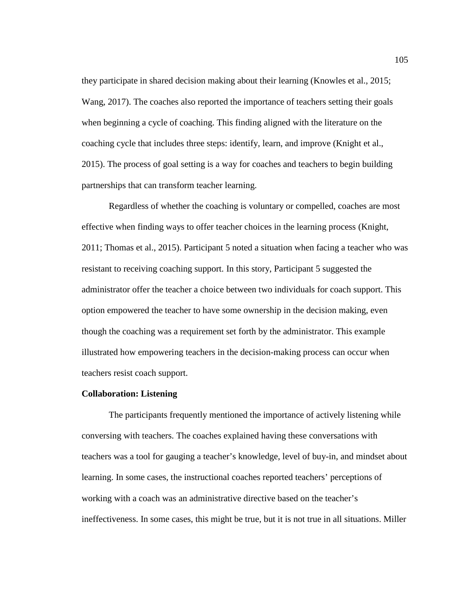they participate in shared decision making about their learning (Knowles et al., 2015; Wang, 2017). The coaches also reported the importance of teachers setting their goals when beginning a cycle of coaching. This finding aligned with the literature on the coaching cycle that includes three steps: identify, learn, and improve (Knight et al., 2015). The process of goal setting is a way for coaches and teachers to begin building partnerships that can transform teacher learning.

Regardless of whether the coaching is voluntary or compelled, coaches are most effective when finding ways to offer teacher choices in the learning process (Knight, 2011; Thomas et al., 2015). Participant 5 noted a situation when facing a teacher who was resistant to receiving coaching support. In this story, Participant 5 suggested the administrator offer the teacher a choice between two individuals for coach support. This option empowered the teacher to have some ownership in the decision making, even though the coaching was a requirement set forth by the administrator. This example illustrated how empowering teachers in the decision-making process can occur when teachers resist coach support.

## **Collaboration: Listening**

The participants frequently mentioned the importance of actively listening while conversing with teachers. The coaches explained having these conversations with teachers was a tool for gauging a teacher's knowledge, level of buy-in, and mindset about learning. In some cases, the instructional coaches reported teachers' perceptions of working with a coach was an administrative directive based on the teacher's ineffectiveness. In some cases, this might be true, but it is not true in all situations. Miller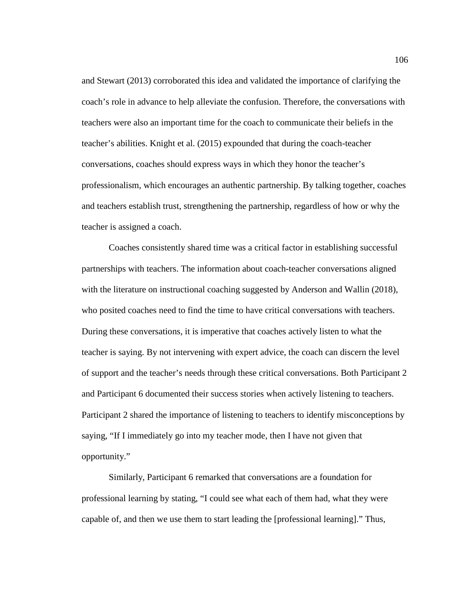and Stewart (2013) corroborated this idea and validated the importance of clarifying the coach's role in advance to help alleviate the confusion. Therefore, the conversations with teachers were also an important time for the coach to communicate their beliefs in the teacher's abilities. Knight et al. (2015) expounded that during the coach-teacher conversations, coaches should express ways in which they honor the teacher's professionalism, which encourages an authentic partnership. By talking together, coaches and teachers establish trust, strengthening the partnership, regardless of how or why the teacher is assigned a coach.

Coaches consistently shared time was a critical factor in establishing successful partnerships with teachers. The information about coach-teacher conversations aligned with the literature on instructional coaching suggested by Anderson and Wallin (2018), who posited coaches need to find the time to have critical conversations with teachers. During these conversations, it is imperative that coaches actively listen to what the teacher is saying. By not intervening with expert advice, the coach can discern the level of support and the teacher's needs through these critical conversations. Both Participant 2 and Participant 6 documented their success stories when actively listening to teachers. Participant 2 shared the importance of listening to teachers to identify misconceptions by saying, "If I immediately go into my teacher mode, then I have not given that opportunity."

Similarly, Participant 6 remarked that conversations are a foundation for professional learning by stating, "I could see what each of them had, what they were capable of, and then we use them to start leading the [professional learning]." Thus,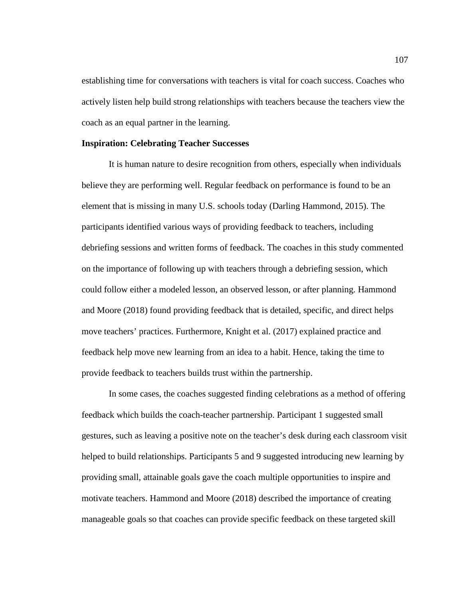establishing time for conversations with teachers is vital for coach success. Coaches who actively listen help build strong relationships with teachers because the teachers view the coach as an equal partner in the learning.

### **Inspiration: Celebrating Teacher Successes**

It is human nature to desire recognition from others, especially when individuals believe they are performing well. Regular feedback on performance is found to be an element that is missing in many U.S. schools today (Darling Hammond, 2015). The participants identified various ways of providing feedback to teachers, including debriefing sessions and written forms of feedback. The coaches in this study commented on the importance of following up with teachers through a debriefing session, which could follow either a modeled lesson, an observed lesson, or after planning. Hammond and Moore (2018) found providing feedback that is detailed, specific, and direct helps move teachers' practices. Furthermore, Knight et al. (2017) explained practice and feedback help move new learning from an idea to a habit. Hence, taking the time to provide feedback to teachers builds trust within the partnership.

In some cases, the coaches suggested finding celebrations as a method of offering feedback which builds the coach-teacher partnership. Participant 1 suggested small gestures, such as leaving a positive note on the teacher's desk during each classroom visit helped to build relationships. Participants 5 and 9 suggested introducing new learning by providing small, attainable goals gave the coach multiple opportunities to inspire and motivate teachers. Hammond and Moore (2018) described the importance of creating manageable goals so that coaches can provide specific feedback on these targeted skill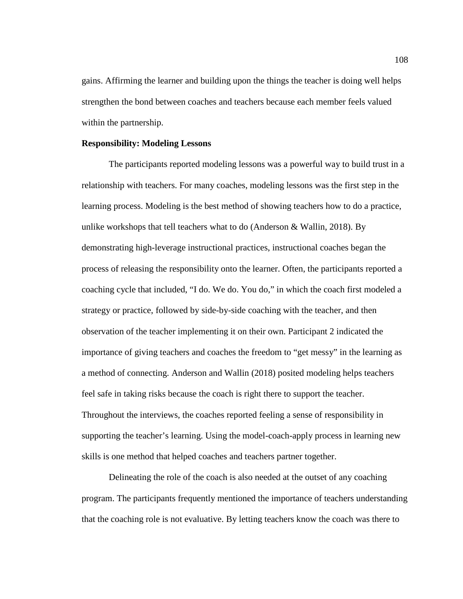gains. Affirming the learner and building upon the things the teacher is doing well helps strengthen the bond between coaches and teachers because each member feels valued within the partnership.

### **Responsibility: Modeling Lessons**

The participants reported modeling lessons was a powerful way to build trust in a relationship with teachers. For many coaches, modeling lessons was the first step in the learning process. Modeling is the best method of showing teachers how to do a practice, unlike workshops that tell teachers what to do (Anderson  $&$  Wallin, 2018). By demonstrating high-leverage instructional practices, instructional coaches began the process of releasing the responsibility onto the learner. Often, the participants reported a coaching cycle that included, "I do. We do. You do," in which the coach first modeled a strategy or practice, followed by side-by-side coaching with the teacher, and then observation of the teacher implementing it on their own. Participant 2 indicated the importance of giving teachers and coaches the freedom to "get messy" in the learning as a method of connecting. Anderson and Wallin (2018) posited modeling helps teachers feel safe in taking risks because the coach is right there to support the teacher. Throughout the interviews, the coaches reported feeling a sense of responsibility in supporting the teacher's learning. Using the model-coach-apply process in learning new skills is one method that helped coaches and teachers partner together.

Delineating the role of the coach is also needed at the outset of any coaching program. The participants frequently mentioned the importance of teachers understanding that the coaching role is not evaluative. By letting teachers know the coach was there to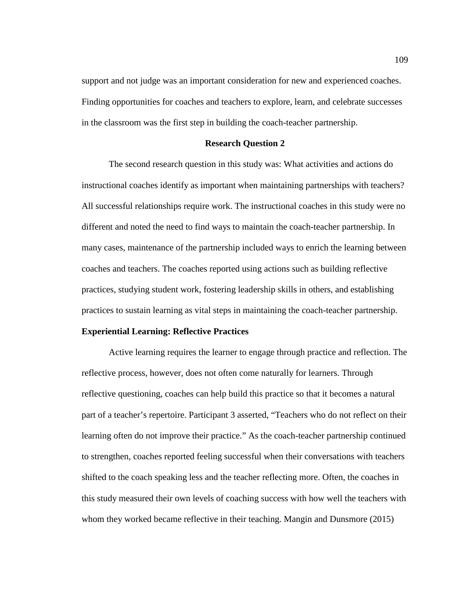support and not judge was an important consideration for new and experienced coaches. Finding opportunities for coaches and teachers to explore, learn, and celebrate successes in the classroom was the first step in building the coach-teacher partnership.

#### **Research Question 2**

The second research question in this study was: What activities and actions do instructional coaches identify as important when maintaining partnerships with teachers? All successful relationships require work. The instructional coaches in this study were no different and noted the need to find ways to maintain the coach-teacher partnership. In many cases, maintenance of the partnership included ways to enrich the learning between coaches and teachers. The coaches reported using actions such as building reflective practices, studying student work, fostering leadership skills in others, and establishing practices to sustain learning as vital steps in maintaining the coach-teacher partnership.

## **Experiential Learning: Reflective Practices**

Active learning requires the learner to engage through practice and reflection. The reflective process, however, does not often come naturally for learners. Through reflective questioning, coaches can help build this practice so that it becomes a natural part of a teacher's repertoire. Participant 3 asserted, "Teachers who do not reflect on their learning often do not improve their practice." As the coach-teacher partnership continued to strengthen, coaches reported feeling successful when their conversations with teachers shifted to the coach speaking less and the teacher reflecting more. Often, the coaches in this study measured their own levels of coaching success with how well the teachers with whom they worked became reflective in their teaching. Mangin and Dunsmore (2015)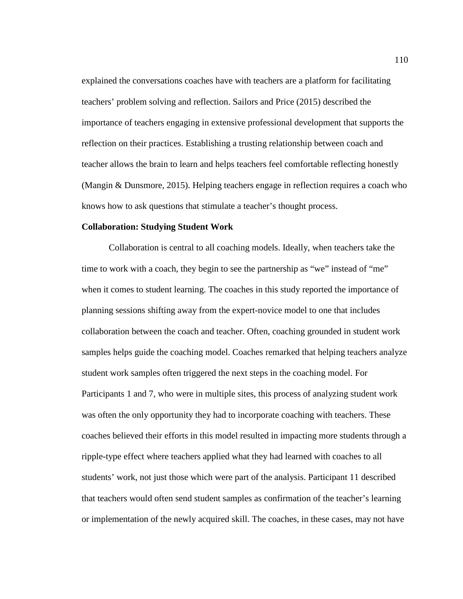explained the conversations coaches have with teachers are a platform for facilitating teachers' problem solving and reflection. Sailors and Price (2015) described the importance of teachers engaging in extensive professional development that supports the reflection on their practices. Establishing a trusting relationship between coach and teacher allows the brain to learn and helps teachers feel comfortable reflecting honestly (Mangin & Dunsmore, 2015). Helping teachers engage in reflection requires a coach who knows how to ask questions that stimulate a teacher's thought process.

#### **Collaboration: Studying Student Work**

Collaboration is central to all coaching models. Ideally, when teachers take the time to work with a coach, they begin to see the partnership as "we" instead of "me" when it comes to student learning. The coaches in this study reported the importance of planning sessions shifting away from the expert-novice model to one that includes collaboration between the coach and teacher. Often, coaching grounded in student work samples helps guide the coaching model. Coaches remarked that helping teachers analyze student work samples often triggered the next steps in the coaching model. For Participants 1 and 7, who were in multiple sites, this process of analyzing student work was often the only opportunity they had to incorporate coaching with teachers. These coaches believed their efforts in this model resulted in impacting more students through a ripple-type effect where teachers applied what they had learned with coaches to all students' work, not just those which were part of the analysis. Participant 11 described that teachers would often send student samples as confirmation of the teacher's learning or implementation of the newly acquired skill. The coaches, in these cases, may not have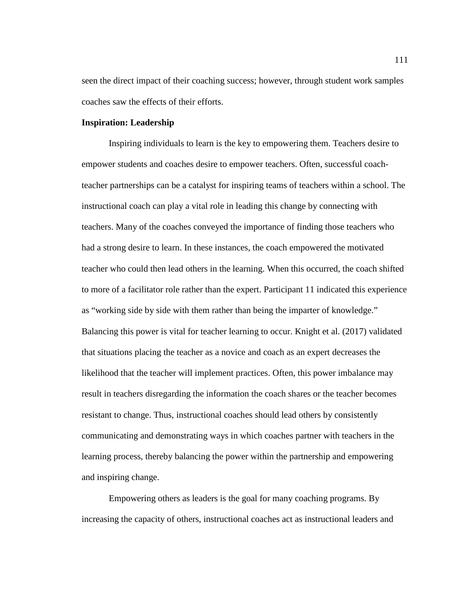seen the direct impact of their coaching success; however, through student work samples coaches saw the effects of their efforts.

# **Inspiration: Leadership**

Inspiring individuals to learn is the key to empowering them. Teachers desire to empower students and coaches desire to empower teachers. Often, successful coachteacher partnerships can be a catalyst for inspiring teams of teachers within a school. The instructional coach can play a vital role in leading this change by connecting with teachers. Many of the coaches conveyed the importance of finding those teachers who had a strong desire to learn. In these instances, the coach empowered the motivated teacher who could then lead others in the learning. When this occurred, the coach shifted to more of a facilitator role rather than the expert. Participant 11 indicated this experience as "working side by side with them rather than being the imparter of knowledge." Balancing this power is vital for teacher learning to occur. Knight et al. (2017) validated that situations placing the teacher as a novice and coach as an expert decreases the likelihood that the teacher will implement practices. Often, this power imbalance may result in teachers disregarding the information the coach shares or the teacher becomes resistant to change. Thus, instructional coaches should lead others by consistently communicating and demonstrating ways in which coaches partner with teachers in the learning process, thereby balancing the power within the partnership and empowering and inspiring change.

Empowering others as leaders is the goal for many coaching programs. By increasing the capacity of others, instructional coaches act as instructional leaders and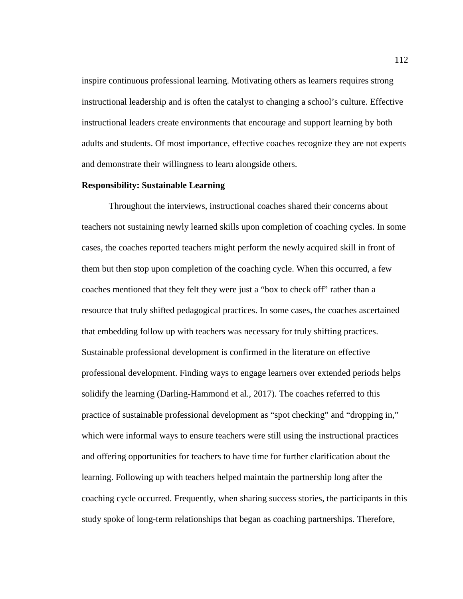inspire continuous professional learning. Motivating others as learners requires strong instructional leadership and is often the catalyst to changing a school's culture. Effective instructional leaders create environments that encourage and support learning by both adults and students. Of most importance, effective coaches recognize they are not experts and demonstrate their willingness to learn alongside others.

# **Responsibility: Sustainable Learning**

Throughout the interviews, instructional coaches shared their concerns about teachers not sustaining newly learned skills upon completion of coaching cycles. In some cases, the coaches reported teachers might perform the newly acquired skill in front of them but then stop upon completion of the coaching cycle. When this occurred, a few coaches mentioned that they felt they were just a "box to check off" rather than a resource that truly shifted pedagogical practices. In some cases, the coaches ascertained that embedding follow up with teachers was necessary for truly shifting practices. Sustainable professional development is confirmed in the literature on effective professional development. Finding ways to engage learners over extended periods helps solidify the learning (Darling-Hammond et al., 2017). The coaches referred to this practice of sustainable professional development as "spot checking" and "dropping in," which were informal ways to ensure teachers were still using the instructional practices and offering opportunities for teachers to have time for further clarification about the learning. Following up with teachers helped maintain the partnership long after the coaching cycle occurred. Frequently, when sharing success stories, the participants in this study spoke of long-term relationships that began as coaching partnerships. Therefore,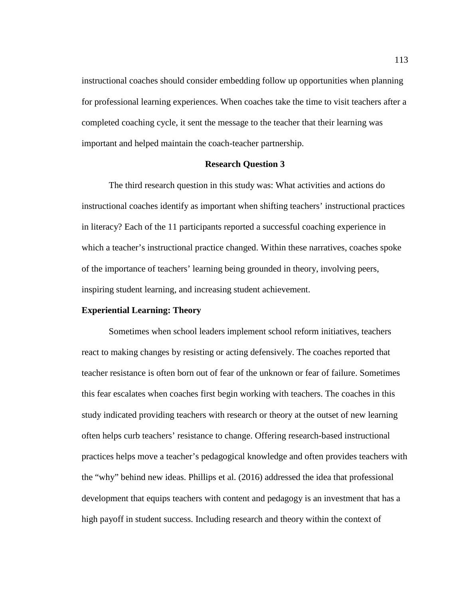instructional coaches should consider embedding follow up opportunities when planning for professional learning experiences. When coaches take the time to visit teachers after a completed coaching cycle, it sent the message to the teacher that their learning was important and helped maintain the coach-teacher partnership.

# **Research Question 3**

The third research question in this study was: What activities and actions do instructional coaches identify as important when shifting teachers' instructional practices in literacy? Each of the 11 participants reported a successful coaching experience in which a teacher's instructional practice changed. Within these narratives, coaches spoke of the importance of teachers' learning being grounded in theory, involving peers, inspiring student learning, and increasing student achievement.

#### **Experiential Learning: Theory**

Sometimes when school leaders implement school reform initiatives, teachers react to making changes by resisting or acting defensively. The coaches reported that teacher resistance is often born out of fear of the unknown or fear of failure. Sometimes this fear escalates when coaches first begin working with teachers. The coaches in this study indicated providing teachers with research or theory at the outset of new learning often helps curb teachers' resistance to change. Offering research-based instructional practices helps move a teacher's pedagogical knowledge and often provides teachers with the "why" behind new ideas. Phillips et al. (2016) addressed the idea that professional development that equips teachers with content and pedagogy is an investment that has a high payoff in student success. Including research and theory within the context of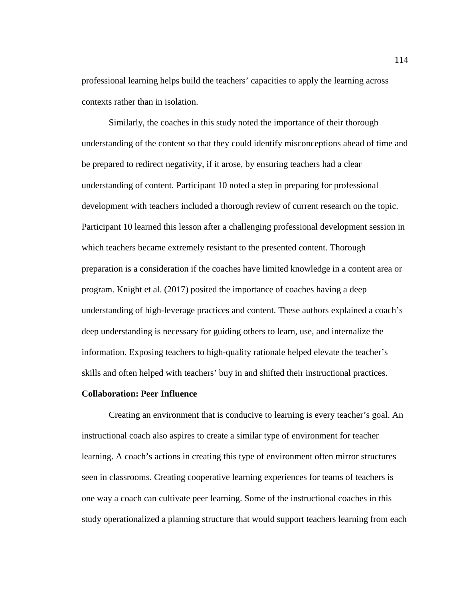professional learning helps build the teachers' capacities to apply the learning across contexts rather than in isolation.

Similarly, the coaches in this study noted the importance of their thorough understanding of the content so that they could identify misconceptions ahead of time and be prepared to redirect negativity, if it arose, by ensuring teachers had a clear understanding of content. Participant 10 noted a step in preparing for professional development with teachers included a thorough review of current research on the topic. Participant 10 learned this lesson after a challenging professional development session in which teachers became extremely resistant to the presented content. Thorough preparation is a consideration if the coaches have limited knowledge in a content area or program. Knight et al. (2017) posited the importance of coaches having a deep understanding of high-leverage practices and content. These authors explained a coach's deep understanding is necessary for guiding others to learn, use, and internalize the information. Exposing teachers to high-quality rationale helped elevate the teacher's skills and often helped with teachers' buy in and shifted their instructional practices.

## **Collaboration: Peer Influence**

Creating an environment that is conducive to learning is every teacher's goal. An instructional coach also aspires to create a similar type of environment for teacher learning. A coach's actions in creating this type of environment often mirror structures seen in classrooms. Creating cooperative learning experiences for teams of teachers is one way a coach can cultivate peer learning. Some of the instructional coaches in this study operationalized a planning structure that would support teachers learning from each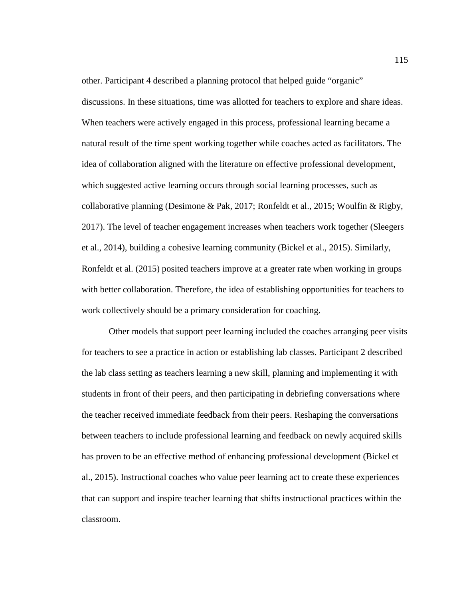other. Participant 4 described a planning protocol that helped guide "organic" discussions. In these situations, time was allotted for teachers to explore and share ideas. When teachers were actively engaged in this process, professional learning became a natural result of the time spent working together while coaches acted as facilitators. The idea of collaboration aligned with the literature on effective professional development, which suggested active learning occurs through social learning processes, such as collaborative planning (Desimone & Pak, 2017; Ronfeldt et al., 2015; Woulfin & Rigby, 2017). The level of teacher engagement increases when teachers work together (Sleegers et al., 2014), building a cohesive learning community (Bickel et al., 2015). Similarly, Ronfeldt et al. (2015) posited teachers improve at a greater rate when working in groups with better collaboration. Therefore, the idea of establishing opportunities for teachers to work collectively should be a primary consideration for coaching.

Other models that support peer learning included the coaches arranging peer visits for teachers to see a practice in action or establishing lab classes. Participant 2 described the lab class setting as teachers learning a new skill, planning and implementing it with students in front of their peers, and then participating in debriefing conversations where the teacher received immediate feedback from their peers. Reshaping the conversations between teachers to include professional learning and feedback on newly acquired skills has proven to be an effective method of enhancing professional development (Bickel et al., 2015). Instructional coaches who value peer learning act to create these experiences that can support and inspire teacher learning that shifts instructional practices within the classroom.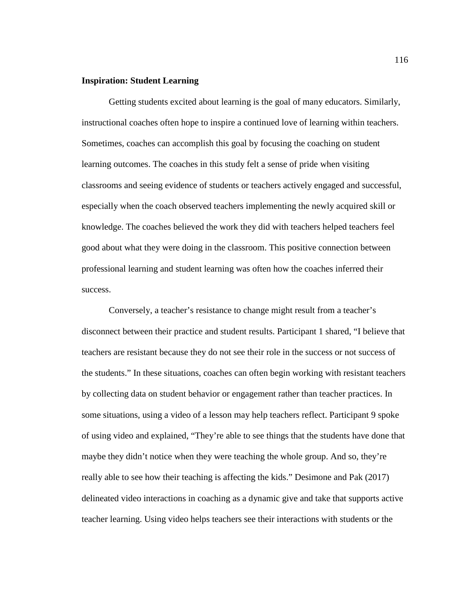# **Inspiration: Student Learning**

Getting students excited about learning is the goal of many educators. Similarly, instructional coaches often hope to inspire a continued love of learning within teachers. Sometimes, coaches can accomplish this goal by focusing the coaching on student learning outcomes. The coaches in this study felt a sense of pride when visiting classrooms and seeing evidence of students or teachers actively engaged and successful, especially when the coach observed teachers implementing the newly acquired skill or knowledge. The coaches believed the work they did with teachers helped teachers feel good about what they were doing in the classroom. This positive connection between professional learning and student learning was often how the coaches inferred their success.

Conversely, a teacher's resistance to change might result from a teacher's disconnect between their practice and student results. Participant 1 shared, "I believe that teachers are resistant because they do not see their role in the success or not success of the students." In these situations, coaches can often begin working with resistant teachers by collecting data on student behavior or engagement rather than teacher practices. In some situations, using a video of a lesson may help teachers reflect. Participant 9 spoke of using video and explained, "They're able to see things that the students have done that maybe they didn't notice when they were teaching the whole group. And so, they're really able to see how their teaching is affecting the kids." Desimone and Pak (2017) delineated video interactions in coaching as a dynamic give and take that supports active teacher learning. Using video helps teachers see their interactions with students or the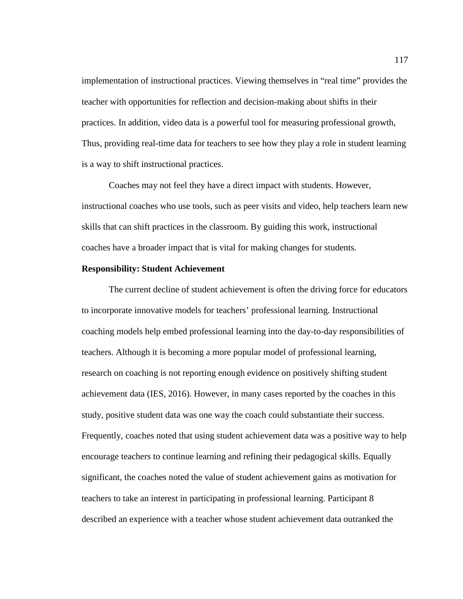implementation of instructional practices. Viewing themselves in "real time" provides the teacher with opportunities for reflection and decision-making about shifts in their practices. In addition, video data is a powerful tool for measuring professional growth, Thus, providing real-time data for teachers to see how they play a role in student learning is a way to shift instructional practices.

Coaches may not feel they have a direct impact with students. However, instructional coaches who use tools, such as peer visits and video, help teachers learn new skills that can shift practices in the classroom. By guiding this work, instructional coaches have a broader impact that is vital for making changes for students.

## **Responsibility: Student Achievement**

The current decline of student achievement is often the driving force for educators to incorporate innovative models for teachers' professional learning. Instructional coaching models help embed professional learning into the day-to-day responsibilities of teachers. Although it is becoming a more popular model of professional learning, research on coaching is not reporting enough evidence on positively shifting student achievement data (IES, 2016). However, in many cases reported by the coaches in this study, positive student data was one way the coach could substantiate their success. Frequently, coaches noted that using student achievement data was a positive way to help encourage teachers to continue learning and refining their pedagogical skills. Equally significant, the coaches noted the value of student achievement gains as motivation for teachers to take an interest in participating in professional learning. Participant 8 described an experience with a teacher whose student achievement data outranked the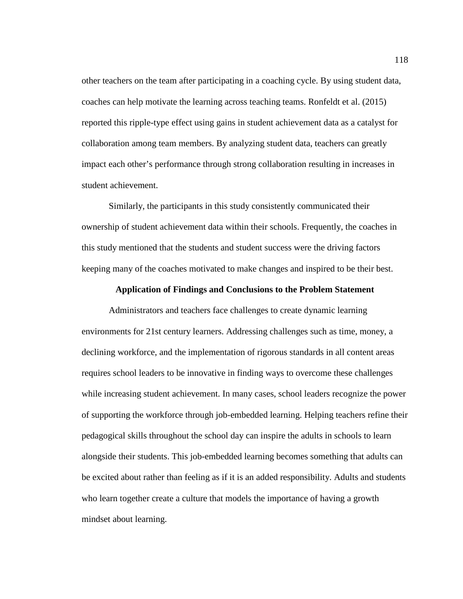other teachers on the team after participating in a coaching cycle. By using student data, coaches can help motivate the learning across teaching teams. Ronfeldt et al. (2015) reported this ripple-type effect using gains in student achievement data as a catalyst for collaboration among team members. By analyzing student data, teachers can greatly impact each other's performance through strong collaboration resulting in increases in student achievement.

Similarly, the participants in this study consistently communicated their ownership of student achievement data within their schools. Frequently, the coaches in this study mentioned that the students and student success were the driving factors keeping many of the coaches motivated to make changes and inspired to be their best.

### **Application of Findings and Conclusions to the Problem Statement**

Administrators and teachers face challenges to create dynamic learning environments for 21st century learners. Addressing challenges such as time, money, a declining workforce, and the implementation of rigorous standards in all content areas requires school leaders to be innovative in finding ways to overcome these challenges while increasing student achievement. In many cases, school leaders recognize the power of supporting the workforce through job-embedded learning. Helping teachers refine their pedagogical skills throughout the school day can inspire the adults in schools to learn alongside their students. This job-embedded learning becomes something that adults can be excited about rather than feeling as if it is an added responsibility. Adults and students who learn together create a culture that models the importance of having a growth mindset about learning.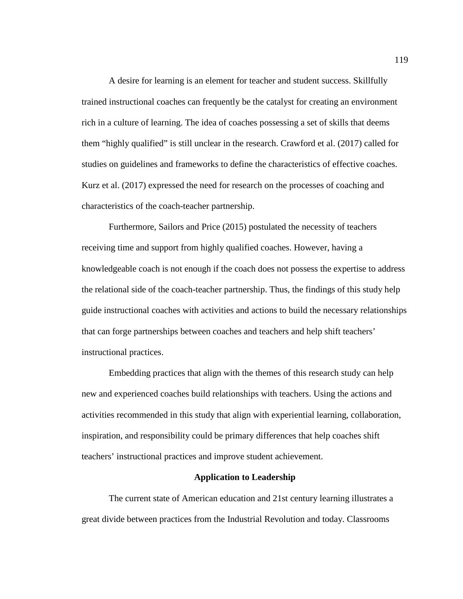A desire for learning is an element for teacher and student success. Skillfully trained instructional coaches can frequently be the catalyst for creating an environment rich in a culture of learning. The idea of coaches possessing a set of skills that deems them "highly qualified" is still unclear in the research. Crawford et al. (2017) called for studies on guidelines and frameworks to define the characteristics of effective coaches. Kurz et al. (2017) expressed the need for research on the processes of coaching and characteristics of the coach-teacher partnership.

Furthermore, Sailors and Price (2015) postulated the necessity of teachers receiving time and support from highly qualified coaches. However, having a knowledgeable coach is not enough if the coach does not possess the expertise to address the relational side of the coach-teacher partnership. Thus, the findings of this study help guide instructional coaches with activities and actions to build the necessary relationships that can forge partnerships between coaches and teachers and help shift teachers' instructional practices.

Embedding practices that align with the themes of this research study can help new and experienced coaches build relationships with teachers. Using the actions and activities recommended in this study that align with experiential learning, collaboration, inspiration, and responsibility could be primary differences that help coaches shift teachers' instructional practices and improve student achievement.

## **Application to Leadership**

The current state of American education and 21st century learning illustrates a great divide between practices from the Industrial Revolution and today. Classrooms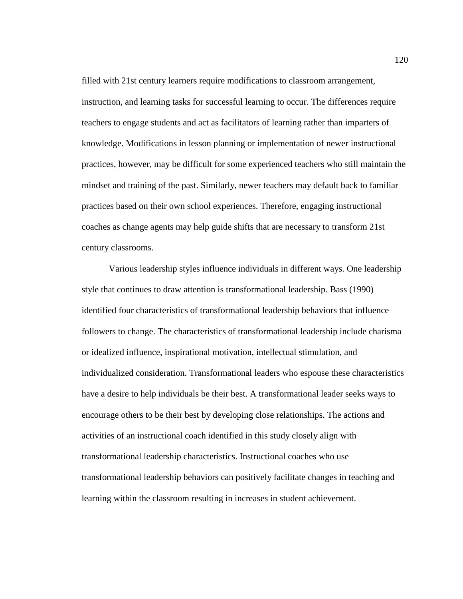filled with 21st century learners require modifications to classroom arrangement, instruction, and learning tasks for successful learning to occur. The differences require teachers to engage students and act as facilitators of learning rather than imparters of knowledge. Modifications in lesson planning or implementation of newer instructional practices, however, may be difficult for some experienced teachers who still maintain the mindset and training of the past. Similarly, newer teachers may default back to familiar practices based on their own school experiences. Therefore, engaging instructional coaches as change agents may help guide shifts that are necessary to transform 21st century classrooms.

Various leadership styles influence individuals in different ways. One leadership style that continues to draw attention is transformational leadership. Bass (1990) identified four characteristics of transformational leadership behaviors that influence followers to change. The characteristics of transformational leadership include charisma or idealized influence, inspirational motivation, intellectual stimulation, and individualized consideration. Transformational leaders who espouse these characteristics have a desire to help individuals be their best. A transformational leader seeks ways to encourage others to be their best by developing close relationships. The actions and activities of an instructional coach identified in this study closely align with transformational leadership characteristics. Instructional coaches who use transformational leadership behaviors can positively facilitate changes in teaching and learning within the classroom resulting in increases in student achievement.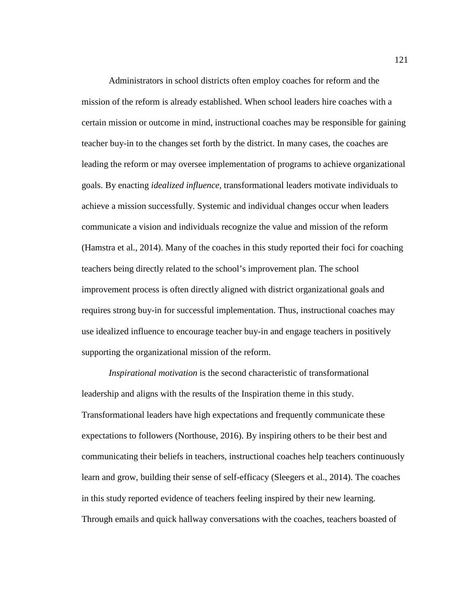Administrators in school districts often employ coaches for reform and the mission of the reform is already established. When school leaders hire coaches with a certain mission or outcome in mind, instructional coaches may be responsible for gaining teacher buy-in to the changes set forth by the district. In many cases, the coaches are leading the reform or may oversee implementation of programs to achieve organizational goals. By enacting *idealized influence*, transformational leaders motivate individuals to achieve a mission successfully. Systemic and individual changes occur when leaders communicate a vision and individuals recognize the value and mission of the reform (Hamstra et al., 2014). Many of the coaches in this study reported their foci for coaching teachers being directly related to the school's improvement plan. The school improvement process is often directly aligned with district organizational goals and requires strong buy-in for successful implementation. Thus, instructional coaches may use idealized influence to encourage teacher buy-in and engage teachers in positively supporting the organizational mission of the reform.

*Inspirational motivation* is the second characteristic of transformational leadership and aligns with the results of the Inspiration theme in this study. Transformational leaders have high expectations and frequently communicate these expectations to followers (Northouse, 2016). By inspiring others to be their best and communicating their beliefs in teachers, instructional coaches help teachers continuously learn and grow, building their sense of self-efficacy (Sleegers et al., 2014). The coaches in this study reported evidence of teachers feeling inspired by their new learning. Through emails and quick hallway conversations with the coaches, teachers boasted of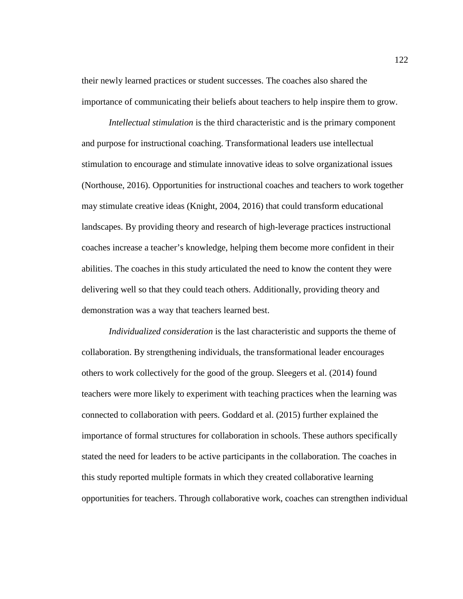their newly learned practices or student successes. The coaches also shared the importance of communicating their beliefs about teachers to help inspire them to grow.

*Intellectual stimulation* is the third characteristic and is the primary component and purpose for instructional coaching. Transformational leaders use intellectual stimulation to encourage and stimulate innovative ideas to solve organizational issues (Northouse, 2016). Opportunities for instructional coaches and teachers to work together may stimulate creative ideas (Knight, 2004, 2016) that could transform educational landscapes. By providing theory and research of high-leverage practices instructional coaches increase a teacher's knowledge, helping them become more confident in their abilities. The coaches in this study articulated the need to know the content they were delivering well so that they could teach others. Additionally, providing theory and demonstration was a way that teachers learned best.

*Individualized consideration* is the last characteristic and supports the theme of collaboration. By strengthening individuals, the transformational leader encourages others to work collectively for the good of the group. Sleegers et al. (2014) found teachers were more likely to experiment with teaching practices when the learning was connected to collaboration with peers. Goddard et al. (2015) further explained the importance of formal structures for collaboration in schools. These authors specifically stated the need for leaders to be active participants in the collaboration. The coaches in this study reported multiple formats in which they created collaborative learning opportunities for teachers. Through collaborative work, coaches can strengthen individual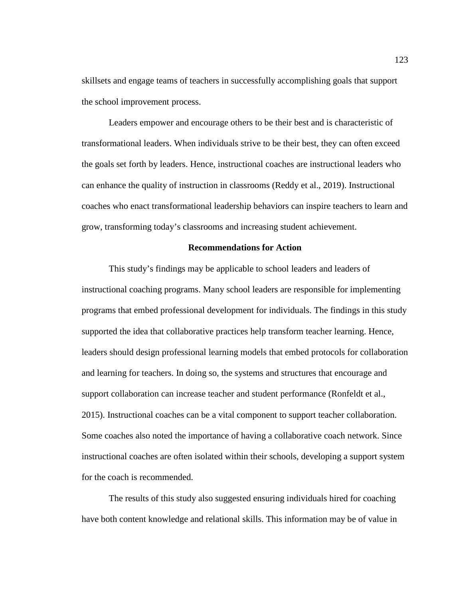skillsets and engage teams of teachers in successfully accomplishing goals that support the school improvement process.

Leaders empower and encourage others to be their best and is characteristic of transformational leaders. When individuals strive to be their best, they can often exceed the goals set forth by leaders. Hence, instructional coaches are instructional leaders who can enhance the quality of instruction in classrooms (Reddy et al., 2019). Instructional coaches who enact transformational leadership behaviors can inspire teachers to learn and grow, transforming today's classrooms and increasing student achievement.

### **Recommendations for Action**

This study's findings may be applicable to school leaders and leaders of instructional coaching programs. Many school leaders are responsible for implementing programs that embed professional development for individuals. The findings in this study supported the idea that collaborative practices help transform teacher learning. Hence, leaders should design professional learning models that embed protocols for collaboration and learning for teachers. In doing so, the systems and structures that encourage and support collaboration can increase teacher and student performance (Ronfeldt et al., 2015). Instructional coaches can be a vital component to support teacher collaboration. Some coaches also noted the importance of having a collaborative coach network. Since instructional coaches are often isolated within their schools, developing a support system for the coach is recommended.

The results of this study also suggested ensuring individuals hired for coaching have both content knowledge and relational skills. This information may be of value in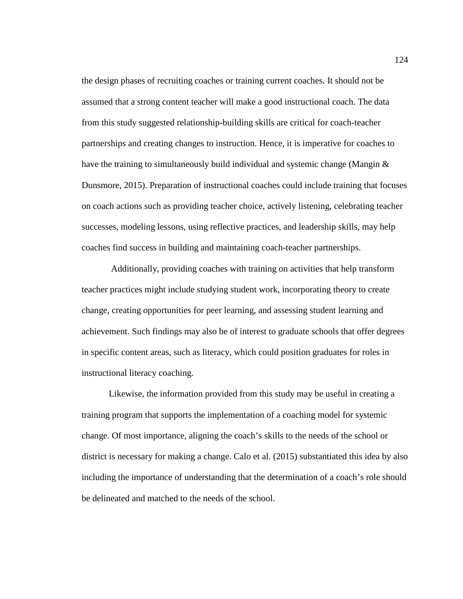the design phases of recruiting coaches or training current coaches. It should not be assumed that a strong content teacher will make a good instructional coach. The data from this study suggested relationship-building skills are critical for coach-teacher partnerships and creating changes to instruction. Hence, it is imperative for coaches to have the training to simultaneously build individual and systemic change (Mangin  $\&$ Dunsmore, 2015). Preparation of instructional coaches could include training that focuses on coach actions such as providing teacher choice, actively listening, celebrating teacher successes, modeling lessons, using reflective practices, and leadership skills, may help coaches find success in building and maintaining coach-teacher partnerships.

Additionally, providing coaches with training on activities that help transform teacher practices might include studying student work, incorporating theory to create change, creating opportunities for peer learning, and assessing student learning and achievement. Such findings may also be of interest to graduate schools that offer degrees in specific content areas, such as literacy, which could position graduates for roles in instructional literacy coaching.

Likewise, the information provided from this study may be useful in creating a training program that supports the implementation of a coaching model for systemic change. Of most importance, aligning the coach's skills to the needs of the school or district is necessary for making a change. Calo et al. (2015) substantiated this idea by also including the importance of understanding that the determination of a coach's role should be delineated and matched to the needs of the school.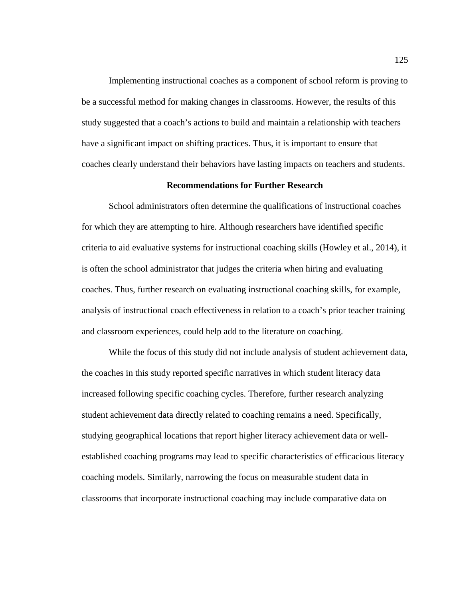Implementing instructional coaches as a component of school reform is proving to be a successful method for making changes in classrooms. However, the results of this study suggested that a coach's actions to build and maintain a relationship with teachers have a significant impact on shifting practices. Thus, it is important to ensure that coaches clearly understand their behaviors have lasting impacts on teachers and students.

## **Recommendations for Further Research**

School administrators often determine the qualifications of instructional coaches for which they are attempting to hire. Although researchers have identified specific criteria to aid evaluative systems for instructional coaching skills (Howley et al., 2014), it is often the school administrator that judges the criteria when hiring and evaluating coaches. Thus, further research on evaluating instructional coaching skills, for example, analysis of instructional coach effectiveness in relation to a coach's prior teacher training and classroom experiences, could help add to the literature on coaching.

While the focus of this study did not include analysis of student achievement data, the coaches in this study reported specific narratives in which student literacy data increased following specific coaching cycles. Therefore, further research analyzing student achievement data directly related to coaching remains a need. Specifically, studying geographical locations that report higher literacy achievement data or wellestablished coaching programs may lead to specific characteristics of efficacious literacy coaching models. Similarly, narrowing the focus on measurable student data in classrooms that incorporate instructional coaching may include comparative data on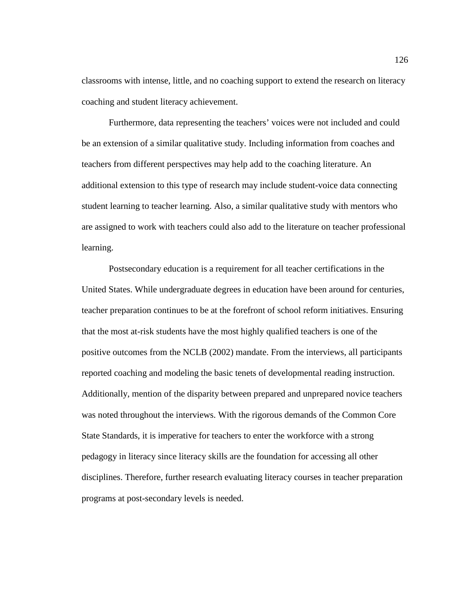classrooms with intense, little, and no coaching support to extend the research on literacy coaching and student literacy achievement.

Furthermore, data representing the teachers' voices were not included and could be an extension of a similar qualitative study. Including information from coaches and teachers from different perspectives may help add to the coaching literature. An additional extension to this type of research may include student-voice data connecting student learning to teacher learning. Also, a similar qualitative study with mentors who are assigned to work with teachers could also add to the literature on teacher professional learning.

Postsecondary education is a requirement for all teacher certifications in the United States. While undergraduate degrees in education have been around for centuries, teacher preparation continues to be at the forefront of school reform initiatives. Ensuring that the most at-risk students have the most highly qualified teachers is one of the positive outcomes from the NCLB (2002) mandate. From the interviews, all participants reported coaching and modeling the basic tenets of developmental reading instruction. Additionally, mention of the disparity between prepared and unprepared novice teachers was noted throughout the interviews. With the rigorous demands of the Common Core State Standards, it is imperative for teachers to enter the workforce with a strong pedagogy in literacy since literacy skills are the foundation for accessing all other disciplines. Therefore, further research evaluating literacy courses in teacher preparation programs at post-secondary levels is needed.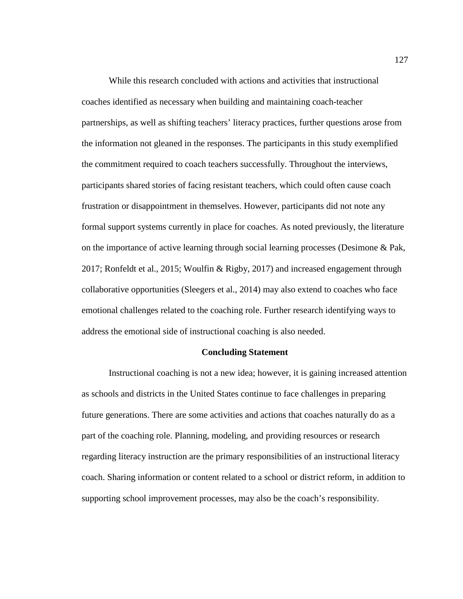While this research concluded with actions and activities that instructional coaches identified as necessary when building and maintaining coach-teacher partnerships, as well as shifting teachers' literacy practices, further questions arose from the information not gleaned in the responses. The participants in this study exemplified the commitment required to coach teachers successfully. Throughout the interviews, participants shared stories of facing resistant teachers, which could often cause coach frustration or disappointment in themselves. However, participants did not note any formal support systems currently in place for coaches. As noted previously, the literature on the importance of active learning through social learning processes (Desimone & Pak, 2017; Ronfeldt et al., 2015; Woulfin & Rigby, 2017) and increased engagement through collaborative opportunities (Sleegers et al., 2014) may also extend to coaches who face emotional challenges related to the coaching role. Further research identifying ways to address the emotional side of instructional coaching is also needed.

# **Concluding Statement**

Instructional coaching is not a new idea; however, it is gaining increased attention as schools and districts in the United States continue to face challenges in preparing future generations. There are some activities and actions that coaches naturally do as a part of the coaching role. Planning, modeling, and providing resources or research regarding literacy instruction are the primary responsibilities of an instructional literacy coach. Sharing information or content related to a school or district reform, in addition to supporting school improvement processes, may also be the coach's responsibility.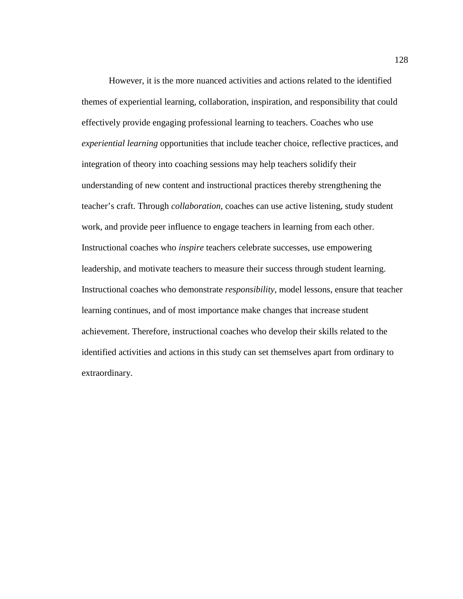However, it is the more nuanced activities and actions related to the identified themes of experiential learning, collaboration, inspiration, and responsibility that could effectively provide engaging professional learning to teachers. Coaches who use *experiential learning* opportunities that include teacher choice, reflective practices, and integration of theory into coaching sessions may help teachers solidify their understanding of new content and instructional practices thereby strengthening the teacher's craft. Through *collaboration*, coaches can use active listening, study student work, and provide peer influence to engage teachers in learning from each other. Instructional coaches who *inspire* teachers celebrate successes, use empowering leadership, and motivate teachers to measure their success through student learning. Instructional coaches who demonstrate *responsibility*, model lessons, ensure that teacher learning continues, and of most importance make changes that increase student achievement. Therefore, instructional coaches who develop their skills related to the identified activities and actions in this study can set themselves apart from ordinary to extraordinary.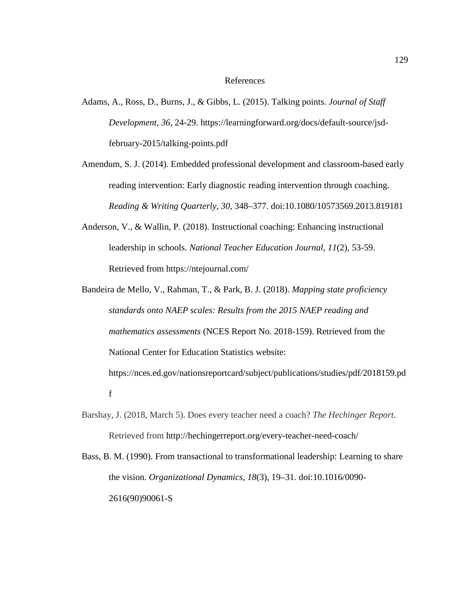## References

- Adams, A., Ross, D., Burns, J., & Gibbs, L. (2015). Talking points. *Journal of Staff Development, 36*, 24-29. https://learningforward.org/docs/default-source/jsdfebruary-2015/talking-points.pdf
- Amendum, S. J. (2014). Embedded professional development and classroom-based early reading intervention: Early diagnostic reading intervention through coaching. *Reading & Writing Quarterly*, *30*, 348–377. doi:10.1080/10573569.2013.819181
- Anderson, V., & Wallin, P. (2018). Instructional coaching: Enhancing instructional leadership in schools. *National Teacher Education Journal, 11*(2), 53-59. Retrieved from https://ntejournal.com/
- Bandeira de Mello, V., Rahman, T., & Park, B. J. (2018). *Mapping state proficiency standards onto NAEP scales: Results from the 2015 NAEP reading and mathematics assessments* (NCES Report No. 2018-159). Retrieved from the National Center for Education Statistics website: https://nces.ed.gov/nationsreportcard/subject/publications/studies/pdf/2018159.pd f
- Barshay, J. (2018, March 5). Does every teacher need a coach? *The Hechinger Report.* Retrieved from http://hechingerreport.org/every-teacher-need-coach/
- Bass, B. M. (1990). From transactional to transformational leadership: Learning to share the vision. *Organizational Dynamics*, *18*(3), 19–31. doi:10.1016/0090- 2616(90)90061-S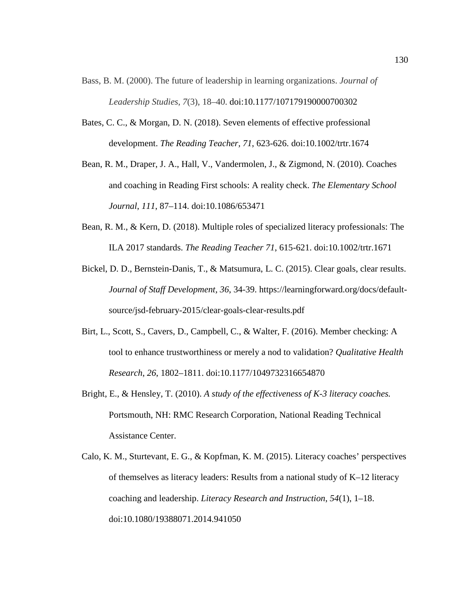- Bass, B. M. (2000). The future of leadership in learning organizations. *Journal of Leadership Studies*, *7*(3), 18–40. doi:10.1177/107179190000700302
- Bates, C. C., & Morgan, D. N. (2018). Seven elements of effective professional development. *The Reading Teacher, 71*, 623-626. doi:10.1002/trtr.1674
- Bean, R. M., Draper, J. A., Hall, V., Vandermolen, J., & Zigmond, N. (2010). Coaches and coaching in Reading First schools: A reality check. *The Elementary School Journal*, *111*, 87–114. doi:10.1086/653471
- Bean, R. M., & Kern, D. (2018). Multiple roles of specialized literacy professionals: The ILA 2017 standards. *The Reading Teacher 71*, 615-621. doi:10.1002/trtr.1671
- Bickel, D. D., Bernstein-Danis, T., & Matsumura, L. C. (2015). Clear goals, clear results. *Journal of Staff Development, 36*, 34-39. https://learningforward.org/docs/defaultsource/jsd-february-2015/clear-goals-clear-results.pdf
- Birt, L., Scott, S., Cavers, D., Campbell, C., & Walter, F. (2016). Member checking: A tool to enhance trustworthiness or merely a nod to validation? *Qualitative Health Research*, *26*, 1802–1811. doi:10.1177/1049732316654870
- Bright, E., & Hensley, T. (2010). *A study of the effectiveness of K-3 literacy coaches.* Portsmouth, NH: RMC Research Corporation, National Reading Technical Assistance Center.
- Calo, K. M., Sturtevant, E. G., & Kopfman, K. M. (2015). Literacy coaches' perspectives of themselves as literacy leaders: Results from a national study of K–12 literacy coaching and leadership. *Literacy Research and Instruction*, *54*(1), 1–18. doi:10.1080/19388071.2014.941050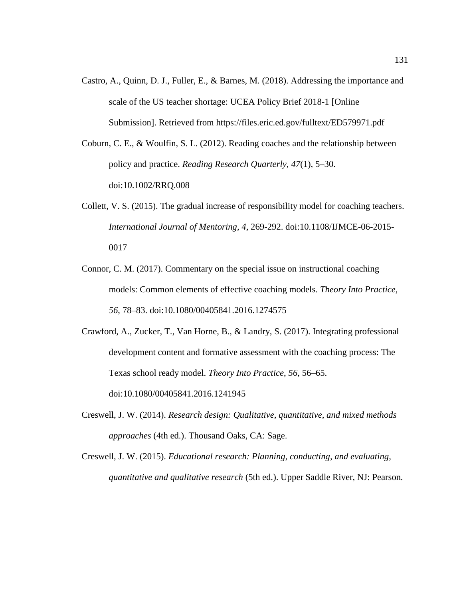- Castro, A., Quinn, D. J., Fuller, E., & Barnes, M. (2018). Addressing the importance and scale of the US teacher shortage: UCEA Policy Brief 2018-1 [Online Submission]. Retrieved from https://files.eric.ed.gov/fulltext/ED579971.pdf
- Coburn, C. E., & Woulfin, S. L. (2012). Reading coaches and the relationship between policy and practice. *Reading Research Quarterly*, *47*(1), 5–30. doi:10.1002/RRQ.008
- Collett, V. S. (2015). The gradual increase of responsibility model for coaching teachers. *International Journal of Mentoring, 4*, 269-292. doi:10.1108/IJMCE-06-2015- 0017
- Connor, C. M. (2017). Commentary on the special issue on instructional coaching models: Common elements of effective coaching models. *Theory Into Practice*, *56*, 78–83. doi:10.1080/00405841.2016.1274575
- Crawford, A., Zucker, T., Van Horne, B., & Landry, S. (2017). Integrating professional development content and formative assessment with the coaching process: The Texas school ready model. *Theory Into Practice*, *56*, 56–65. doi:10.1080/00405841.2016.1241945
- Creswell, J. W. (2014). *Research design: Qualitative, quantitative, and mixed methods approaches* (4th ed.). Thousand Oaks, CA: Sage.
- Creswell, J. W. (2015). *Educational research: Planning, conducting, and evaluating, quantitative and qualitative research* (5th ed.). Upper Saddle River, NJ: Pearson*.*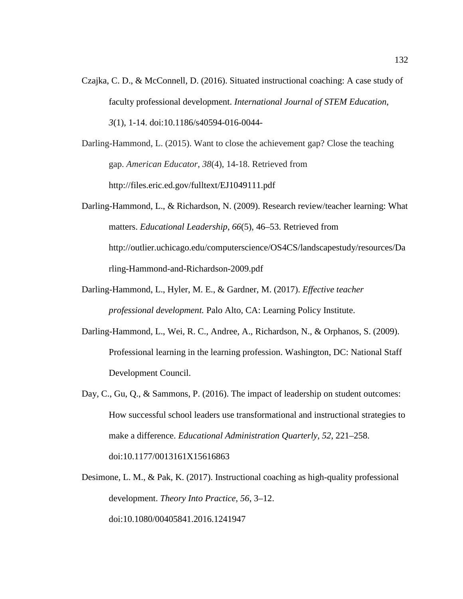- Czajka, C. D., & McConnell, D. (2016). Situated instructional coaching: A case study of faculty professional development. *International Journal of STEM Education*, *3*(1), 1-14. doi:10.1186/s40594-016-0044-
- Darling-Hammond, L. (2015). Want to close the achievement gap? Close the teaching gap. *American Educator*, *38*(4), 14-18. Retrieved from http://files.eric.ed.gov/fulltext/EJ1049111.pdf
- Darling-Hammond, L., & Richardson, N. (2009). Research review/teacher learning: What matters. *Educational Leadership*, *66*(5), 46–53. Retrieved from http://outlier.uchicago.edu/computerscience/OS4CS/landscapestudy/resources/Da rling-Hammond-and-Richardson-2009.pdf
- Darling-Hammond, L., Hyler, M. E., & Gardner, M. (2017). *Effective teacher professional development.* Palo Alto, CA: Learning Policy Institute.
- Darling-Hammond, L., Wei, R. C., Andree, A., Richardson, N., & Orphanos, S. (2009). Professional learning in the learning profession. Washington, DC: National Staff Development Council.
- Day, C., Gu, Q., & Sammons, P. (2016). The impact of leadership on student outcomes: How successful school leaders use transformational and instructional strategies to make a difference. *Educational Administration Quarterly*, *52*, 221–258. doi:10.1177/0013161X15616863
- Desimone, L. M., & Pak, K. (2017). Instructional coaching as high-quality professional development. *Theory Into Practice*, *56*, 3–12. doi:10.1080/00405841.2016.1241947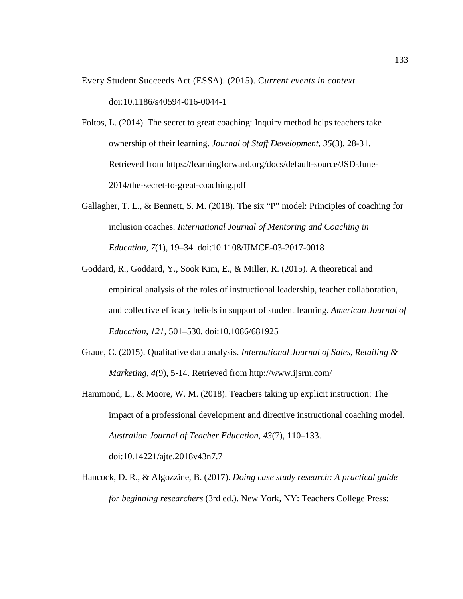- Every Student Succeeds Act (ESSA). (2015). C*urrent events in context.* doi:10.1186/s40594-016-0044-1
- Foltos, L. (2014). The secret to great coaching: Inquiry method helps teachers take ownership of their learning. *Journal of Staff Development, 35*(3), 28-31. Retrieved from https://learningforward.org/docs/default-source/JSD-June-2014/the-secret-to-great-coaching.pdf
- Gallagher, T. L., & Bennett, S. M. (2018). The six "P" model: Principles of coaching for inclusion coaches. *International Journal of Mentoring and Coaching in Education*, *7*(1), 19–34. doi:10.1108/IJMCE-03-2017-0018
- Goddard, R., Goddard, Y., Sook Kim, E., & Miller, R. (2015). A theoretical and empirical analysis of the roles of instructional leadership, teacher collaboration, and collective efficacy beliefs in support of student learning. *American Journal of Education*, *121*, 501–530. doi:10.1086/681925
- Graue, C. (2015). Qualitative data analysis. *International Journal of Sales, Retailing & Marketing*, *4*(9), 5-14. Retrieved from http://www.ijsrm.com/
- Hammond, L., & Moore, W. M. (2018). Teachers taking up explicit instruction: The impact of a professional development and directive instructional coaching model. *Australian Journal of Teacher Education*, *43*(7), 110–133. doi:10.14221/ajte.2018v43n7.7
- Hancock, D. R., & Algozzine, B. (2017). *Doing case study research: A practical guide for beginning researchers* (3rd ed.). New York, NY: Teachers College Press: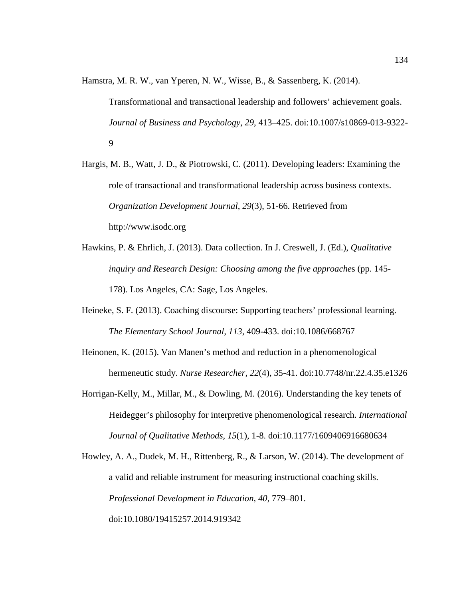Hamstra, M. R. W., van Yperen, N. W., Wisse, B., & Sassenberg, K. (2014).

Transformational and transactional leadership and followers' achievement goals. *Journal of Business and Psychology*, *29*, 413–425. doi:10.1007/s10869-013-9322- 9

Hargis, M. B., Watt, J. D., & Piotrowski, C. (2011). Developing leaders: Examining the role of transactional and transformational leadership across business contexts. *Organization Development Journal*, *29*(3), 51-66. Retrieved from http://www.isodc.org

- Hawkins, P. & Ehrlich, J. (2013). Data collection. In J. Creswell, J. (Ed.), *Qualitative inquiry and Research Design: Choosing among the five approache*s (pp. 145- 178). Los Angeles, CA: Sage, Los Angeles.
- Heineke, S. F. (2013). Coaching discourse: Supporting teachers' professional learning. *The Elementary School Journal, 113*, 409-433. doi:10.1086/668767
- Heinonen, K. (2015). Van Manen's method and reduction in a phenomenological hermeneutic study. *Nurse Researcher*, *22*(4), 35-41. doi:10.7748/nr.22.4.35.e1326
- Horrigan-Kelly, M., Millar, M., & Dowling, M. (2016). Understanding the key tenets of Heidegger's philosophy for interpretive phenomenological research. *International Journal of Qualitative Methods*, *15*(1), 1-8. doi:10.1177/1609406916680634

Howley, A. A., Dudek, M. H., Rittenberg, R., & Larson, W. (2014). The development of a valid and reliable instrument for measuring instructional coaching skills. *Professional Development in Education*, *40*, 779–801. doi:10.1080/19415257.2014.919342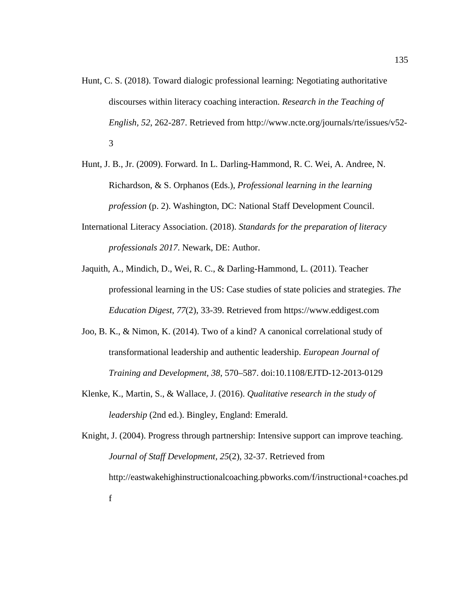- Hunt, C. S. (2018). Toward dialogic professional learning: Negotiating authoritative discourses within literacy coaching interaction. *Research in the Teaching of English, 52*, 262-287. Retrieved from http://www.ncte.org/journals/rte/issues/v52- 3
- Hunt, J. B., Jr. (2009). Forward. In L. Darling-Hammond, R. C. Wei, A. Andree, N. Richardson, & S. Orphanos (Eds.), *Professional learning in the learning profession* (p. 2). Washington, DC: National Staff Development Council.
- International Literacy Association. (2018). *Standards for the preparation of literacy professionals 2017*. Newark, DE: Author.
- Jaquith, A., Mindich, D., Wei, R. C., & Darling-Hammond, L. (2011). Teacher professional learning in the US: Case studies of state policies and strategies. *The Education Digest*, *77*(2), 33-39. Retrieved from [https://www.eddigest.com](https://www.eddigest.com/)
- Joo, B. K., & Nimon, K. (2014). Two of a kind? A canonical correlational study of transformational leadership and authentic leadership. *European Journal of Training and Development*, *38*, 570–587. doi:10.1108/EJTD-12-2013-0129
- Klenke, K., Martin, S., & Wallace, J. (2016). *Qualitative research in the study of leadership* (2nd ed.). Bingley, England: Emerald.

Knight, J. (2004). Progress through partnership: Intensive support can improve teaching. *Journal of Staff Development, 25*(2), 32-37. Retrieved from http://eastwakehighinstructionalcoaching.pbworks.com/f/instructional+coaches.pd f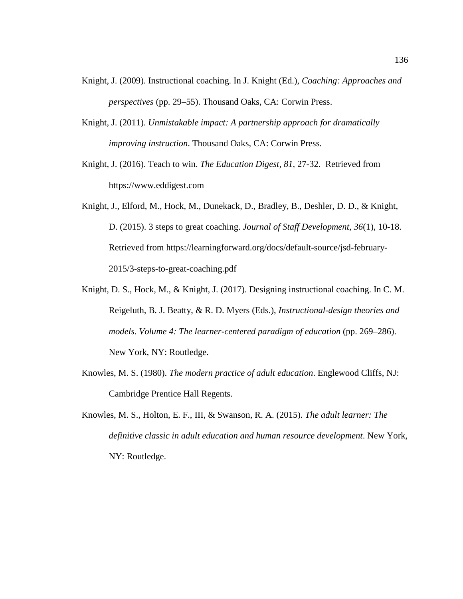- Knight, J. (2009). Instructional coaching. In J. Knight (Ed.), *Coaching: Approaches and perspectives* (pp. 29–55). Thousand Oaks, CA: Corwin Press.
- Knight, J. (2011). *Unmistakable impact: A partnership approach for dramatically improving instruction*. Thousand Oaks, CA: Corwin Press.
- Knight, J. (2016). Teach to win. *The Education Digest, 81,* 27-32. Retrieved from [https://www.eddigest.com](https://www.eddigest.com/)
- Knight, J., Elford, M., Hock, M., Dunekack, D., Bradley, B., Deshler, D. D., & Knight, D. (2015). 3 steps to great coaching. *Journal of Staff Development*, *36*(1), 10-18. Retrieved from https://learningforward.org/docs/default-source/jsd-february-2015/3-steps-to-great-coaching.pdf
- Knight, D. S., Hock, M., & Knight, J. (2017). Designing instructional coaching. In C. M. Reigeluth, B. J. Beatty, & R. D. Myers (Eds.), *Instructional-design theories and models. Volume 4: The learner-centered paradigm of education* (pp. 269–286). New York, NY: Routledge.
- Knowles, M. S. (1980). *The modern practice of adult education*. Englewood Cliffs, NJ: Cambridge Prentice Hall Regents.
- Knowles, M. S., Holton, E. F., III, & Swanson, R. A. (2015). *The adult learner: The definitive classic in adult education and human resource development*. New York, NY: Routledge.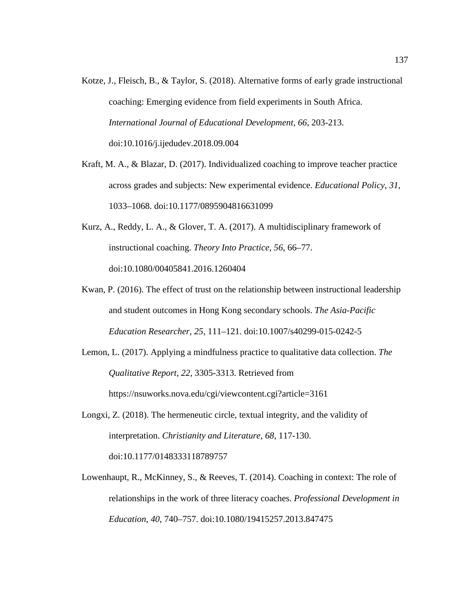- Kotze, J., Fleisch, B., & Taylor, S. (2018). Alternative forms of early grade instructional coaching: Emerging evidence from field experiments in South Africa. *International Journal of Educational Development, 66*, 203-213. doi:10.1016/j.ijedudev.2018.09.004
- Kraft, M. A., & Blazar, D. (2017). Individualized coaching to improve teacher practice across grades and subjects: New experimental evidence. *Educational Policy*, *31*, 1033–1068. doi:10.1177/0895904816631099
- Kurz, A., Reddy, L. A., & Glover, T. A. (2017). A multidisciplinary framework of instructional coaching. *Theory Into Practice*, *56*, 66–77. doi:10.1080/00405841.2016.1260404
- Kwan, P. (2016). The effect of trust on the relationship between instructional leadership and student outcomes in Hong Kong secondary schools. *The Asia-Pacific Education Researcher*, *25*, 111–121. doi:10.1007/s40299-015-0242-5
- Lemon, L. (2017). Applying a mindfulness practice to qualitative data collection. *The Qualitative Report, 22*, 3305-3313. Retrieved from https://nsuworks.nova.edu/cgi/viewcontent.cgi?article=3161
- Longxi, Z. (2018). The hermeneutic circle, textual integrity, and the validity of interpretation. *Christianity and Literature, 68*, 117-130. doi:10.1177/0148333118789757
- Lowenhaupt, R., McKinney, S., & Reeves, T. (2014). Coaching in context: The role of relationships in the work of three literacy coaches. *Professional Development in Education*, *40*, 740–757. doi:10.1080/19415257.2013.847475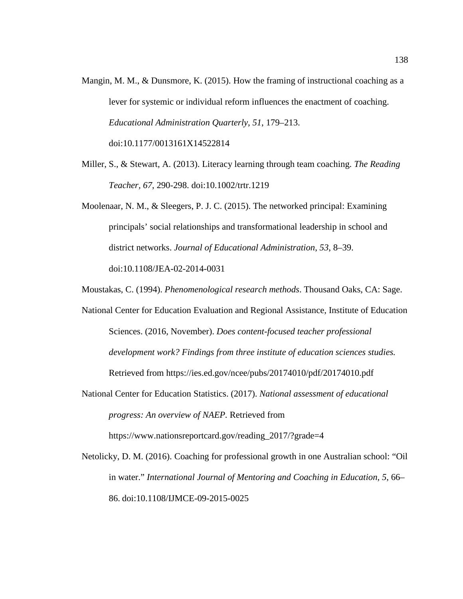- Mangin, M. M., & Dunsmore, K. (2015). How the framing of instructional coaching as a lever for systemic or individual reform influences the enactment of coaching. *Educational Administration Quarterly*, *51*, 179–213. doi:10.1177/0013161X14522814
- Miller, S., & Stewart, A. (2013). Literacy learning through team coaching. *The Reading Teacher, 67*, 290-298. doi:10.1002/trtr.1219
- Moolenaar, N. M., & Sleegers, P. J. C. (2015). The networked principal: Examining principals' social relationships and transformational leadership in school and district networks. *Journal of Educational Administration*, *53*, 8–39. doi:10.1108/JEA-02-2014-0031
- Moustakas, C. (1994). *Phenomenological research methods*. Thousand Oaks, CA: Sage.
- National Center for Education Evaluation and Regional Assistance, Institute of Education Sciences. (2016, November). *Does content-focused teacher professional development work? Findings from three institute of education sciences studies.* Retrieved from https://ies.ed.gov/ncee/pubs/20174010/pdf/20174010.pdf
- National Center for Education Statistics. (2017). *National assessment of educational progress: An overview of NAEP.* Retrieved from https://www.nationsreportcard.gov/reading\_2017/?grade=4
- Netolicky, D. M. (2016). Coaching for professional growth in one Australian school: "Oil in water." *International Journal of Mentoring and Coaching in Education, 5*, 66– 86. doi:10.1108/IJMCE-09-2015-0025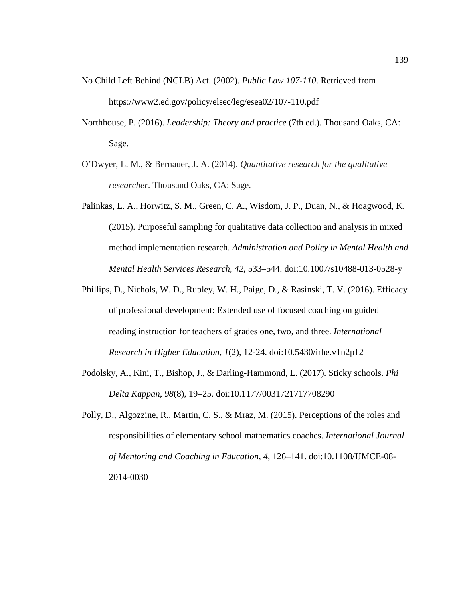- No Child Left Behind (NCLB) Act. (2002). *Public Law 107-110*. Retrieved from <https://www2.ed.gov/policy/elsec/leg/esea02/107-110.pdf>
- Northhouse, P. (2016). *Leadership: Theory and practice* (7th ed.). Thousand Oaks, CA: Sage.
- O'Dwyer, L. M., & Bernauer, J. A. (2014). *Quantitative research for the qualitative researcher*. Thousand Oaks, CA: Sage.
- Palinkas, L. A., Horwitz, S. M., Green, C. A., Wisdom, J. P., Duan, N., & Hoagwood, K. (2015). Purposeful sampling for qualitative data collection and analysis in mixed method implementation research. *Administration and Policy in Mental Health and Mental Health Services Research*, *42*, 533–544. doi:10.1007/s10488-013-0528-y
- Phillips, D., Nichols, W. D., Rupley, W. H., Paige, D., & Rasinski, T. V. (2016). Efficacy of professional development: Extended use of focused coaching on guided reading instruction for teachers of grades one, two, and three. *International Research in Higher Education*, *1*(2), 12-24. doi:10.5430/irhe.v1n2p12
- Podolsky, A., Kini, T., Bishop, J., & Darling-Hammond, L. (2017). Sticky schools. *Phi Delta Kappan*, *98*(8), 19–25. doi:10.1177/0031721717708290
- Polly, D., Algozzine, R., Martin, C. S., & Mraz, M. (2015). Perceptions of the roles and responsibilities of elementary school mathematics coaches. *International Journal of Mentoring and Coaching in Education*, *4*, 126–141. doi:10.1108/IJMCE-08- 2014-0030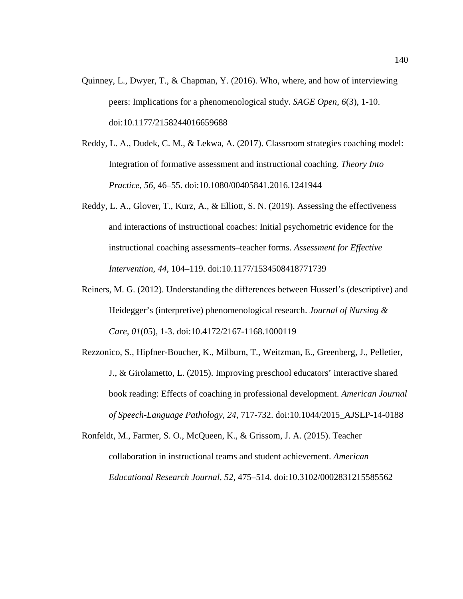- Quinney, L., Dwyer, T., & Chapman, Y. (2016). Who, where, and how of interviewing peers: Implications for a phenomenological study. *SAGE Open*, *6*(3), 1-10. doi:10.1177/2158244016659688
- Reddy, L. A., Dudek, C. M., & Lekwa, A. (2017). Classroom strategies coaching model: Integration of formative assessment and instructional coaching. *Theory Into Practice*, *56*, 46–55. doi:10.1080/00405841.2016.1241944
- Reddy, L. A., Glover, T., Kurz, A., & Elliott, S. N. (2019). Assessing the effectiveness and interactions of instructional coaches: Initial psychometric evidence for the instructional coaching assessments–teacher forms. *Assessment for Effective Intervention, 44*, 104–119. doi:10.1177/1534508418771739
- Reiners, M. G. (2012). Understanding the differences between Husserl's (descriptive) and Heidegger's (interpretive) phenomenological research. *Journal of Nursing & Care*, *01*(05), 1-3. doi:10.4172/2167-1168.1000119
- Rezzonico, S., Hipfner-Boucher, K., Milburn, T., Weitzman, E., Greenberg, J., Pelletier, J., & Girolametto, L. (2015). Improving preschool educators' interactive shared book reading: Effects of coaching in professional development. *American Journal of Speech-Language Pathology*, *24*, 717-732. doi:10.1044/2015\_AJSLP-14-0188

Ronfeldt, M., Farmer, S. O., McQueen, K., & Grissom, J. A. (2015). Teacher collaboration in instructional teams and student achievement. *American Educational Research Journal*, *52*, 475–514. doi:10.3102/0002831215585562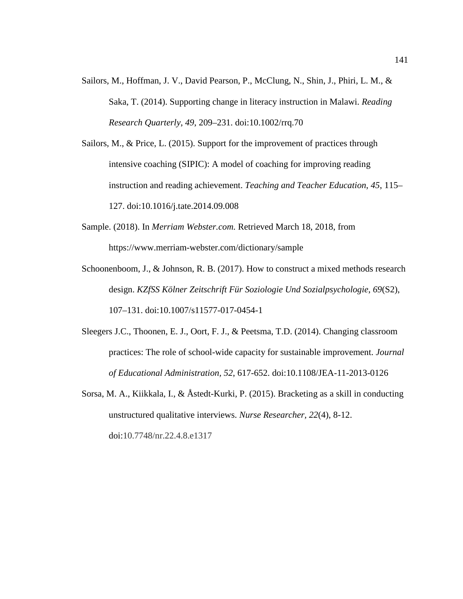- Sailors, M., Hoffman, J. V., David Pearson, P., McClung, N., Shin, J., Phiri, L. M., & Saka, T. (2014). Supporting change in literacy instruction in Malawi. *Reading Research Quarterly*, *49*, 209–231. doi:10.1002/rrq.70
- Sailors, M., & Price, L. (2015). Support for the improvement of practices through intensive coaching (SIPIC): A model of coaching for improving reading instruction and reading achievement. *Teaching and Teacher Education*, *45*, 115– 127. doi:10.1016/j.tate.2014.09.008
- Sample. (2018). In *Merriam Webster.com.* Retrieved March 18, 2018, from https://www.merriam-webster.com/dictionary/sample
- Schoonenboom, J., & Johnson, R. B. (2017). How to construct a mixed methods research design. *KZfSS Kölner Zeitschrift Für Soziologie Und Sozialpsychologie*, *69*(S2), 107–131. doi:10.1007/s11577-017-0454-1
- Sleegers J.C., Thoonen, E. J., Oort, F. J., & Peetsma, T.D. (2014). Changing classroom practices: The role of school-wide capacity for sustainable improvement. *Journal of Educational Administration, 52*, 617-652. doi:10.1108/JEA-11-2013-0126
- Sorsa, M. A., Kiikkala, I., & Åstedt-Kurki, P. (2015). Bracketing as a skill in conducting unstructured qualitative interviews. *Nurse Researcher, 22*(4), 8-12. doi:10.7748/nr.22.4.8.e1317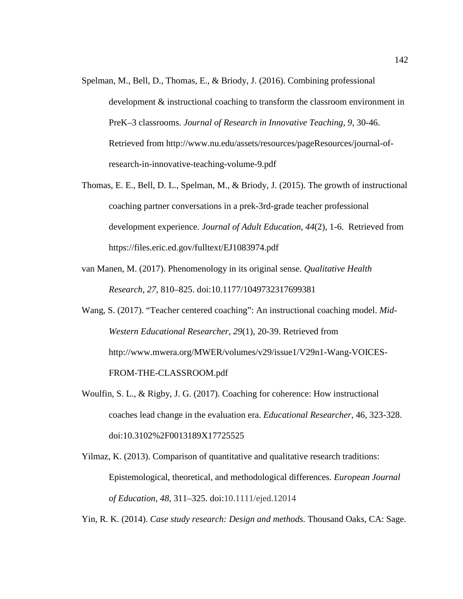- Spelman, M., Bell, D., Thomas, E., & Briody, J. (2016). Combining professional development & instructional coaching to transform the classroom environment in PreK–3 classrooms. *Journal of Research in Innovative Teaching, 9*, 30-46. Retrieved from http://www.nu.edu/assets/resources/pageResources/journal-ofresearch-in-innovative-teaching-volume-9.pdf
- Thomas, E. E., Bell, D. L., Spelman, M., & Briody, J. (2015). The growth of instructional coaching partner conversations in a prek-3rd-grade teacher professional development experience. *Journal of Adult Education*, *44*(2), 1-6. Retrieved from https://files.eric.ed.gov/fulltext/EJ1083974.pdf
- van Manen, M. (2017). Phenomenology in its original sense. *Qualitative Health Research*, *27*, 810–825. doi:10.1177/1049732317699381
- Wang, S. (2017). "Teacher centered coaching": An instructional coaching model. *Mid-Western Educational Researcher*, *29*(1), 20-39. Retrieved from http://www.mwera.org/MWER/volumes/v29/issue1/V29n1-Wang-VOICES-FROM-THE-CLASSROOM.pdf
- Woulfin, S. L., & Rigby, J. G. (2017). Coaching for coherence: How instructional coaches lead change in the evaluation era. *Educational Researcher*, 46, 323-328. doi:10.3102%2F0013189X17725525
- Yilmaz, K. (2013). Comparison of quantitative and qualitative research traditions: Epistemological, theoretical, and methodological differences. *European Journal of Education*, *48*, 311–325. doi:10.1111/ejed.12014

Yin, R. K. (2014). *Case study research: Design and methods.* Thousand Oaks, CA: Sage.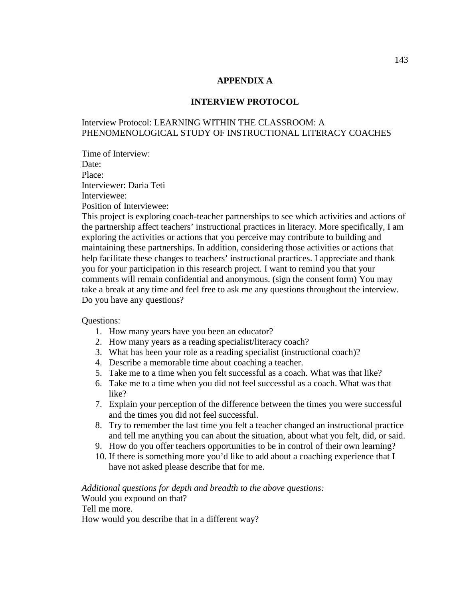## **APPENDIX A**

#### **INTERVIEW PROTOCOL**

# Interview Protocol: LEARNING WITHIN THE CLASSROOM: A PHENOMENOLOGICAL STUDY OF INSTRUCTIONAL LITERACY COACHES

Time of Interview: Date: Place: Interviewer: Daria Teti Interviewee: Position of Interviewee:

This project is exploring coach-teacher partnerships to see which activities and actions of the partnership affect teachers' instructional practices in literacy. More specifically, I am exploring the activities or actions that you perceive may contribute to building and maintaining these partnerships. In addition, considering those activities or actions that help facilitate these changes to teachers' instructional practices. I appreciate and thank you for your participation in this research project. I want to remind you that your comments will remain confidential and anonymous. (sign the consent form) You may take a break at any time and feel free to ask me any questions throughout the interview. Do you have any questions?

Questions:

- 1. How many years have you been an educator?
- 2. How many years as a reading specialist/literacy coach?
- 3. What has been your role as a reading specialist (instructional coach)?
- 4. Describe a memorable time about coaching a teacher.
- 5. Take me to a time when you felt successful as a coach. What was that like?
- 6. Take me to a time when you did not feel successful as a coach. What was that like?
- 7. Explain your perception of the difference between the times you were successful and the times you did not feel successful.
- 8. Try to remember the last time you felt a teacher changed an instructional practice and tell me anything you can about the situation, about what you felt, did, or said.
- 9. How do you offer teachers opportunities to be in control of their own learning?
- 10. If there is something more you'd like to add about a coaching experience that I have not asked please describe that for me.

*Additional questions for depth and breadth to the above questions:* Would you expound on that?

Tell me more.

How would you describe that in a different way?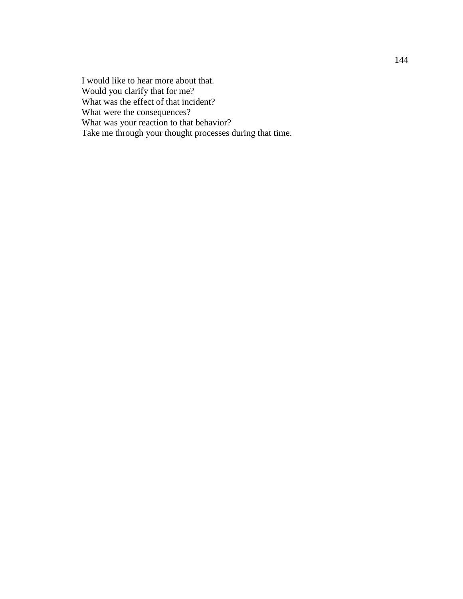I would like to hear more about that. Would you clarify that for me? What was the effect of that incident? What were the consequences? What was your reaction to that behavior? Take me through your thought processes during that time.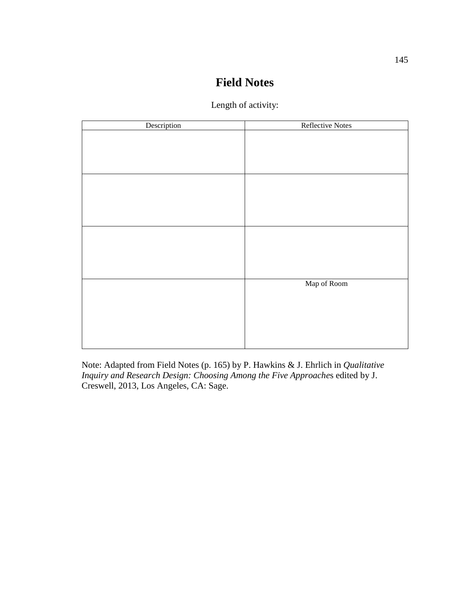# **Field Notes**

| Length of activity: |  |
|---------------------|--|
|---------------------|--|

| Description | Reflective Notes |
|-------------|------------------|
|             |                  |
|             |                  |
|             |                  |
|             |                  |
|             |                  |
|             |                  |
|             |                  |
|             |                  |
|             |                  |
|             |                  |
|             |                  |
|             |                  |
|             |                  |
|             | Map of Room      |
|             |                  |
|             |                  |
|             |                  |
|             |                  |
|             |                  |
|             |                  |

Note: Adapted from Field Notes (p. 165) by P. Hawkins & J. Ehrlich in *Qualitative Inquiry and Research Design: Choosing Among the Five Approache*s edited by J. Creswell, 2013, Los Angeles, CA: Sage.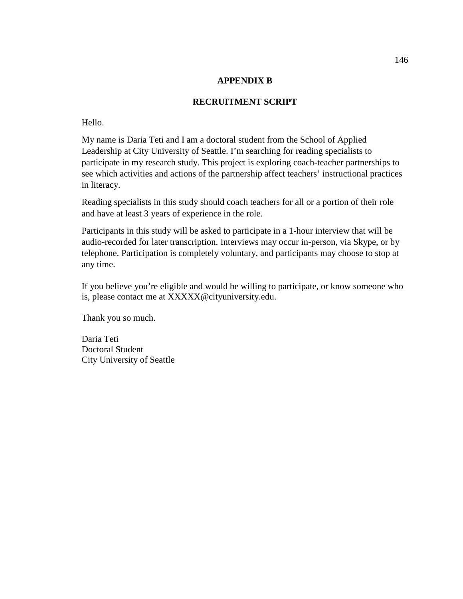## **APPENDIX B**

# **RECRUITMENT SCRIPT**

## Hello.

My name is Daria Teti and I am a doctoral student from the School of Applied Leadership at City University of Seattle. I'm searching for reading specialists to participate in my research study. This project is exploring coach-teacher partnerships to see which activities and actions of the partnership affect teachers' instructional practices in literacy.

Reading specialists in this study should coach teachers for all or a portion of their role and have at least 3 years of experience in the role.

Participants in this study will be asked to participate in a 1-hour interview that will be audio-recorded for later transcription. Interviews may occur in-person, via Skype, or by telephone. Participation is completely voluntary, and participants may choose to stop at any time.

If you believe you're eligible and would be willing to participate, or know someone who is, please contact me at XXXXX@cityuniversity.edu.

Thank you so much.

Daria Teti Doctoral Student City University of Seattle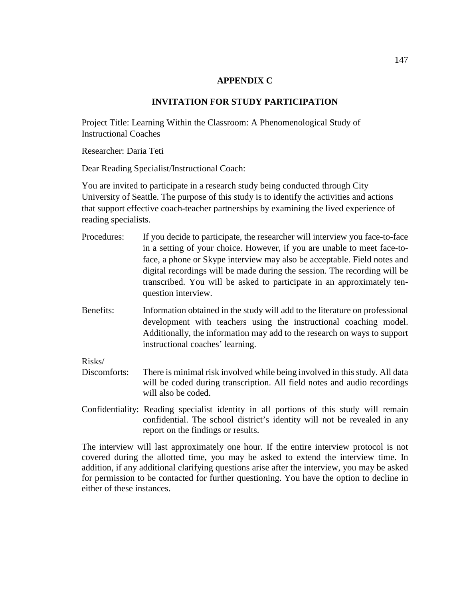## **APPENDIX C**

# **INVITATION FOR STUDY PARTICIPATION**

Project Title: Learning Within the Classroom: A Phenomenological Study of Instructional Coaches

Researcher: Daria Teti

Dear Reading Specialist/Instructional Coach:

You are invited to participate in a research study being conducted through City University of Seattle. The purpose of this study is to identify the activities and actions that support effective coach-teacher partnerships by examining the lived experience of reading specialists.

- Procedures: If you decide to participate, the researcher will interview you face-to-face in a setting of your choice. However, if you are unable to meet face-toface, a phone or Skype interview may also be acceptable. Field notes and digital recordings will be made during the session. The recording will be transcribed. You will be asked to participate in an approximately tenquestion interview.
- Benefits: Information obtained in the study will add to the literature on professional development with teachers using the instructional coaching model. Additionally, the information may add to the research on ways to support instructional coaches' learning.

Risks/

- Discomforts: There is minimal risk involved while being involved in this study. All data will be coded during transcription. All field notes and audio recordings will also be coded.
- Confidentiality: Reading specialist identity in all portions of this study will remain confidential. The school district's identity will not be revealed in any report on the findings or results.

The interview will last approximately one hour. If the entire interview protocol is not covered during the allotted time, you may be asked to extend the interview time. In addition, if any additional clarifying questions arise after the interview, you may be asked for permission to be contacted for further questioning. You have the option to decline in either of these instances.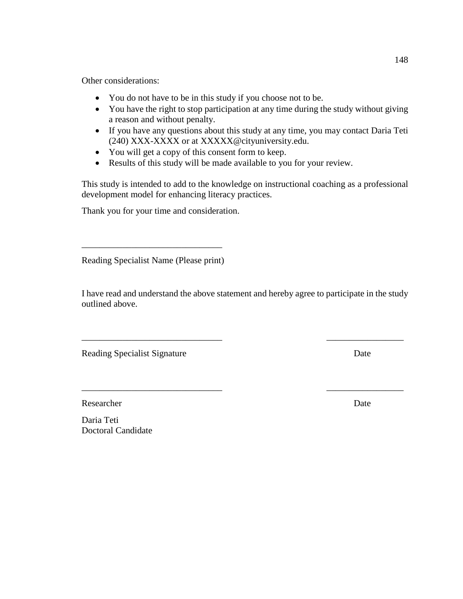Other considerations:

- You do not have to be in this study if you choose not to be.
- You have the right to stop participation at any time during the study without giving a reason and without penalty.
- If you have any questions about this study at any time, you may contact Daria Teti (240) XXX-XXXX or at XXXXX@cityuniversity.edu.
- You will get a copy of this consent form to keep.
- Results of this study will be made available to you for your review.

This study is intended to add to the knowledge on instructional coaching as a professional development model for enhancing literacy practices.

Thank you for your time and consideration.

Reading Specialist Name (Please print)

\_\_\_\_\_\_\_\_\_\_\_\_\_\_\_\_\_\_\_\_\_\_\_\_\_\_\_\_\_\_\_

I have read and understand the above statement and hereby agree to participate in the study outlined above.

\_\_\_\_\_\_\_\_\_\_\_\_\_\_\_\_\_\_\_\_\_\_\_\_\_\_\_\_\_\_\_ \_\_\_\_\_\_\_\_\_\_\_\_\_\_\_\_\_

\_\_\_\_\_\_\_\_\_\_\_\_\_\_\_\_\_\_\_\_\_\_\_\_\_\_\_\_\_\_\_ \_\_\_\_\_\_\_\_\_\_\_\_\_\_\_\_\_

Reading Specialist Signature Date

Researcher Date by the United States of the United States of the United States of the United States of the United States of the United States of the United States of the United States of the United States of the United Sta

Daria Teti Doctoral Candidate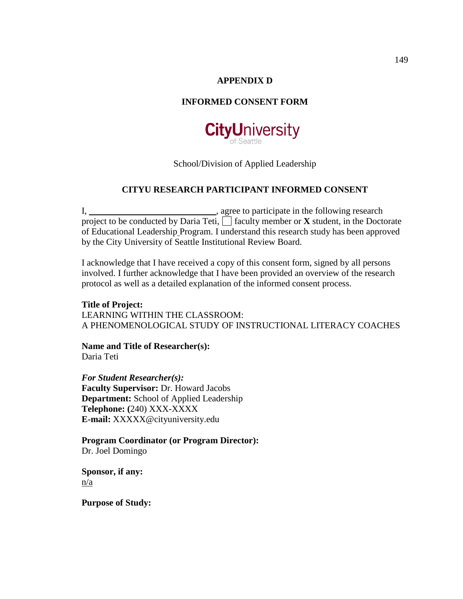# **APPENDIX D**

# **INFORMED CONSENT FORM**



School/Division of Applied Leadership

## **CITYU RESEARCH PARTICIPANT INFORMED CONSENT**

I, \_\_\_\_\_\_\_\_\_\_\_\_\_\_\_\_\_\_\_\_\_\_\_\_\_\_\_\_\_\_\_, agree to participate in the following research project to be conducted by Daria Teti,  $\Box$  faculty member or **X** student, in the Doctorate of Educational Leadership Program. I understand this research study has been approved by the City University of Seattle Institutional Review Board.

I acknowledge that I have received a copy of this consent form, signed by all persons involved. I further acknowledge that I have been provided an overview of the research protocol as well as a detailed explanation of the informed consent process.

**Title of Project:** LEARNING WITHIN THE CLASSROOM: A PHENOMENOLOGICAL STUDY OF INSTRUCTIONAL LITERACY COACHES

**Name and Title of Researcher(s):** Daria Teti

*For Student Researcher(s):* **Faculty Supervisor:** Dr. Howard Jacobs **Department:** School of Applied Leadership **Telephone: (**240) XXX-XXXX **E-mail:** XXXXX@cityuniversity.edu

**Program Coordinator (or Program Director):** Dr. Joel Domingo

**Sponsor, if any:** n/a

**Purpose of Study:**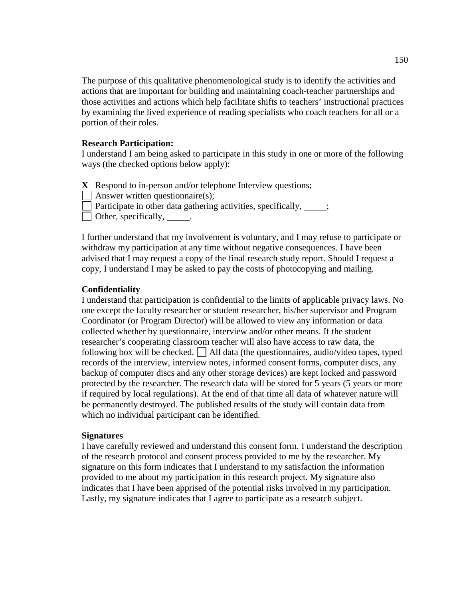The purpose of this qualitative phenomenological study is to identify the activities and actions that are important for building and maintaining coach-teacher partnerships and those activities and actions which help facilitate shifts to teachers' instructional practices by examining the lived experience of reading specialists who coach teachers for all or a portion of their roles.

#### **Research Participation:**

I understand I am being asked to participate in this study in one or more of the following ways (the checked options below apply):

**X** Respond to in-person and/or telephone Interview questions;

Answer written questionnaire(s);

Participate in other data gathering activities, specifically,  $\cdot$ ;

 $\Box$  Other, specifically,  $\Box$ 

I further understand that my involvement is voluntary, and I may refuse to participate or withdraw my participation at any time without negative consequences. I have been advised that I may request a copy of the final research study report. Should I request a copy, I understand I may be asked to pay the costs of photocopying and mailing.

#### **Confidentiality**

I understand that participation is confidential to the limits of applicable privacy laws. No one except the faculty researcher or student researcher, his/her supervisor and Program Coordinator (or Program Director) will be allowed to view any information or data collected whether by questionnaire, interview and/or other means. If the student researcher's cooperating classroom teacher will also have access to raw data, the following box will be checked.  $\Box$  All data (the questionnaires, audio/video tapes, typed records of the interview, interview notes, informed consent forms, computer discs, any backup of computer discs and any other storage devices) are kept locked and password protected by the researcher. The research data will be stored for 5 years (5 years or more if required by local regulations). At the end of that time all data of whatever nature will be permanently destroyed. The published results of the study will contain data from which no individual participant can be identified.

#### **Signatures**

I have carefully reviewed and understand this consent form. I understand the description of the research protocol and consent process provided to me by the researcher. My signature on this form indicates that I understand to my satisfaction the information provided to me about my participation in this research project. My signature also indicates that I have been apprised of the potential risks involved in my participation. Lastly, my signature indicates that I agree to participate as a research subject.